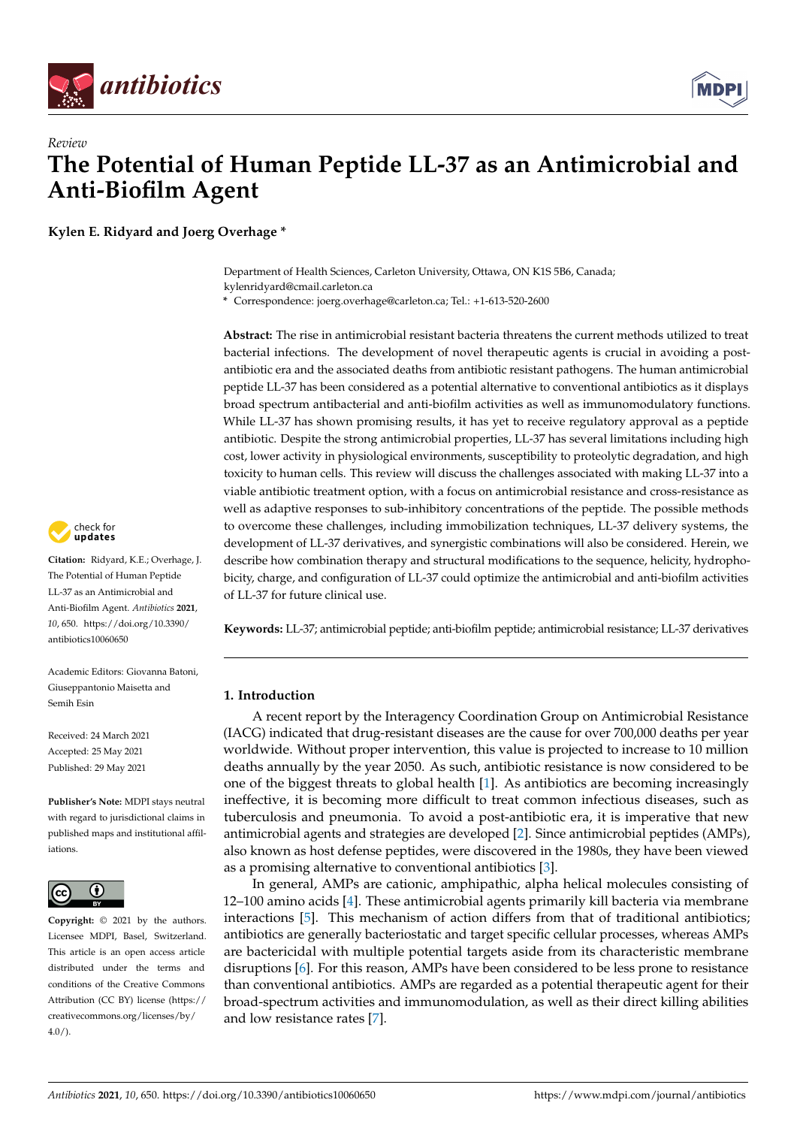



**Kylen E. Ridyard and Joerg Overhage \***

Department of Health Sciences, Carleton University, Ottawa, ON K1S 5B6, Canada; kylenridyard@cmail.carleton.ca

**\*** Correspondence: joerg.overhage@carleton.ca; Tel.: +1-613-520-2600

**Abstract:** The rise in antimicrobial resistant bacteria threatens the current methods utilized to treat bacterial infections. The development of novel therapeutic agents is crucial in avoiding a postantibiotic era and the associated deaths from antibiotic resistant pathogens. The human antimicrobial peptide LL-37 has been considered as a potential alternative to conventional antibiotics as it displays broad spectrum antibacterial and anti-biofilm activities as well as immunomodulatory functions. While LL-37 has shown promising results, it has yet to receive regulatory approval as a peptide antibiotic. Despite the strong antimicrobial properties, LL-37 has several limitations including high cost, lower activity in physiological environments, susceptibility to proteolytic degradation, and high toxicity to human cells. This review will discuss the challenges associated with making LL-37 into a viable antibiotic treatment option, with a focus on antimicrobial resistance and cross-resistance as well as adaptive responses to sub-inhibitory concentrations of the peptide. The possible methods to overcome these challenges, including immobilization techniques, LL-37 delivery systems, the development of LL-37 derivatives, and synergistic combinations will also be considered. Herein, we describe how combination therapy and structural modifications to the sequence, helicity, hydrophobicity, charge, and configuration of LL-37 could optimize the antimicrobial and anti-biofilm activities of LL-37 for future clinical use.

**Keywords:** LL-37; antimicrobial peptide; anti-biofilm peptide; antimicrobial resistance; LL-37 derivatives

# **1. Introduction**

A recent report by the Interagency Coordination Group on Antimicrobial Resistance (IACG) indicated that drug-resistant diseases are the cause for over 700,000 deaths per year worldwide. Without proper intervention, this value is projected to increase to 10 million deaths annually by the year 2050. As such, antibiotic resistance is now considered to be one of the biggest threats to global health [\[1\]](#page-22-0). As antibiotics are becoming increasingly ineffective, it is becoming more difficult to treat common infectious diseases, such as tuberculosis and pneumonia. To avoid a post-antibiotic era, it is imperative that new antimicrobial agents and strategies are developed [\[2\]](#page-22-1). Since antimicrobial peptides (AMPs), also known as host defense peptides, were discovered in the 1980s, they have been viewed as a promising alternative to conventional antibiotics [\[3\]](#page-22-2).

In general, AMPs are cationic, amphipathic, alpha helical molecules consisting of 12–100 amino acids [\[4\]](#page-22-3). These antimicrobial agents primarily kill bacteria via membrane interactions [\[5\]](#page-22-4). This mechanism of action differs from that of traditional antibiotics; antibiotics are generally bacteriostatic and target specific cellular processes, whereas AMPs are bactericidal with multiple potential targets aside from its characteristic membrane disruptions [\[6\]](#page-22-5). For this reason, AMPs have been considered to be less prone to resistance than conventional antibiotics. AMPs are regarded as a potential therapeutic agent for their broad-spectrum activities and immunomodulation, as well as their direct killing abilities and low resistance rates [\[7\]](#page-22-6).



**Citation:** Ridyard, K.E.; Overhage, J. The Potential of Human Peptide LL-37 as an Antimicrobial and Anti-Biofilm Agent. *Antibiotics* **2021**, *10*, 650. [https://doi.org/10.3390/](https://doi.org/10.3390/antibiotics10060650) [antibiotics10060650](https://doi.org/10.3390/antibiotics10060650)

Academic Editors: Giovanna Batoni, Giuseppantonio Maisetta and Semih Esin

Received: 24 March 2021 Accepted: 25 May 2021 Published: 29 May 2021

**Publisher's Note:** MDPI stays neutral with regard to jurisdictional claims in published maps and institutional affiliations.



**Copyright:** © 2021 by the authors. Licensee MDPI, Basel, Switzerland. This article is an open access article distributed under the terms and conditions of the Creative Commons Attribution (CC BY) license (https:/[/](https://creativecommons.org/licenses/by/4.0/) [creativecommons.org/licenses/by/](https://creativecommons.org/licenses/by/4.0/)  $4.0/$ ).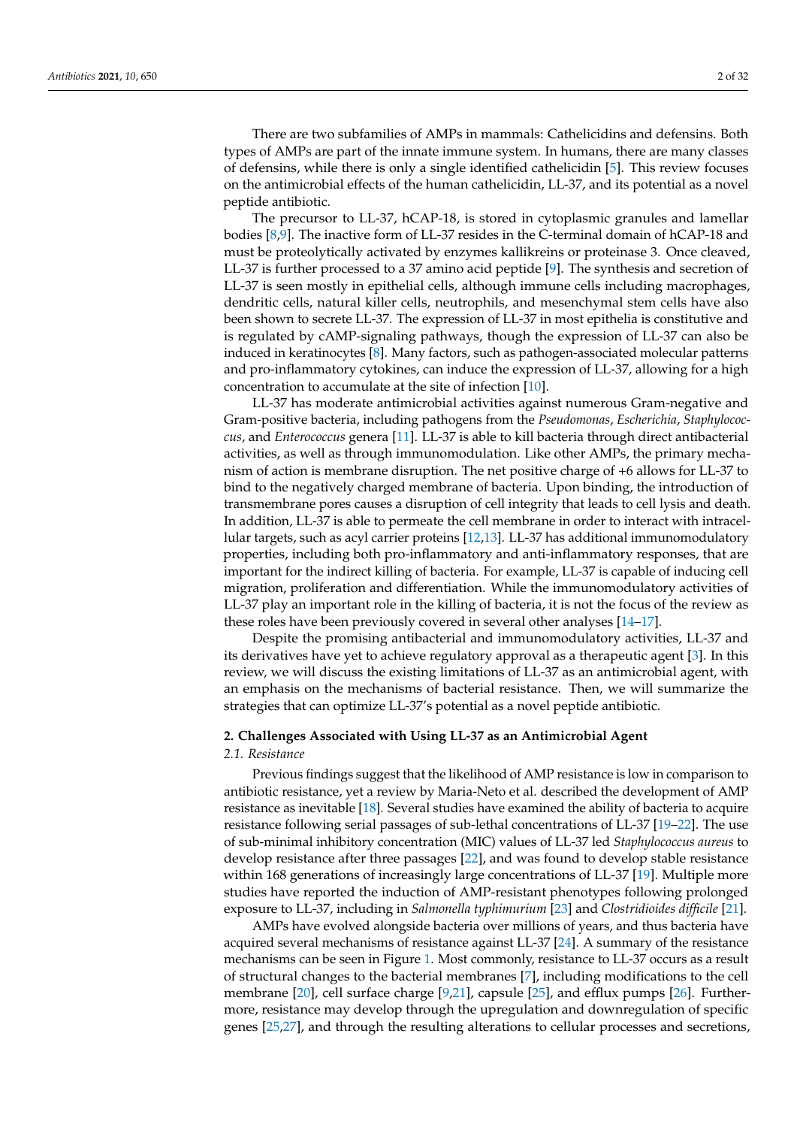There are two subfamilies of AMPs in mammals: Cathelicidins and defensins. Both types of AMPs are part of the innate immune system. In humans, there are many classes of defensins, while there is only a single identified cathelicidin [\[5\]](#page-22-4). This review focuses on the antimicrobial effects of the human cathelicidin, LL-37, and its potential as a novel peptide antibiotic.

The precursor to LL-37, hCAP-18, is stored in cytoplasmic granules and lamellar bodies [\[8](#page-22-7)[,9\]](#page-22-8). The inactive form of LL-37 resides in the C-terminal domain of hCAP-18 and must be proteolytically activated by enzymes kallikreins or proteinase 3. Once cleaved, LL-37 is further processed to a 37 amino acid peptide [\[9\]](#page-22-8). The synthesis and secretion of LL-37 is seen mostly in epithelial cells, although immune cells including macrophages, dendritic cells, natural killer cells, neutrophils, and mesenchymal stem cells have also been shown to secrete LL-37. The expression of LL-37 in most epithelia is constitutive and is regulated by cAMP-signaling pathways, though the expression of LL-37 can also be induced in keratinocytes [\[8\]](#page-22-7). Many factors, such as pathogen-associated molecular patterns and pro-inflammatory cytokines, can induce the expression of LL-37, allowing for a high concentration to accumulate at the site of infection [\[10\]](#page-22-9).

LL-37 has moderate antimicrobial activities against numerous Gram-negative and Gram-positive bacteria, including pathogens from the *Pseudomonas*, *Escherichia*, *Staphylococcus*, and *Enterococcus* genera [\[11\]](#page-22-10). LL-37 is able to kill bacteria through direct antibacterial activities, as well as through immunomodulation. Like other AMPs, the primary mechanism of action is membrane disruption. The net positive charge of +6 allows for LL-37 to bind to the negatively charged membrane of bacteria. Upon binding, the introduction of transmembrane pores causes a disruption of cell integrity that leads to cell lysis and death. In addition, LL-37 is able to permeate the cell membrane in order to interact with intracellular targets, such as acyl carrier proteins [\[12,](#page-22-11)[13\]](#page-22-12). LL-37 has additional immunomodulatory properties, including both pro-inflammatory and anti-inflammatory responses, that are important for the indirect killing of bacteria. For example, LL-37 is capable of inducing cell migration, proliferation and differentiation. While the immunomodulatory activities of LL-37 play an important role in the killing of bacteria, it is not the focus of the review as these roles have been previously covered in several other analyses [\[14–](#page-22-13)[17\]](#page-22-14).

Despite the promising antibacterial and immunomodulatory activities, LL-37 and its derivatives have yet to achieve regulatory approval as a therapeutic agent [\[3\]](#page-22-2). In this review, we will discuss the existing limitations of LL-37 as an antimicrobial agent, with an emphasis on the mechanisms of bacterial resistance. Then, we will summarize the strategies that can optimize LL-37's potential as a novel peptide antibiotic.

# **2. Challenges Associated with Using LL-37 as an Antimicrobial Agent**

### *2.1. Resistance*

Previous findings suggest that the likelihood of AMP resistance is low in comparison to antibiotic resistance, yet a review by Maria-Neto et al. described the development of AMP resistance as inevitable [\[18\]](#page-22-15). Several studies have examined the ability of bacteria to acquire resistance following serial passages of sub-lethal concentrations of LL-37 [\[19](#page-23-0)[–22\]](#page-23-1). The use of sub-minimal inhibitory concentration (MIC) values of LL-37 led *Staphylococcus aureus* to develop resistance after three passages [\[22\]](#page-23-1), and was found to develop stable resistance within 168 generations of increasingly large concentrations of LL-37 [\[19\]](#page-23-0). Multiple more studies have reported the induction of AMP-resistant phenotypes following prolonged exposure to LL-37, including in *Salmonella typhimurium* [\[23\]](#page-23-2) and *Clostridioides difficile* [\[21\]](#page-23-3).

AMPs have evolved alongside bacteria over millions of years, and thus bacteria have acquired several mechanisms of resistance against LL-37 [\[24\]](#page-23-4). A summary of the resistance mechanisms can be seen in Figure [1.](#page-2-0) Most commonly, resistance to LL-37 occurs as a result of structural changes to the bacterial membranes [\[7\]](#page-22-6), including modifications to the cell membrane [\[20\]](#page-23-5), cell surface charge [\[9,](#page-22-8)[21\]](#page-23-3), capsule [\[25\]](#page-23-6), and efflux pumps [\[26\]](#page-23-7). Furthermore, resistance may develop through the upregulation and downregulation of specific genes [\[25,](#page-23-6)[27\]](#page-23-8), and through the resulting alterations to cellular processes and secretions,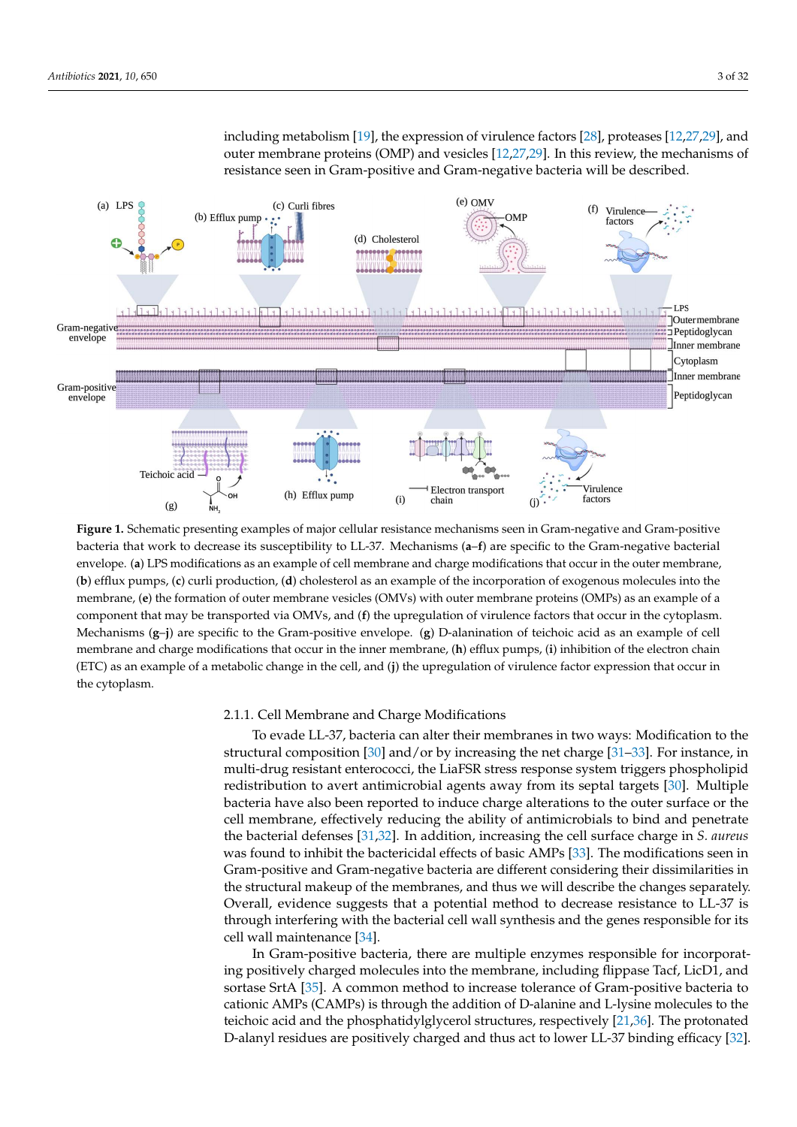including metabolism [\[19\]](#page-23-0), the expression of virulence factors [\[28\]](#page-23-9), proteases [\[12](#page-22-11)[,27](#page-23-8)[,29\]](#page-23-10), and outer membrane proteins (OMP) and vesicles [\[12,](#page-22-11)[27](#page-23-8)[,29\]](#page-23-10). In this review, the mechanisms of resistance seen in Gram-positive and Gram-negative bacteria will be described.

<span id="page-2-0"></span>

**Figure 1.** Schematic presenting examples of major cellular resistance mechanisms seen in Gram-negative and Gram-positive bacteria that work to decrease its susceptibility to LL-37. Mechanisms (**a**–**f**) are specific to the Gram-negative bacterial envelope. (**a**) LPS modifications as an example of cell membrane and charge modifications that occur in the outer membrane, (**b**) efflux pumps, (**c**) curli production, (**d**) cholesterol as an example of the incorporation of exogenous molecules into the membrane, (**e**) the formation of outer membrane vesicles (OMVs) with outer membrane proteins (OMPs) as an example of a component that may be transported via OMVs, and (**f**) the upregulation of virulence factors that occur in the cytoplasm. Mechanisms (**g**–**j**) are specific to the Gram-positive envelope. (**g**) D-alanination of teichoic acid as an example of cell membrane and charge modifications that occur in the inner membrane, (**h**) efflux pumps, (**i**) inhibition of the electron chain (ETC) as an example of a metabolic change in the cell, and (**j**) the upregulation of virulence factor expression that occur in the cytoplasm.

### 2.1.1. Cell Membrane and Charge Modifications

To evade LL-37, bacteria can alter their membranes in two ways: Modification to the structural composition [\[30\]](#page-23-11) and/or by increasing the net charge [\[31–](#page-23-12)[33\]](#page-23-13). For instance, in multi-drug resistant enterococci, the LiaFSR stress response system triggers phospholipid redistribution to avert antimicrobial agents away from its septal targets [\[30\]](#page-23-11). Multiple bacteria have also been reported to induce charge alterations to the outer surface or the cell membrane, effectively reducing the ability of antimicrobials to bind and penetrate the bacterial defenses [\[31,](#page-23-12)[32\]](#page-23-14). In addition, increasing the cell surface charge in *S. aureus* was found to inhibit the bactericidal effects of basic AMPs [\[33\]](#page-23-13). The modifications seen in Gram-positive and Gram-negative bacteria are different considering their dissimilarities in the structural makeup of the membranes, and thus we will describe the changes separately. Overall, evidence suggests that a potential method to decrease resistance to LL-37 is through interfering with the bacterial cell wall synthesis and the genes responsible for its cell wall maintenance [\[34\]](#page-23-15).

In Gram-positive bacteria, there are multiple enzymes responsible for incorporating positively charged molecules into the membrane, including flippase Tacf, LicD1, and sortase SrtA [\[35\]](#page-23-16). A common method to increase tolerance of Gram-positive bacteria to cationic AMPs (CAMPs) is through the addition of D-alanine and L-lysine molecules to the teichoic acid and the phosphatidylglycerol structures, respectively [\[21](#page-23-3)[,36\]](#page-23-17). The protonated D-alanyl residues are positively charged and thus act to lower LL-37 binding efficacy [\[32\]](#page-23-14).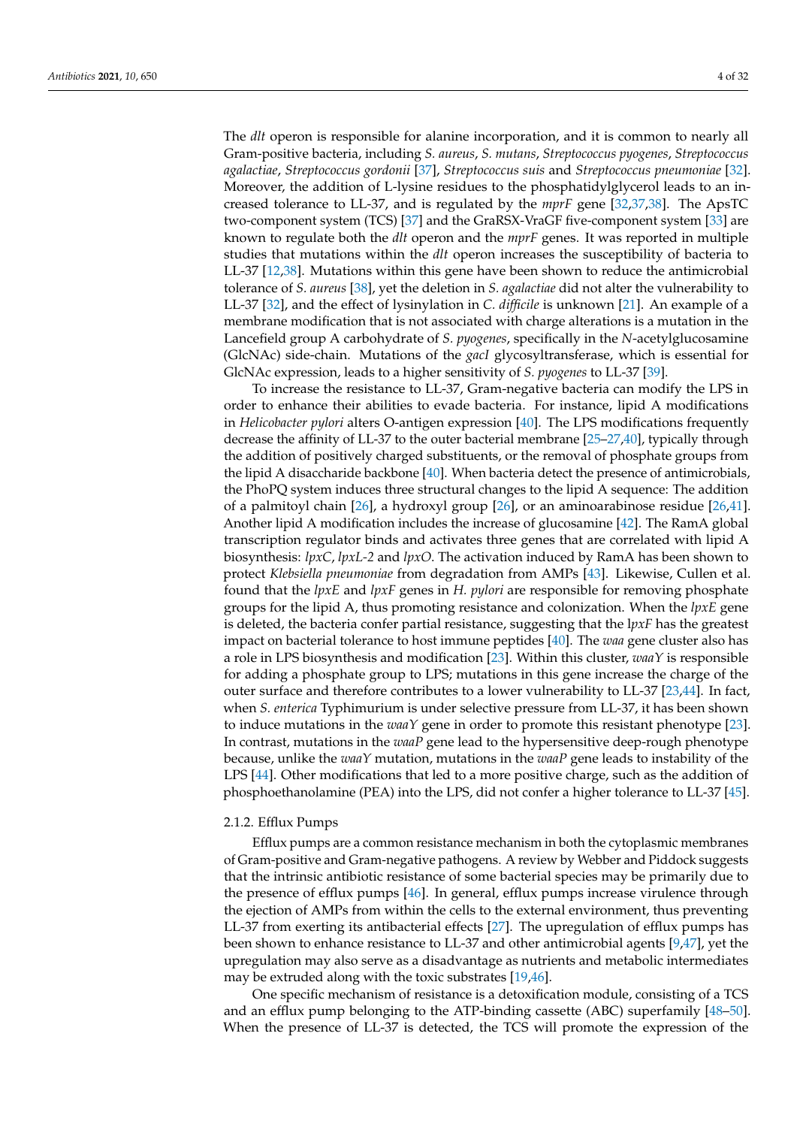The *dlt* operon is responsible for alanine incorporation, and it is common to nearly all Gram-positive bacteria, including *S. aureus*, *S. mutans*, *Streptococcus pyogenes*, *Streptococcus agalactiae*, *Streptococcus gordonii* [\[37\]](#page-23-18), *Streptococcus suis* and *Streptococcus pneumoniae* [\[32\]](#page-23-14). Moreover, the addition of L-lysine residues to the phosphatidylglycerol leads to an increased tolerance to LL-37, and is regulated by the *mprF* gene [\[32](#page-23-14)[,37,](#page-23-18)[38\]](#page-23-19). The ApsTC two-component system (TCS) [\[37\]](#page-23-18) and the GraRSX-VraGF five-component system [\[33\]](#page-23-13) are known to regulate both the *dlt* operon and the *mprF* genes. It was reported in multiple studies that mutations within the *dlt* operon increases the susceptibility of bacteria to LL-37 [\[12](#page-22-11)[,38\]](#page-23-19). Mutations within this gene have been shown to reduce the antimicrobial tolerance of *S. aureus* [\[38\]](#page-23-19), yet the deletion in *S. agalactiae* did not alter the vulnerability to LL-37 [\[32\]](#page-23-14), and the effect of lysinylation in *C. difficile* is unknown [\[21\]](#page-23-3). An example of a membrane modification that is not associated with charge alterations is a mutation in the Lancefield group A carbohydrate of *S. pyogenes*, specifically in the *N*-acetylglucosamine (GlcNAc) side-chain. Mutations of the *gacI* glycosyltransferase, which is essential for GlcNAc expression, leads to a higher sensitivity of *S. pyogenes* to LL-37 [\[39\]](#page-23-20).

To increase the resistance to LL-37, Gram-negative bacteria can modify the LPS in order to enhance their abilities to evade bacteria. For instance, lipid A modifications in *Helicobacter pylori* alters O-antigen expression [\[40\]](#page-23-21). The LPS modifications frequently decrease the affinity of LL-37 to the outer bacterial membrane [\[25–](#page-23-6)[27,](#page-23-8)[40\]](#page-23-21), typically through the addition of positively charged substituents, or the removal of phosphate groups from the lipid A disaccharide backbone [\[40\]](#page-23-21). When bacteria detect the presence of antimicrobials, the PhoPQ system induces three structural changes to the lipid A sequence: The addition of a palmitoyl chain [\[26\]](#page-23-7), a hydroxyl group [\[26\]](#page-23-7), or an aminoarabinose residue [\[26,](#page-23-7)[41\]](#page-23-22). Another lipid A modification includes the increase of glucosamine [\[42\]](#page-23-23). The RamA global transcription regulator binds and activates three genes that are correlated with lipid A biosynthesis: *lpxC*, *lpxL-2* and *lpxO*. The activation induced by RamA has been shown to protect *Klebsiella pneumoniae* from degradation from AMPs [\[43\]](#page-23-24). Likewise, Cullen et al. found that the *lpxE* and *lpxF* genes in *H. pylori* are responsible for removing phosphate groups for the lipid A, thus promoting resistance and colonization. When the *lpxE* gene is deleted, the bacteria confer partial resistance, suggesting that the l*pxF* has the greatest impact on bacterial tolerance to host immune peptides [\[40\]](#page-23-21). The *waa* gene cluster also has a role in LPS biosynthesis and modification [\[23\]](#page-23-2). Within this cluster, *waaY* is responsible for adding a phosphate group to LPS; mutations in this gene increase the charge of the outer surface and therefore contributes to a lower vulnerability to LL-37 [\[23](#page-23-2)[,44\]](#page-24-0). In fact, when *S. enterica* Typhimurium is under selective pressure from LL-37, it has been shown to induce mutations in the *waaY* gene in order to promote this resistant phenotype [\[23\]](#page-23-2). In contrast, mutations in the *waaP* gene lead to the hypersensitive deep-rough phenotype because, unlike the *waaY* mutation, mutations in the *waaP* gene leads to instability of the LPS [\[44\]](#page-24-0). Other modifications that led to a more positive charge, such as the addition of phosphoethanolamine (PEA) into the LPS, did not confer a higher tolerance to LL-37 [\[45\]](#page-24-1).

### 2.1.2. Efflux Pumps

Efflux pumps are a common resistance mechanism in both the cytoplasmic membranes of Gram-positive and Gram-negative pathogens. A review by Webber and Piddock suggests that the intrinsic antibiotic resistance of some bacterial species may be primarily due to the presence of efflux pumps [\[46\]](#page-24-2). In general, efflux pumps increase virulence through the ejection of AMPs from within the cells to the external environment, thus preventing LL-37 from exerting its antibacterial effects [\[27\]](#page-23-8). The upregulation of efflux pumps has been shown to enhance resistance to LL-37 and other antimicrobial agents [\[9,](#page-22-8)[47\]](#page-24-3), yet the upregulation may also serve as a disadvantage as nutrients and metabolic intermediates may be extruded along with the toxic substrates [\[19](#page-23-0)[,46\]](#page-24-2).

One specific mechanism of resistance is a detoxification module, consisting of a TCS and an efflux pump belonging to the ATP-binding cassette (ABC) superfamily [\[48](#page-24-4)[–50\]](#page-24-5). When the presence of LL-37 is detected, the TCS will promote the expression of the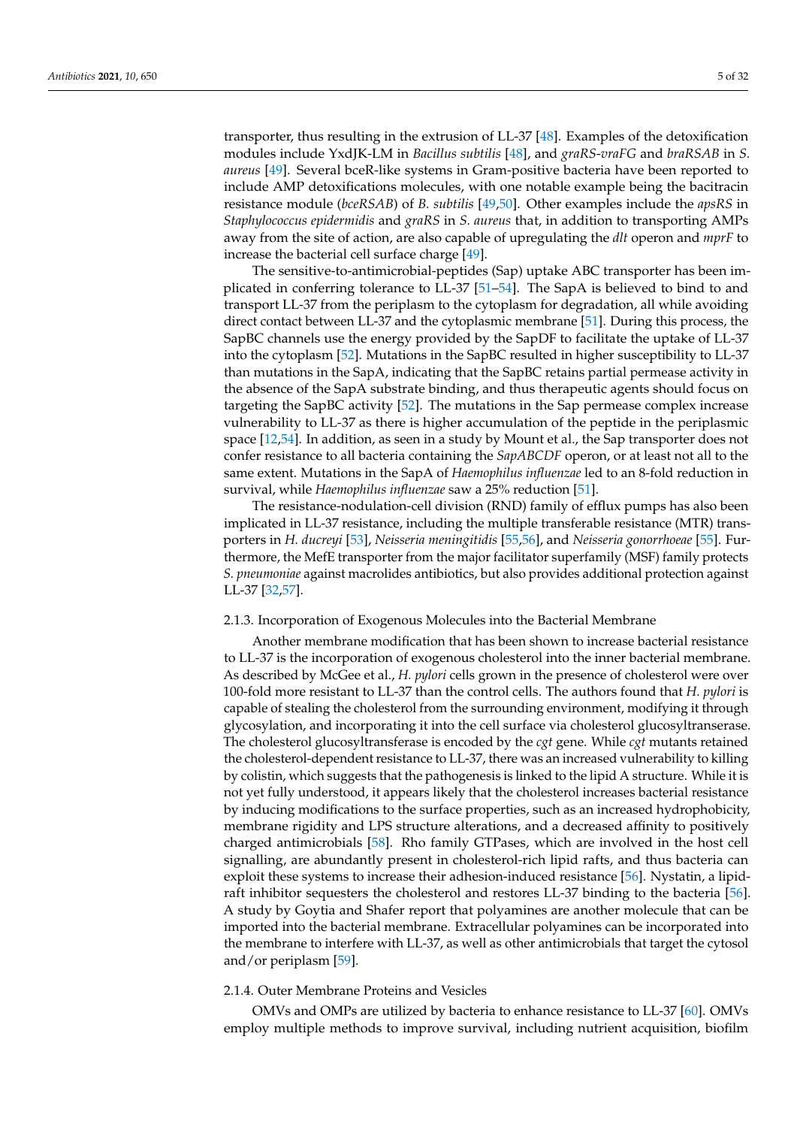transporter, thus resulting in the extrusion of LL-37 [\[48\]](#page-24-4). Examples of the detoxification modules include YxdJK-LM in *Bacillus subtilis* [\[48\]](#page-24-4), and *graRS*-*vraFG* and *braRSAB* in *S. aureus* [\[49\]](#page-24-6). Several bceR-like systems in Gram-positive bacteria have been reported to include AMP detoxifications molecules, with one notable example being the bacitracin resistance module (*bceRSAB*) of *B. subtilis* [\[49](#page-24-6)[,50\]](#page-24-5). Other examples include the *apsRS* in *Staphylococcus epidermidis* and *graRS* in *S. aureus* that, in addition to transporting AMPs away from the site of action, are also capable of upregulating the *dlt* operon and *mprF* to increase the bacterial cell surface charge [\[49\]](#page-24-6).

The sensitive-to-antimicrobial-peptides (Sap) uptake ABC transporter has been implicated in conferring tolerance to LL-37 [\[51–](#page-24-7)[54\]](#page-24-8). The SapA is believed to bind to and transport LL-37 from the periplasm to the cytoplasm for degradation, all while avoiding direct contact between LL-37 and the cytoplasmic membrane [\[51\]](#page-24-7). During this process, the SapBC channels use the energy provided by the SapDF to facilitate the uptake of LL-37 into the cytoplasm [\[52\]](#page-24-9). Mutations in the SapBC resulted in higher susceptibility to LL-37 than mutations in the SapA, indicating that the SapBC retains partial permease activity in the absence of the SapA substrate binding, and thus therapeutic agents should focus on targeting the SapBC activity [\[52\]](#page-24-9). The mutations in the Sap permease complex increase vulnerability to LL-37 as there is higher accumulation of the peptide in the periplasmic space [\[12](#page-22-11)[,54\]](#page-24-8). In addition, as seen in a study by Mount et al., the Sap transporter does not confer resistance to all bacteria containing the *SapABCDF* operon, or at least not all to the same extent. Mutations in the SapA of *Haemophilus influenzae* led to an 8-fold reduction in survival, while *Haemophilus influenzae* saw a 25% reduction [\[51\]](#page-24-7).

The resistance-nodulation-cell division (RND) family of efflux pumps has also been implicated in LL-37 resistance, including the multiple transferable resistance (MTR) transporters in *H. ducreyi* [\[53\]](#page-24-10), *Neisseria meningitidis* [\[55,](#page-24-11)[56\]](#page-24-12), and *Neisseria gonorrhoeae* [\[55\]](#page-24-11). Furthermore, the MefE transporter from the major facilitator superfamily (MSF) family protects *S. pneumoniae* against macrolides antibiotics, but also provides additional protection against LL-37 [\[32](#page-23-14)[,57\]](#page-24-13).

#### 2.1.3. Incorporation of Exogenous Molecules into the Bacterial Membrane

Another membrane modification that has been shown to increase bacterial resistance to LL-37 is the incorporation of exogenous cholesterol into the inner bacterial membrane. As described by McGee et al., *H. pylori* cells grown in the presence of cholesterol were over 100-fold more resistant to LL-37 than the control cells. The authors found that *H. pylori* is capable of stealing the cholesterol from the surrounding environment, modifying it through glycosylation, and incorporating it into the cell surface via cholesterol glucosyltranserase. The cholesterol glucosyltransferase is encoded by the *cgt* gene. While *cgt* mutants retained the cholesterol-dependent resistance to LL-37, there was an increased vulnerability to killing by colistin, which suggests that the pathogenesis is linked to the lipid A structure. While it is not yet fully understood, it appears likely that the cholesterol increases bacterial resistance by inducing modifications to the surface properties, such as an increased hydrophobicity, membrane rigidity and LPS structure alterations, and a decreased affinity to positively charged antimicrobials [\[58\]](#page-24-14). Rho family GTPases, which are involved in the host cell signalling, are abundantly present in cholesterol-rich lipid rafts, and thus bacteria can exploit these systems to increase their adhesion-induced resistance [\[56\]](#page-24-12). Nystatin, a lipidraft inhibitor sequesters the cholesterol and restores LL-37 binding to the bacteria [\[56\]](#page-24-12). A study by Goytia and Shafer report that polyamines are another molecule that can be imported into the bacterial membrane. Extracellular polyamines can be incorporated into the membrane to interfere with LL-37, as well as other antimicrobials that target the cytosol and/or periplasm [\[59\]](#page-24-15).

# 2.1.4. Outer Membrane Proteins and Vesicles

OMVs and OMPs are utilized by bacteria to enhance resistance to LL-37 [\[60\]](#page-24-16). OMVs employ multiple methods to improve survival, including nutrient acquisition, biofilm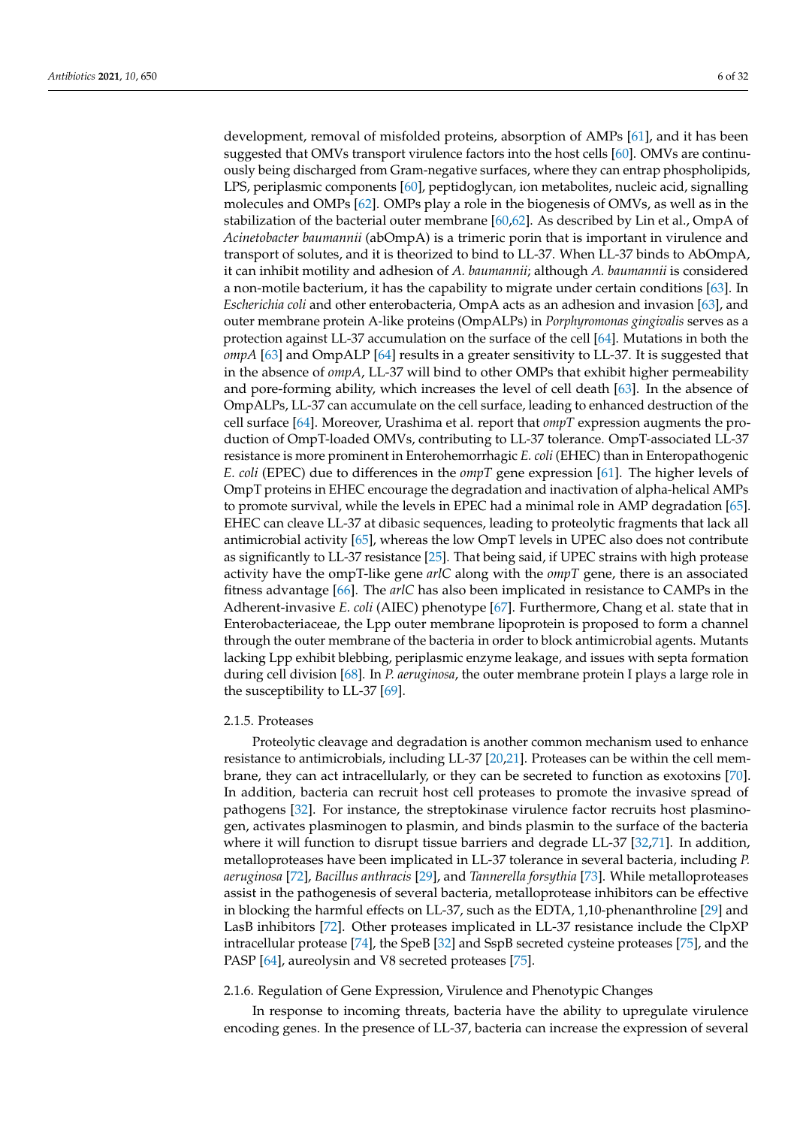development, removal of misfolded proteins, absorption of AMPs [\[61\]](#page-24-17), and it has been suggested that OMVs transport virulence factors into the host cells [\[60\]](#page-24-16). OMVs are continuously being discharged from Gram-negative surfaces, where they can entrap phospholipids, LPS, periplasmic components [\[60\]](#page-24-16), peptidoglycan, ion metabolites, nucleic acid, signalling molecules and OMPs [\[62\]](#page-24-18). OMPs play a role in the biogenesis of OMVs, as well as in the stabilization of the bacterial outer membrane [\[60,](#page-24-16)[62\]](#page-24-18). As described by Lin et al., OmpA of *Acinetobacter baumannii* (abOmpA) is a trimeric porin that is important in virulence and transport of solutes, and it is theorized to bind to LL-37. When LL-37 binds to AbOmpA, it can inhibit motility and adhesion of *A. baumannii*; although *A. baumannii* is considered a non-motile bacterium, it has the capability to migrate under certain conditions [\[63\]](#page-24-19). In *Escherichia coli* and other enterobacteria, OmpA acts as an adhesion and invasion [\[63\]](#page-24-19), and outer membrane protein A-like proteins (OmpALPs) in *Porphyromonas gingivalis* serves as a protection against LL-37 accumulation on the surface of the cell [\[64\]](#page-24-20). Mutations in both the *ompA* [\[63\]](#page-24-19) and OmpALP [\[64\]](#page-24-20) results in a greater sensitivity to LL-37. It is suggested that in the absence of *ompA*, LL-37 will bind to other OMPs that exhibit higher permeability and pore-forming ability, which increases the level of cell death [\[63\]](#page-24-19). In the absence of OmpALPs, LL-37 can accumulate on the cell surface, leading to enhanced destruction of the cell surface [\[64\]](#page-24-20). Moreover, Urashima et al. report that *ompT* expression augments the production of OmpT-loaded OMVs, contributing to LL-37 tolerance. OmpT-associated LL-37 resistance is more prominent in Enterohemorrhagic *E. coli* (EHEC) than in Enteropathogenic *E. coli* (EPEC) due to differences in the *ompT* gene expression [\[61\]](#page-24-17). The higher levels of OmpT proteins in EHEC encourage the degradation and inactivation of alpha-helical AMPs to promote survival, while the levels in EPEC had a minimal role in AMP degradation [\[65\]](#page-24-21). EHEC can cleave LL-37 at dibasic sequences, leading to proteolytic fragments that lack all antimicrobial activity [\[65\]](#page-24-21), whereas the low OmpT levels in UPEC also does not contribute as significantly to LL-37 resistance [\[25\]](#page-23-6). That being said, if UPEC strains with high protease activity have the ompT-like gene *arlC* along with the *ompT* gene, there is an associated fitness advantage [\[66\]](#page-24-22). The *arlC* has also been implicated in resistance to CAMPs in the Adherent-invasive *E. coli* (AIEC) phenotype [\[67\]](#page-24-23). Furthermore, Chang et al. state that in Enterobacteriaceae, the Lpp outer membrane lipoprotein is proposed to form a channel through the outer membrane of the bacteria in order to block antimicrobial agents. Mutants lacking Lpp exhibit blebbing, periplasmic enzyme leakage, and issues with septa formation during cell division [\[68\]](#page-25-0). In *P. aeruginosa*, the outer membrane protein I plays a large role in the susceptibility to LL-37 [\[69\]](#page-25-1).

#### 2.1.5. Proteases

Proteolytic cleavage and degradation is another common mechanism used to enhance resistance to antimicrobials, including LL-37 [\[20](#page-23-5)[,21\]](#page-23-3). Proteases can be within the cell membrane, they can act intracellularly, or they can be secreted to function as exotoxins [\[70\]](#page-25-2). In addition, bacteria can recruit host cell proteases to promote the invasive spread of pathogens [\[32\]](#page-23-14). For instance, the streptokinase virulence factor recruits host plasminogen, activates plasminogen to plasmin, and binds plasmin to the surface of the bacteria where it will function to disrupt tissue barriers and degrade LL-37 [\[32,](#page-23-14)[71\]](#page-25-3). In addition, metalloproteases have been implicated in LL-37 tolerance in several bacteria, including *P. aeruginosa* [\[72\]](#page-25-4), *Bacillus anthracis* [\[29\]](#page-23-10), and *Tannerella forsythia* [\[73\]](#page-25-5). While metalloproteases assist in the pathogenesis of several bacteria, metalloprotease inhibitors can be effective in blocking the harmful effects on LL-37, such as the EDTA, 1,10-phenanthroline [\[29\]](#page-23-10) and LasB inhibitors [\[72\]](#page-25-4). Other proteases implicated in LL-37 resistance include the ClpXP intracellular protease [\[74\]](#page-25-6), the SpeB [\[32\]](#page-23-14) and SspB secreted cysteine proteases [\[75\]](#page-25-7), and the PASP [\[64\]](#page-24-20), aureolysin and V8 secreted proteases [\[75\]](#page-25-7).

#### 2.1.6. Regulation of Gene Expression, Virulence and Phenotypic Changes

In response to incoming threats, bacteria have the ability to upregulate virulence encoding genes. In the presence of LL-37, bacteria can increase the expression of several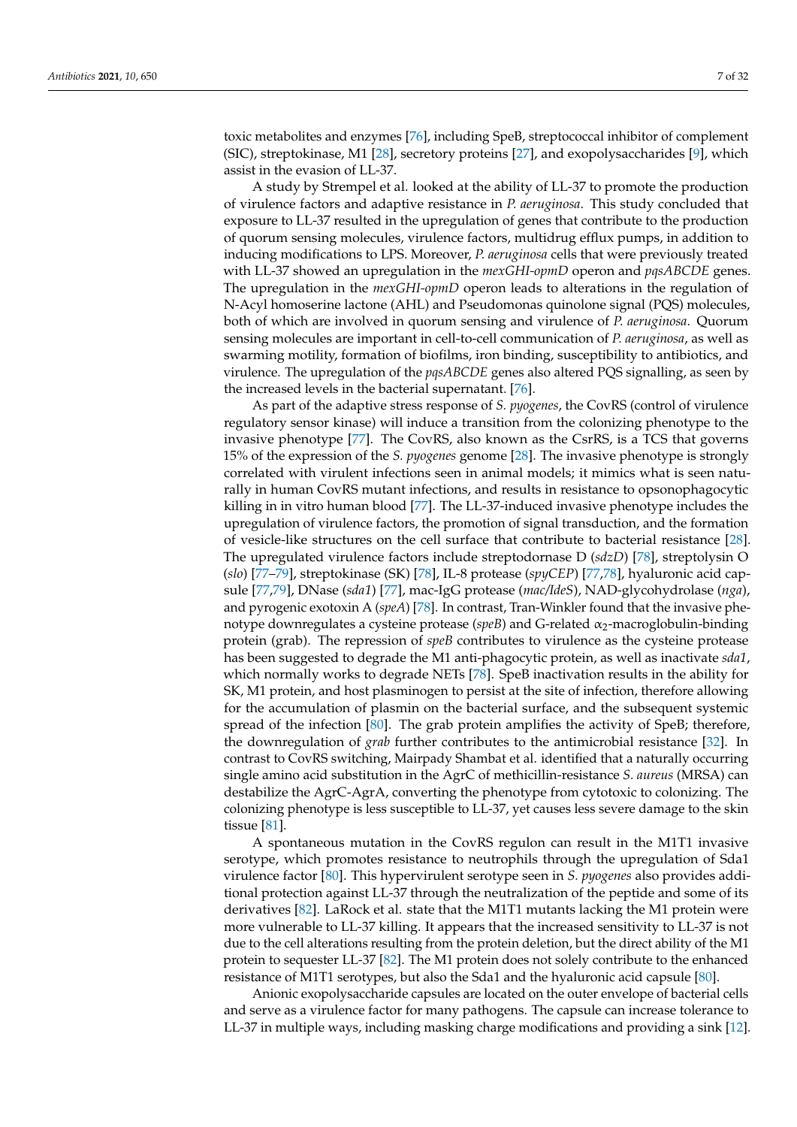toxic metabolites and enzymes [\[76\]](#page-25-8), including SpeB, streptococcal inhibitor of complement (SIC), streptokinase, M1 [\[28\]](#page-23-9), secretory proteins [\[27\]](#page-23-8), and exopolysaccharides [\[9\]](#page-22-8), which assist in the evasion of LL-37.

A study by Strempel et al. looked at the ability of LL-37 to promote the production of virulence factors and adaptive resistance in *P. aeruginosa*. This study concluded that exposure to LL-37 resulted in the upregulation of genes that contribute to the production of quorum sensing molecules, virulence factors, multidrug efflux pumps, in addition to inducing modifications to LPS. Moreover, *P. aeruginosa* cells that were previously treated with LL-37 showed an upregulation in the *mexGHI-opmD* operon and *pqsABCDE* genes. The upregulation in the *mexGHI-opmD* operon leads to alterations in the regulation of N-Acyl homoserine lactone (AHL) and Pseudomonas quinolone signal (PQS) molecules, both of which are involved in quorum sensing and virulence of *P. aeruginosa*. Quorum sensing molecules are important in cell-to-cell communication of *P. aeruginosa*, as well as swarming motility, formation of biofilms, iron binding, susceptibility to antibiotics, and virulence. The upregulation of the *pqsABCDE* genes also altered PQS signalling, as seen by the increased levels in the bacterial supernatant. [\[76\]](#page-25-8).

As part of the adaptive stress response of *S. pyogenes*, the CovRS (control of virulence regulatory sensor kinase) will induce a transition from the colonizing phenotype to the invasive phenotype [\[77\]](#page-25-9). The CovRS, also known as the CsrRS, is a TCS that governs 15% of the expression of the *S. pyogenes* genome [\[28\]](#page-23-9). The invasive phenotype is strongly correlated with virulent infections seen in animal models; it mimics what is seen naturally in human CovRS mutant infections, and results in resistance to opsonophagocytic killing in in vitro human blood [\[77\]](#page-25-9). The LL-37-induced invasive phenotype includes the upregulation of virulence factors, the promotion of signal transduction, and the formation of vesicle-like structures on the cell surface that contribute to bacterial resistance [\[28\]](#page-23-9). The upregulated virulence factors include streptodornase D (*sdzD*) [\[78\]](#page-25-10), streptolysin O (*slo*) [\[77–](#page-25-9)[79\]](#page-25-11), streptokinase (SK) [\[78\]](#page-25-10), IL-8 protease (*spyCEP*) [\[77](#page-25-9)[,78\]](#page-25-10), hyaluronic acid capsule [\[77](#page-25-9)[,79\]](#page-25-11), DNase (*sda1*) [\[77\]](#page-25-9), mac-IgG protease (*mac/IdeS*), NAD-glycohydrolase (*nga*), and pyrogenic exotoxin A (*speA*) [\[78\]](#page-25-10). In contrast, Tran-Winkler found that the invasive phenotype downregulates a cysteine protease (*speB*) and G-related α2-macroglobulin-binding protein (grab). The repression of *speB* contributes to virulence as the cysteine protease has been suggested to degrade the M1 anti-phagocytic protein, as well as inactivate *sda1*, which normally works to degrade NETs [\[78\]](#page-25-10). SpeB inactivation results in the ability for SK, M1 protein, and host plasminogen to persist at the site of infection, therefore allowing for the accumulation of plasmin on the bacterial surface, and the subsequent systemic spread of the infection [\[80\]](#page-25-12). The grab protein amplifies the activity of SpeB; therefore, the downregulation of *grab* further contributes to the antimicrobial resistance [\[32\]](#page-23-14). In contrast to CovRS switching, Mairpady Shambat et al. identified that a naturally occurring single amino acid substitution in the AgrC of methicillin-resistance *S. aureus* (MRSA) can destabilize the AgrC-AgrA, converting the phenotype from cytotoxic to colonizing. The colonizing phenotype is less susceptible to LL-37, yet causes less severe damage to the skin tissue [\[81\]](#page-25-13).

A spontaneous mutation in the CovRS regulon can result in the M1T1 invasive serotype, which promotes resistance to neutrophils through the upregulation of Sda1 virulence factor [\[80\]](#page-25-12). This hypervirulent serotype seen in *S. pyogenes* also provides additional protection against LL-37 through the neutralization of the peptide and some of its derivatives [\[82\]](#page-25-14). LaRock et al. state that the M1T1 mutants lacking the M1 protein were more vulnerable to LL-37 killing. It appears that the increased sensitivity to LL-37 is not due to the cell alterations resulting from the protein deletion, but the direct ability of the M1 protein to sequester LL-37 [\[82\]](#page-25-14). The M1 protein does not solely contribute to the enhanced resistance of M1T1 serotypes, but also the Sda1 and the hyaluronic acid capsule [\[80\]](#page-25-12).

Anionic exopolysaccharide capsules are located on the outer envelope of bacterial cells and serve as a virulence factor for many pathogens. The capsule can increase tolerance to LL-37 in multiple ways, including masking charge modifications and providing a sink [\[12\]](#page-22-11).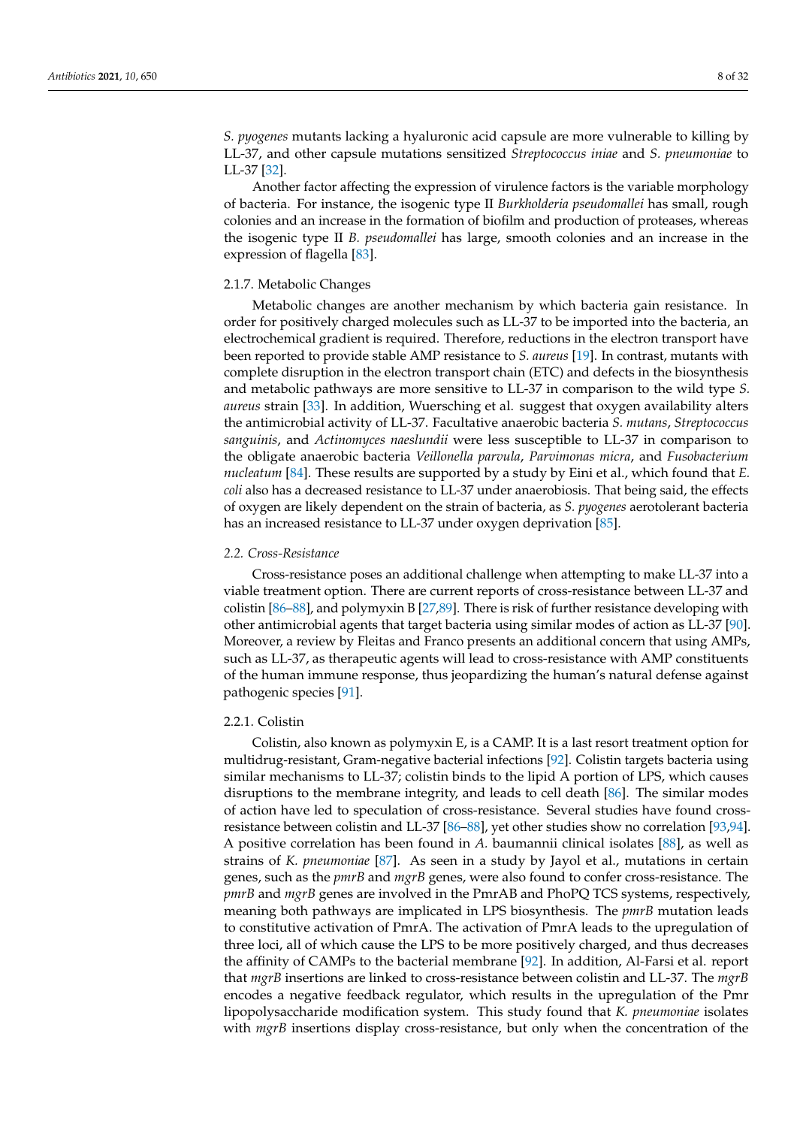*S. pyogenes* mutants lacking a hyaluronic acid capsule are more vulnerable to killing by LL-37, and other capsule mutations sensitized *Streptococcus iniae* and *S. pneumoniae* to LL-37 [\[32\]](#page-23-14).

Another factor affecting the expression of virulence factors is the variable morphology of bacteria. For instance, the isogenic type II *Burkholderia pseudomallei* has small, rough colonies and an increase in the formation of biofilm and production of proteases, whereas the isogenic type II *B. pseudomallei* has large, smooth colonies and an increase in the expression of flagella [\[83\]](#page-25-15).

# 2.1.7. Metabolic Changes

Metabolic changes are another mechanism by which bacteria gain resistance. In order for positively charged molecules such as LL-37 to be imported into the bacteria, an electrochemical gradient is required. Therefore, reductions in the electron transport have been reported to provide stable AMP resistance to *S. aureus* [\[19\]](#page-23-0). In contrast, mutants with complete disruption in the electron transport chain (ETC) and defects in the biosynthesis and metabolic pathways are more sensitive to LL-37 in comparison to the wild type *S. aureus* strain [\[33\]](#page-23-13). In addition, Wuersching et al. suggest that oxygen availability alters the antimicrobial activity of LL-37. Facultative anaerobic bacteria *S. mutans*, *Streptococcus sanguinis*, and *Actinomyces naeslundii* were less susceptible to LL-37 in comparison to the obligate anaerobic bacteria *Veillonella parvula*, *Parvimonas micra*, and *Fusobacterium nucleatum* [\[84\]](#page-25-16). These results are supported by a study by Eini et al., which found that *E. coli* also has a decreased resistance to LL-37 under anaerobiosis. That being said, the effects of oxygen are likely dependent on the strain of bacteria, as *S. pyogenes* aerotolerant bacteria has an increased resistance to LL-37 under oxygen deprivation [\[85\]](#page-25-17).

### *2.2. Cross-Resistance*

Cross-resistance poses an additional challenge when attempting to make LL-37 into a viable treatment option. There are current reports of cross-resistance between LL-37 and colistin [\[86–](#page-25-18)[88\]](#page-25-19), and polymyxin B [\[27,](#page-23-8)[89\]](#page-25-20). There is risk of further resistance developing with other antimicrobial agents that target bacteria using similar modes of action as LL-37 [\[90\]](#page-25-21). Moreover, a review by Fleitas and Franco presents an additional concern that using AMPs, such as LL-37, as therapeutic agents will lead to cross-resistance with AMP constituents of the human immune response, thus jeopardizing the human's natural defense against pathogenic species [\[91\]](#page-25-22).

### 2.2.1. Colistin

Colistin, also known as polymyxin E, is a CAMP. It is a last resort treatment option for multidrug-resistant, Gram-negative bacterial infections [\[92\]](#page-26-0). Colistin targets bacteria using similar mechanisms to LL-37; colistin binds to the lipid A portion of LPS, which causes disruptions to the membrane integrity, and leads to cell death [\[86\]](#page-25-18). The similar modes of action have led to speculation of cross-resistance. Several studies have found crossresistance between colistin and LL-37 [\[86](#page-25-18)[–88\]](#page-25-19), yet other studies show no correlation [\[93](#page-26-1)[,94\]](#page-26-2). A positive correlation has been found in *A.* baumannii clinical isolates [\[88\]](#page-25-19), as well as strains of *K. pneumoniae* [\[87\]](#page-25-23). As seen in a study by Jayol et al., mutations in certain genes, such as the *pmrB* and *mgrB* genes, were also found to confer cross-resistance. The *pmrB* and *mgrB* genes are involved in the PmrAB and PhoPQ TCS systems, respectively, meaning both pathways are implicated in LPS biosynthesis. The *pmrB* mutation leads to constitutive activation of PmrA. The activation of PmrA leads to the upregulation of three loci, all of which cause the LPS to be more positively charged, and thus decreases the affinity of CAMPs to the bacterial membrane [\[92\]](#page-26-0). In addition, Al-Farsi et al. report that *mgrB* insertions are linked to cross-resistance between colistin and LL-37. The *mgrB* encodes a negative feedback regulator, which results in the upregulation of the Pmr lipopolysaccharide modification system. This study found that *K. pneumoniae* isolates with *mgrB* insertions display cross-resistance, but only when the concentration of the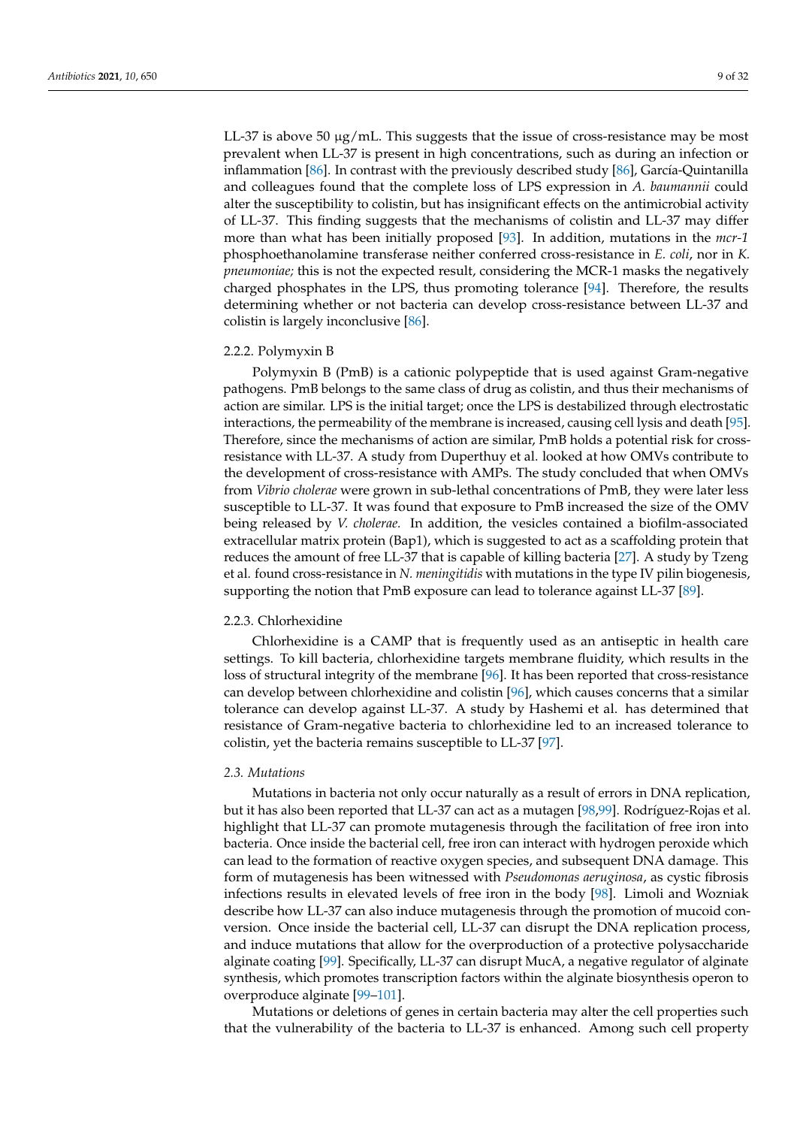LL-37 is above 50  $\mu$ g/mL. This suggests that the issue of cross-resistance may be most prevalent when LL-37 is present in high concentrations, such as during an infection or inflammation [\[86\]](#page-25-18). In contrast with the previously described study [\[86\]](#page-25-18), García-Quintanilla and colleagues found that the complete loss of LPS expression in *A. baumannii* could alter the susceptibility to colistin, but has insignificant effects on the antimicrobial activity of LL-37. This finding suggests that the mechanisms of colistin and LL-37 may differ more than what has been initially proposed [\[93\]](#page-26-1). In addition, mutations in the *mcr-1* phosphoethanolamine transferase neither conferred cross-resistance in *E. coli*, nor in *K. pneumoniae;* this is not the expected result, considering the MCR-1 masks the negatively charged phosphates in the LPS, thus promoting tolerance [\[94\]](#page-26-2). Therefore, the results determining whether or not bacteria can develop cross-resistance between LL-37 and colistin is largely inconclusive [\[86\]](#page-25-18).

# 2.2.2. Polymyxin B

Polymyxin B (PmB) is a cationic polypeptide that is used against Gram-negative pathogens. PmB belongs to the same class of drug as colistin, and thus their mechanisms of action are similar. LPS is the initial target; once the LPS is destabilized through electrostatic interactions, the permeability of the membrane is increased, causing cell lysis and death [\[95\]](#page-26-3). Therefore, since the mechanisms of action are similar, PmB holds a potential risk for crossresistance with LL-37. A study from Duperthuy et al. looked at how OMVs contribute to the development of cross-resistance with AMPs. The study concluded that when OMVs from *Vibrio cholerae* were grown in sub-lethal concentrations of PmB, they were later less susceptible to LL-37. It was found that exposure to PmB increased the size of the OMV being released by *V. cholerae.* In addition, the vesicles contained a biofilm-associated extracellular matrix protein (Bap1), which is suggested to act as a scaffolding protein that reduces the amount of free LL-37 that is capable of killing bacteria [\[27\]](#page-23-8). A study by Tzeng et al. found cross-resistance in *N. meningitidis* with mutations in the type IV pilin biogenesis, supporting the notion that PmB exposure can lead to tolerance against LL-37 [\[89\]](#page-25-20).

# 2.2.3. Chlorhexidine

Chlorhexidine is a CAMP that is frequently used as an antiseptic in health care settings. To kill bacteria, chlorhexidine targets membrane fluidity, which results in the loss of structural integrity of the membrane [\[96\]](#page-26-4). It has been reported that cross-resistance can develop between chlorhexidine and colistin [\[96\]](#page-26-4), which causes concerns that a similar tolerance can develop against LL-37. A study by Hashemi et al. has determined that resistance of Gram-negative bacteria to chlorhexidine led to an increased tolerance to colistin, yet the bacteria remains susceptible to LL-37 [\[97\]](#page-26-5).

#### *2.3. Mutations*

Mutations in bacteria not only occur naturally as a result of errors in DNA replication, but it has also been reported that LL-37 can act as a mutagen [\[98](#page-26-6)[,99\]](#page-26-7). Rodríguez-Rojas et al. highlight that LL-37 can promote mutagenesis through the facilitation of free iron into bacteria. Once inside the bacterial cell, free iron can interact with hydrogen peroxide which can lead to the formation of reactive oxygen species, and subsequent DNA damage. This form of mutagenesis has been witnessed with *Pseudomonas aeruginosa*, as cystic fibrosis infections results in elevated levels of free iron in the body [\[98\]](#page-26-6). Limoli and Wozniak describe how LL-37 can also induce mutagenesis through the promotion of mucoid conversion. Once inside the bacterial cell, LL-37 can disrupt the DNA replication process, and induce mutations that allow for the overproduction of a protective polysaccharide alginate coating [\[99\]](#page-26-7). Specifically, LL-37 can disrupt MucA, a negative regulator of alginate synthesis, which promotes transcription factors within the alginate biosynthesis operon to overproduce alginate [\[99–](#page-26-7)[101\]](#page-26-8).

Mutations or deletions of genes in certain bacteria may alter the cell properties such that the vulnerability of the bacteria to LL-37 is enhanced. Among such cell property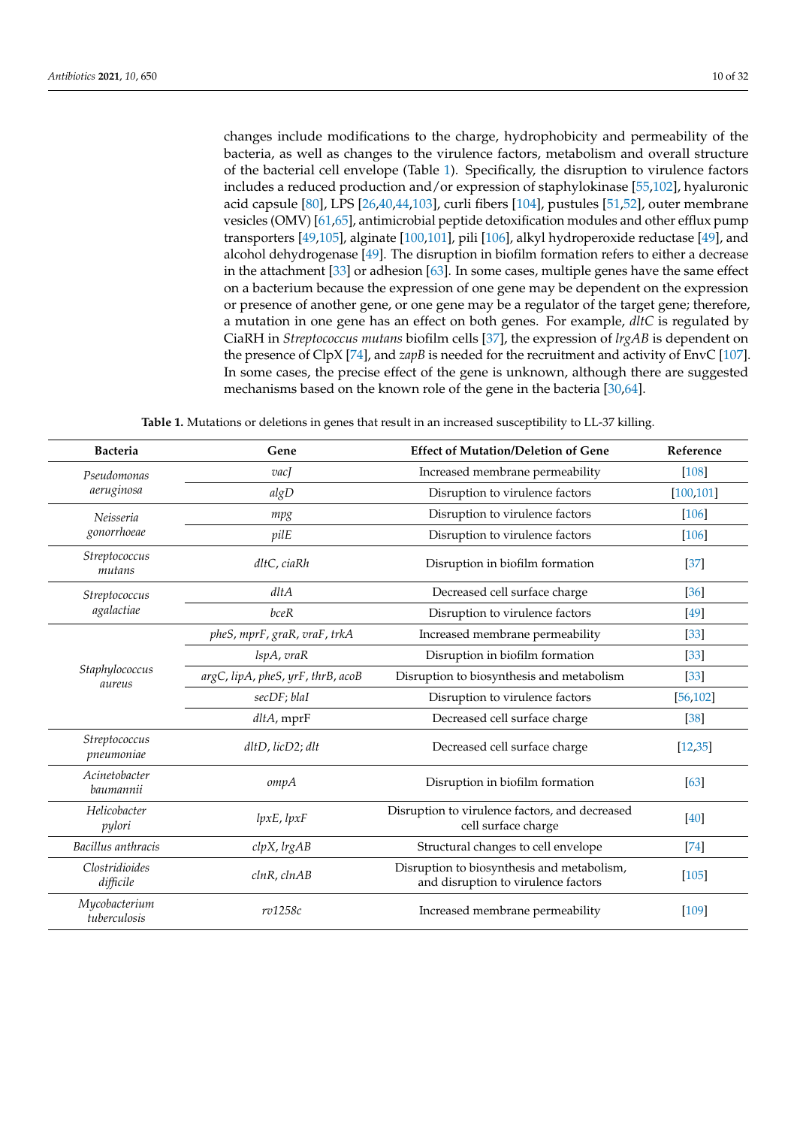changes include modifications to the charge, hydrophobicity and permeability of the bacteria, as well as changes to the virulence factors, metabolism and overall structure of the bacterial cell envelope (Table [1\)](#page-9-0). Specifically, the disruption to virulence factors includes a reduced production and/or expression of staphylokinase [\[55](#page-24-11)[,102\]](#page-26-9), hyaluronic acid capsule [\[80\]](#page-25-12), LPS [\[26,](#page-23-7)[40,](#page-23-21)[44,](#page-24-0)[103\]](#page-26-10), curli fibers [\[104\]](#page-26-11), pustules [\[51](#page-24-7)[,52\]](#page-24-9), outer membrane vesicles (OMV) [\[61](#page-24-17)[,65\]](#page-24-21), antimicrobial peptide detoxification modules and other efflux pump transporters [\[49](#page-24-6)[,105\]](#page-26-12), alginate [\[100](#page-26-13)[,101\]](#page-26-8), pili [\[106\]](#page-26-14), alkyl hydroperoxide reductase [\[49\]](#page-24-6), and alcohol dehydrogenase [\[49\]](#page-24-6). The disruption in biofilm formation refers to either a decrease in the attachment [\[33\]](#page-23-13) or adhesion [\[63\]](#page-24-19). In some cases, multiple genes have the same effect on a bacterium because the expression of one gene may be dependent on the expression or presence of another gene, or one gene may be a regulator of the target gene; therefore, a mutation in one gene has an effect on both genes. For example, *dltC* is regulated by CiaRH in *Streptococcus mutans* biofilm cells [\[37\]](#page-23-18), the expression of *lrgAB* is dependent on the presence of ClpX [\[74\]](#page-25-6), and *zapB* is needed for the recruitment and activity of EnvC [\[107\]](#page-26-15). In some cases, the precise effect of the gene is unknown, although there are suggested mechanisms based on the known role of the gene in the bacteria [\[30,](#page-23-11)[64\]](#page-24-20).

**Table 1.** Mutations or deletions in genes that result in an increased susceptibility to LL-37 killing.

<span id="page-9-0"></span>

| <b>Bacteria</b>                          | Gene                              | <b>Effect of Mutation/Deletion of Gene</b>                                        | Reference  |
|------------------------------------------|-----------------------------------|-----------------------------------------------------------------------------------|------------|
| Pseudomonas                              | $\overline{vac}$                  | Increased membrane permeability                                                   | $[108]$    |
| aeruginosa                               | algD                              | Disruption to virulence factors                                                   | [100, 101] |
| Neisseria                                | mpg                               | Disruption to virulence factors                                                   | $[106]$    |
| gonorrhoeae                              | pilE                              | Disruption to virulence factors                                                   | $[106]$    |
| Streptococcus<br>mutans                  | dltC, ciaRh                       | Disruption in biofilm formation                                                   | $[37]$     |
| Streptococcus                            | $d$ lt $A$                        | Decreased cell surface charge                                                     | [36]       |
| agalactiae                               | bceR                              | Disruption to virulence factors                                                   | [49]       |
|                                          | pheS, mprF, graR, vraF, trkA      | Increased membrane permeability                                                   | $[33]$     |
|                                          | lspA, vraR                        | Disruption in biofilm formation                                                   | $[33]$     |
| Staphylococcus<br>aureus                 | argC, lipA, pheS, yrF, thrB, acoB | Disruption to biosynthesis and metabolism                                         | $[33]$     |
|                                          | secDF; blaI                       | Disruption to virulence factors                                                   | [56, 102]  |
|                                          | $d$ ltA, mpr $F$                  | Decreased cell surface charge                                                     | [38]       |
| Streptococcus<br>pneumoniae              | dltD, licD2; dlt                  | Decreased cell surface charge                                                     | [12, 35]   |
| Acinetobacter<br>baumannii               | ompA                              | Disruption in biofilm formation                                                   | [63]       |
| Helicobacter<br>pylori                   | lpxE, lpxF                        | Disruption to virulence factors, and decreased<br>cell surface charge             | [40]       |
| Bacillus anthracis                       | clpX, lrgAB                       | Structural changes to cell envelope                                               | [74]       |
| Clostridioides<br>difficile              | clnR, clnAB                       | Disruption to biosynthesis and metabolism,<br>and disruption to virulence factors | $[105]$    |
| Mycobacterium<br>rv1258c<br>tuberculosis |                                   | Increased membrane permeability                                                   | $[109]$    |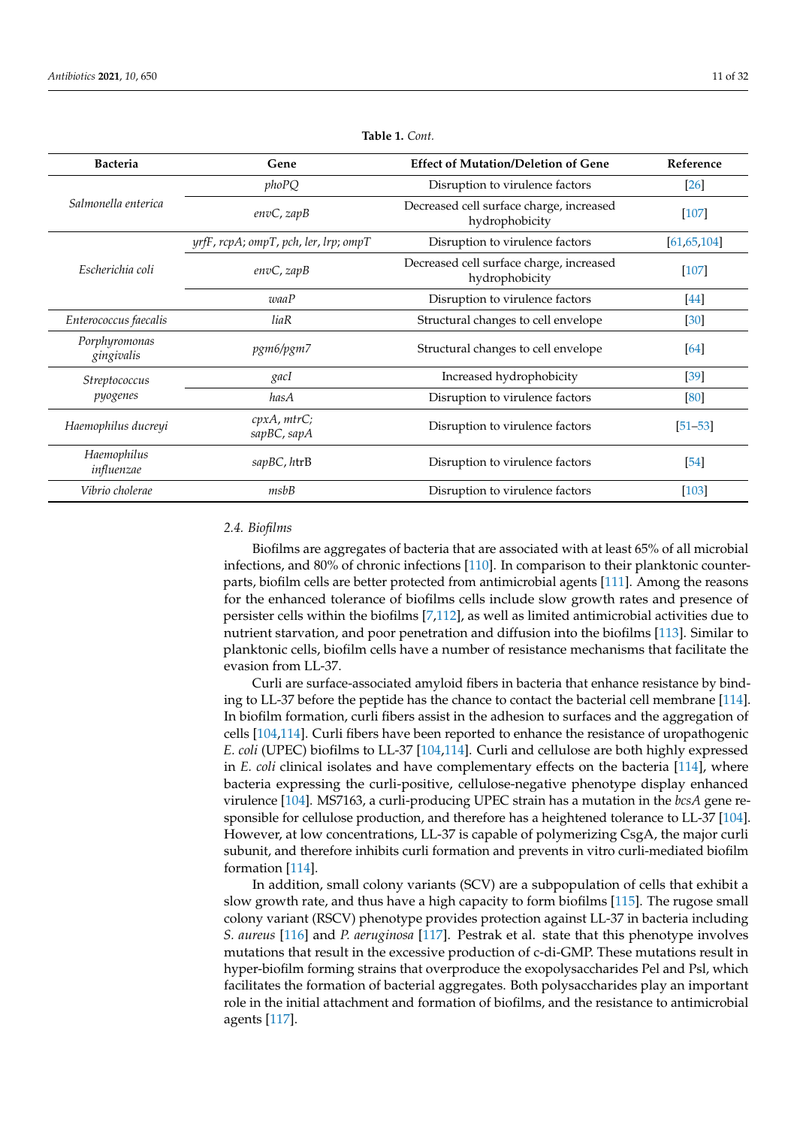| <b>Bacteria</b>                                 | Gene                                                      | <b>Effect of Mutation/Deletion of Gene</b>                 | Reference     |
|-------------------------------------------------|-----------------------------------------------------------|------------------------------------------------------------|---------------|
|                                                 | phoPQ                                                     | Disruption to virulence factors                            | [26]          |
| Salmonella enterica                             | $envC$ , zap $B$                                          | Decreased cell surface charge, increased<br>hydrophobicity | $[107]$       |
|                                                 | $yrfF$ , $rcpA$ ; $ompT$ , $pch$ , $ler$ , $lrp$ ; $ompT$ | Disruption to virulence factors                            | [61, 65, 104] |
| Escherichia coli                                | $envC$ , zap $B$                                          | Decreased cell surface charge, increased<br>hydrophobicity | [107]         |
|                                                 | waaP                                                      | Disruption to virulence factors                            | $[44]$        |
| Enterococcus faecalis                           | Structural changes to cell envelope<br>liaR               |                                                            | [30]          |
| Porphyromonas<br>pgm6/pgm7<br>gingivalis        |                                                           | Structural changes to cell envelope                        | [64]          |
| Streptococcus                                   | gacI                                                      | Increased hydrophobicity                                   | $[39]$        |
| pyogenes                                        | hasA                                                      | Disruption to virulence factors                            | [80]          |
| Haemophilus ducreyi                             | cpxA, mtrC;<br>sapBC, sapA                                | Disruption to virulence factors                            | $[51 - 53]$   |
| Haemophilus<br>$\sup BC$ , $htrB$<br>influenzae |                                                           | Disruption to virulence factors                            | [54]          |
| Vibrio cholerae                                 | msbB                                                      | Disruption to virulence factors                            | [103]         |

**Table 1.** *Cont.*

# *2.4. Biofilms*

Biofilms are aggregates of bacteria that are associated with at least 65% of all microbial infections, and 80% of chronic infections [\[110\]](#page-26-18). In comparison to their planktonic counterparts, biofilm cells are better protected from antimicrobial agents [\[111\]](#page-26-19). Among the reasons for the enhanced tolerance of biofilms cells include slow growth rates and presence of persister cells within the biofilms [\[7,](#page-22-6)[112\]](#page-26-20), as well as limited antimicrobial activities due to nutrient starvation, and poor penetration and diffusion into the biofilms [\[113\]](#page-26-21). Similar to planktonic cells, biofilm cells have a number of resistance mechanisms that facilitate the evasion from LL-37.

Curli are surface-associated amyloid fibers in bacteria that enhance resistance by binding to LL-37 before the peptide has the chance to contact the bacterial cell membrane [\[114\]](#page-26-22). In biofilm formation, curli fibers assist in the adhesion to surfaces and the aggregation of cells [\[104,](#page-26-11)[114\]](#page-26-22). Curli fibers have been reported to enhance the resistance of uropathogenic *E. coli* (UPEC) biofilms to LL-37 [\[104](#page-26-11)[,114\]](#page-26-22). Curli and cellulose are both highly expressed in *E. coli* clinical isolates and have complementary effects on the bacteria [\[114\]](#page-26-22), where bacteria expressing the curli-positive, cellulose-negative phenotype display enhanced virulence [\[104\]](#page-26-11). MS7163, a curli-producing UPEC strain has a mutation in the *bcsA* gene responsible for cellulose production, and therefore has a heightened tolerance to LL-37 [\[104\]](#page-26-11). However, at low concentrations, LL-37 is capable of polymerizing CsgA, the major curli subunit, and therefore inhibits curli formation and prevents in vitro curli-mediated biofilm formation [\[114\]](#page-26-22).

In addition, small colony variants (SCV) are a subpopulation of cells that exhibit a slow growth rate, and thus have a high capacity to form biofilms [\[115\]](#page-26-23). The rugose small colony variant (RSCV) phenotype provides protection against LL-37 in bacteria including *S. aureus* [\[116\]](#page-27-0) and *P. aeruginosa* [\[117\]](#page-27-1). Pestrak et al. state that this phenotype involves mutations that result in the excessive production of c-di-GMP. These mutations result in hyper-biofilm forming strains that overproduce the exopolysaccharides Pel and Psl, which facilitates the formation of bacterial aggregates. Both polysaccharides play an important role in the initial attachment and formation of biofilms, and the resistance to antimicrobial agents [\[117\]](#page-27-1).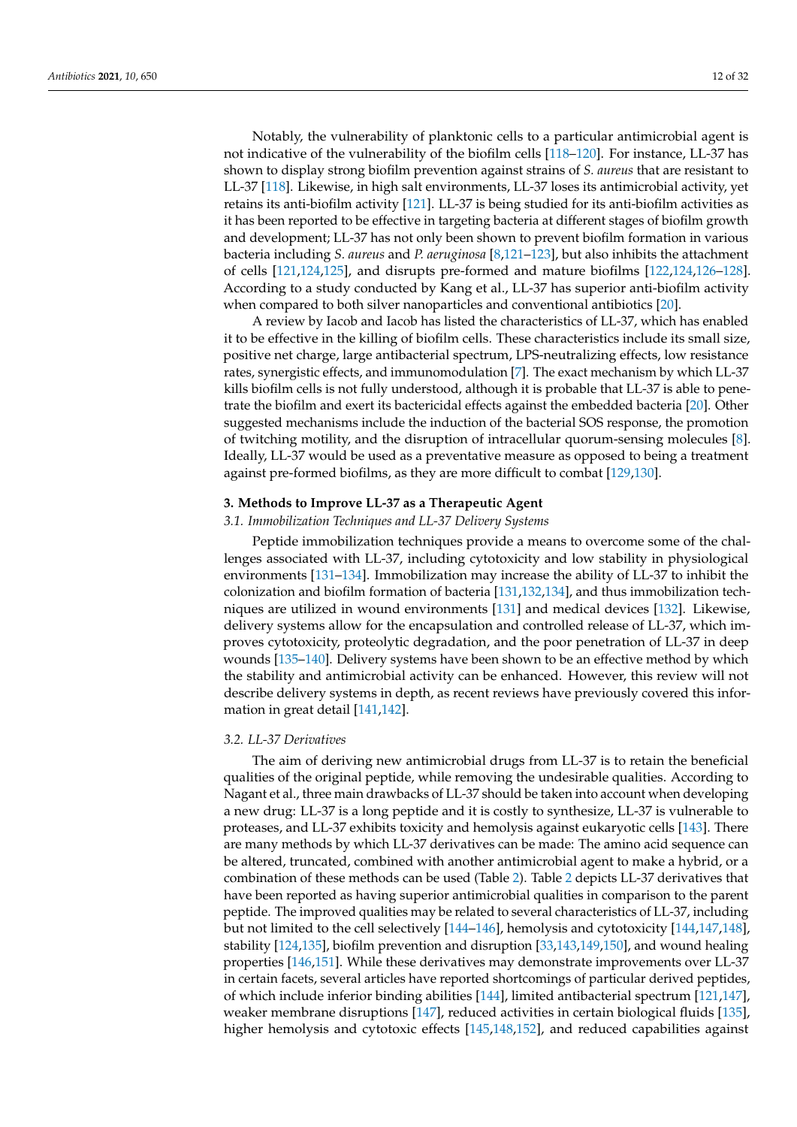Notably, the vulnerability of planktonic cells to a particular antimicrobial agent is not indicative of the vulnerability of the biofilm cells [\[118](#page-27-2)[–120\]](#page-27-3). For instance, LL-37 has shown to display strong biofilm prevention against strains of *S. aureus* that are resistant to LL-37 [\[118\]](#page-27-2). Likewise, in high salt environments, LL-37 loses its antimicrobial activity, yet retains its anti-biofilm activity [\[121\]](#page-27-4). LL-37 is being studied for its anti-biofilm activities as it has been reported to be effective in targeting bacteria at different stages of biofilm growth and development; LL-37 has not only been shown to prevent biofilm formation in various bacteria including *S. aureus* and *P. aeruginosa* [\[8,](#page-22-7)[121–](#page-27-4)[123\]](#page-27-5), but also inhibits the attachment of cells [\[121](#page-27-4)[,124](#page-27-6)[,125\]](#page-27-7), and disrupts pre-formed and mature biofilms [\[122,](#page-27-8)[124,](#page-27-6)[126](#page-27-9)[–128\]](#page-27-10). According to a study conducted by Kang et al., LL-37 has superior anti-biofilm activity when compared to both silver nanoparticles and conventional antibiotics [\[20\]](#page-23-5).

A review by Iacob and Iacob has listed the characteristics of LL-37, which has enabled it to be effective in the killing of biofilm cells. These characteristics include its small size, positive net charge, large antibacterial spectrum, LPS-neutralizing effects, low resistance rates, synergistic effects, and immunomodulation [\[7\]](#page-22-6). The exact mechanism by which LL-37 kills biofilm cells is not fully understood, although it is probable that LL-37 is able to penetrate the biofilm and exert its bactericidal effects against the embedded bacteria [\[20\]](#page-23-5). Other suggested mechanisms include the induction of the bacterial SOS response, the promotion of twitching motility, and the disruption of intracellular quorum-sensing molecules [\[8\]](#page-22-7). Ideally, LL-37 would be used as a preventative measure as opposed to being a treatment against pre-formed biofilms, as they are more difficult to combat [\[129,](#page-27-11)[130\]](#page-27-12).

# **3. Methods to Improve LL-37 as a Therapeutic Agent**

# *3.1. Immobilization Techniques and LL-37 Delivery Systems*

Peptide immobilization techniques provide a means to overcome some of the challenges associated with LL-37, including cytotoxicity and low stability in physiological environments [\[131](#page-27-13)[–134\]](#page-27-14). Immobilization may increase the ability of LL-37 to inhibit the colonization and biofilm formation of bacteria [\[131](#page-27-13)[,132,](#page-27-15)[134\]](#page-27-14), and thus immobilization techniques are utilized in wound environments [\[131\]](#page-27-13) and medical devices [\[132\]](#page-27-15). Likewise, delivery systems allow for the encapsulation and controlled release of LL-37, which improves cytotoxicity, proteolytic degradation, and the poor penetration of LL-37 in deep wounds [\[135–](#page-27-16)[140\]](#page-27-17). Delivery systems have been shown to be an effective method by which the stability and antimicrobial activity can be enhanced. However, this review will not describe delivery systems in depth, as recent reviews have previously covered this information in great detail [\[141,](#page-28-0)[142\]](#page-28-1).

# *3.2. LL-37 Derivatives*

The aim of deriving new antimicrobial drugs from LL-37 is to retain the beneficial qualities of the original peptide, while removing the undesirable qualities. According to Nagant et al., three main drawbacks of LL-37 should be taken into account when developing a new drug: LL-37 is a long peptide and it is costly to synthesize, LL-37 is vulnerable to proteases, and LL-37 exhibits toxicity and hemolysis against eukaryotic cells [\[143\]](#page-28-2). There are many methods by which LL-37 derivatives can be made: The amino acid sequence can be altered, truncated, combined with another antimicrobial agent to make a hybrid, or a combination of these methods can be used (Table [2\)](#page-12-0). Table [2](#page-12-0) depicts LL-37 derivatives that have been reported as having superior antimicrobial qualities in comparison to the parent peptide. The improved qualities may be related to several characteristics of LL-37, including but not limited to the cell selectively [\[144](#page-28-3)[–146\]](#page-28-4), hemolysis and cytotoxicity [\[144,](#page-28-3)[147,](#page-28-5)[148\]](#page-28-6), stability [\[124,](#page-27-6)[135\]](#page-27-16), biofilm prevention and disruption [\[33](#page-23-13)[,143](#page-28-2)[,149](#page-28-7)[,150\]](#page-28-8), and wound healing properties [\[146](#page-28-4)[,151\]](#page-28-9). While these derivatives may demonstrate improvements over LL-37 in certain facets, several articles have reported shortcomings of particular derived peptides, of which include inferior binding abilities [\[144\]](#page-28-3), limited antibacterial spectrum [\[121,](#page-27-4)[147\]](#page-28-5), weaker membrane disruptions [\[147\]](#page-28-5), reduced activities in certain biological fluids [\[135\]](#page-27-16), higher hemolysis and cytotoxic effects [\[145](#page-28-10)[,148](#page-28-6)[,152\]](#page-28-11), and reduced capabilities against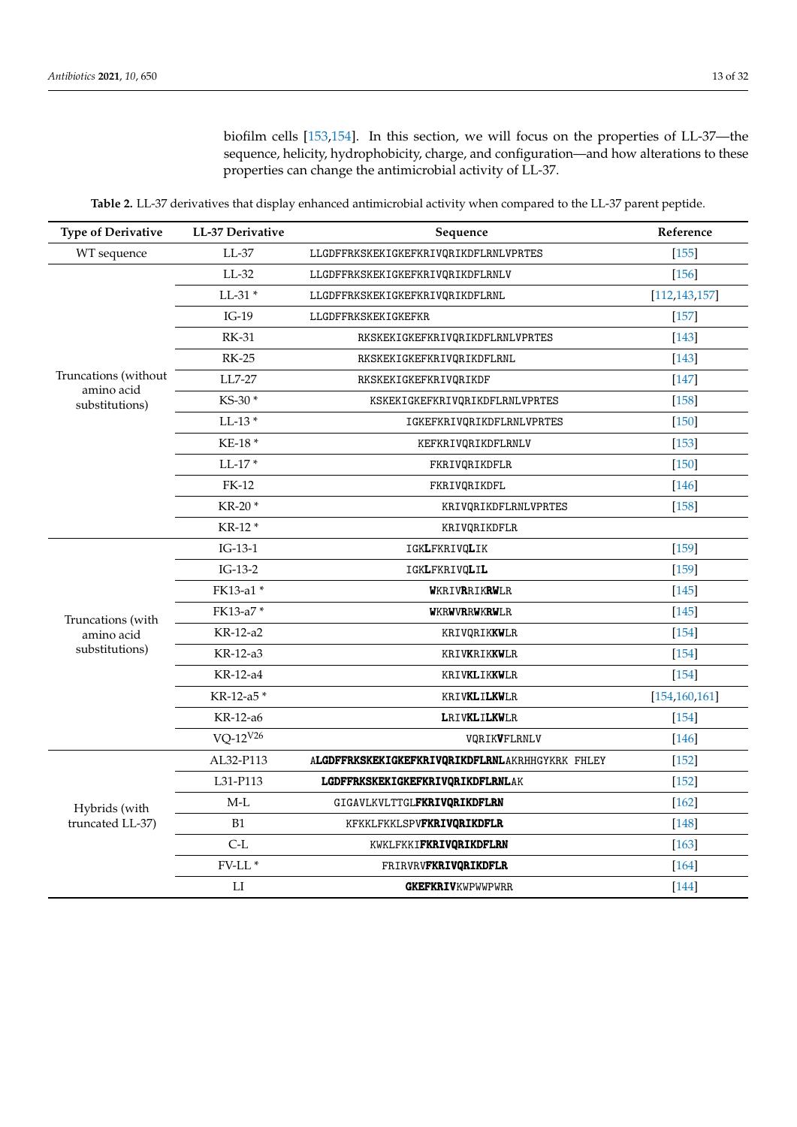biofilm cells [\[153,](#page-28-12)[154\]](#page-28-13). In this section, we will focus on the properties of LL-37—the sequence, helicity, hydrophobicity, charge, and configuration—and how alterations to these properties can change the antimicrobial activity of LL-37.

**Table 2.** LL-37 derivatives that display enhanced antimicrobial activity when compared to the LL-37 parent peptide.

<span id="page-12-0"></span>

| <b>Type of Derivative</b>          | LL-37 Derivative  | Sequence                                        | Reference       |
|------------------------------------|-------------------|-------------------------------------------------|-----------------|
| WT sequence                        | $LL-37$           | LLGDFFRKSKEKIGKEFKRIVQRIKDFLRNLVPRTES           | $[155]$         |
|                                    | $LL-32$           | LLGDFFRKSKEKIGKEFKRIVQRIKDFLRNLV                | $[156]$         |
|                                    | $LL-31*$          | LLGDFFRKSKEKIGKEFKRIVQRIKDFLRNL                 | [112, 143, 157] |
|                                    | $IG-19$           | LLGDFFRKSKEKIGKEFKR                             | $[157]$         |
|                                    | <b>RK-31</b>      | RKSKEKIGKEFKRIVQRIKDFLRNLVPRTES                 | $[143]$         |
|                                    | $RK-25$           | RKSKEKIGKEFKRIVQRIKDFLRNL                       | $[143]$         |
| Truncations (without<br>amino acid | LL7-27            | RKSKEKIGKEFKRIVQRIKDF                           | $[147]$         |
| substitutions)                     | KS-30*            | KSKEKIGKEFKRIVQRIKDFLRNLVPRTES                  | $[158]$         |
|                                    | $LL-13*$          | IGKEFKRIVQRIKDFLRNLVPRTES                       | $[150]$         |
|                                    | KE-18*            | KEFKRIVQRIKDFLRNLV                              | $[153]$         |
|                                    | $LL-17*$          | FKRIVQRIKDFLR                                   | $[150]$         |
|                                    | <b>FK-12</b>      | FKRIVQRIKDFL                                    | $[146]$         |
|                                    | KR-20 *           | KRIVQRIKDFLRNLVPRTES                            | $[158]$         |
|                                    | KR-12 *           | KRIVQRIKDFLR                                    |                 |
|                                    | $IG-13-1$         | IGKLFKRIVQLIK                                   | $[159]$         |
|                                    | $IG-13-2$         | IGKLFKRIVQLIL                                   | $[159]$         |
|                                    | FK13-a1 *         | WKRIVRRIKRWLR                                   | $[145]$         |
| Truncations (with                  | FK13-a7*          | <b>WKRWVRRWKRWLR</b>                            | $[145]$         |
| amino acid                         | KR-12-a2          | KRIVQRIK <b>KW</b> LR                           | $[154]$         |
| substitutions)                     | KR-12-a3          | KRIVKRIKKWLR                                    | $[154]$         |
|                                    | KR-12-a4          | KRIVKLIKKWLR                                    | $[154]$         |
|                                    | KR-12-a5*         | KRIVKLILKWLR                                    | [154, 160, 161] |
|                                    | KR-12-a6          | LRIVKLILKWLR                                    | $[154]$         |
|                                    | $VO-12^{V26}$     | VQRIKVFLRNLV                                    | $[146]$         |
|                                    | AL32-P113         | ALGDFFRKSKEKIGKEFKRIVQRIKDFLRNLAKRHHGYKRK FHLEY | $[152]$         |
|                                    | L31-P113          | LGDFFRKSKEKIGKEFKRIVQRIKDFLRNLAK                | $[152]$         |
| Hybrids (with<br>truncated LL-37)  | $M-L$             | GIGAVLKVLTTGLFKRIVQRIKDFLRN                     | $[162]$         |
|                                    | <b>B1</b>         | KFKKLFKKLSPVFKRIVQRIKDFLR                       | $[148]$         |
|                                    | $C-L$             | KWKLFKKIFKRIVQRIKDFLRN                          | $[163]$         |
|                                    | $\text{FV-LL}\,*$ | <b>FRIRVRVFKRIVQRIKDFLR</b>                     | $[164]$         |
|                                    | ${\rm LI}$        | <b>GKEFKRIVKWPWWPWRR</b>                        | $[144]$         |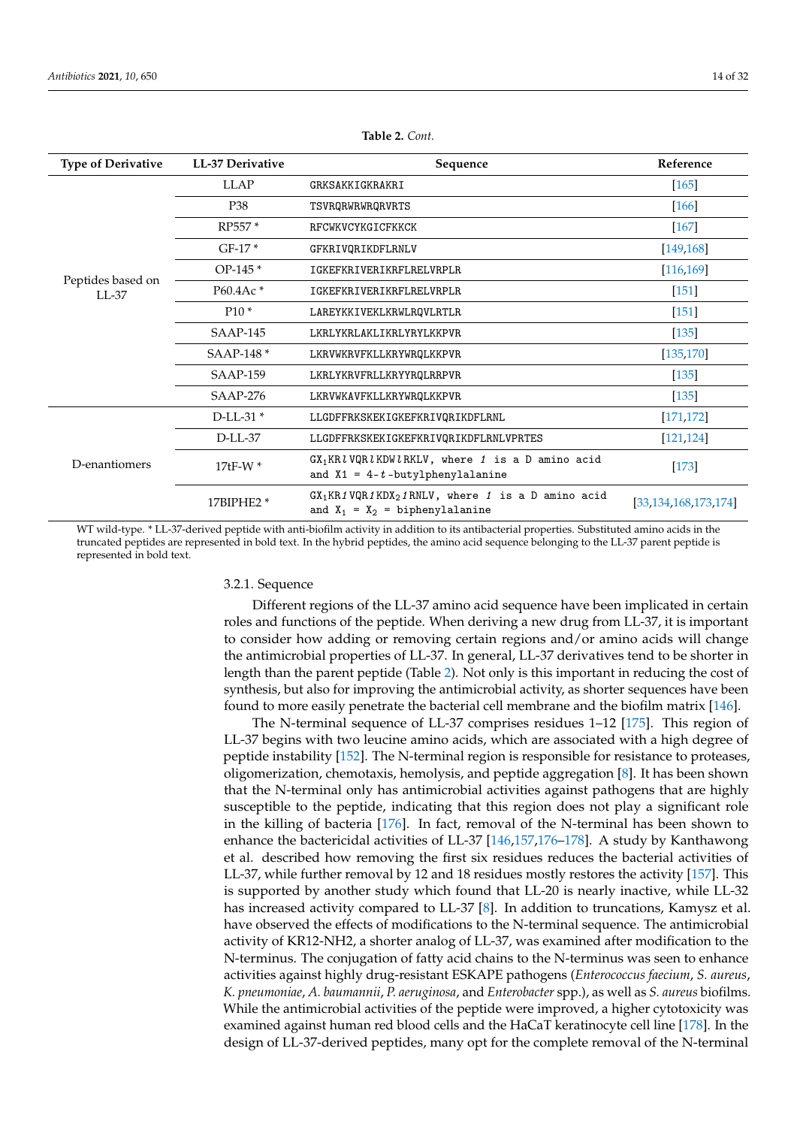| <b>Type of Derivative</b>    | LL-37 Derivative | Sequence                                                                                   | Reference                |
|------------------------------|------------------|--------------------------------------------------------------------------------------------|--------------------------|
|                              | <b>LLAP</b>      | GRKSAKKIGKRAKRI                                                                            | $[165]$                  |
|                              | P38              | TSVRQRWRWRQRVRTS                                                                           | $[166]$                  |
|                              | RP557*           | RFCWKVCYKGICFKKCK                                                                          | $[167]$                  |
|                              | $GF-17*$         | GFKRIVQRIKDFLRNLV                                                                          | [149, 168]               |
|                              | $OP-145*$        | IGKEFKRIVERIKRFLRELVRPLR                                                                   | [116, 169]               |
| Peptides based on<br>$LL-37$ | P60.4Ac*         | IGKEFKRIVERIKRFLRELVRPLR                                                                   | $[151]$                  |
|                              | $P10*$           | LAREYKKIVEKLKRWLROVLRTLR                                                                   | $[151]$                  |
|                              | $SAMP-145$       | LKRLYKRLAKLIKRLYRYLKKPVR                                                                   | $[135]$                  |
|                              | SAAP-148 *       | LKRVWKRVFKLLKRYWRQLKKPVR                                                                   | [135, 170]               |
|                              | <b>SAAP-159</b>  | LKRLYKRVFRLLKRYYRQLRRPVR                                                                   | $[135]$                  |
|                              | <b>SAAP-276</b>  | LKRVWKAVFKLLKRYWRQLKKPVR                                                                   | [135]                    |
|                              | $D$ -LL-31 $*$   | LLGDFFRKSKEKIGKEFKRIVQRIKDFLRNL                                                            | [171, 172]               |
|                              | D-LL-37          | LLGDFFRKSKEKIGKEFKRIVQRIKDFLRNLVPRTES                                                      | [121, 124]               |
| D-enantiomers                | $17tF-W*$        | $GX_1KRl VQRl KDWl RKLV$ , where 1 is a D amino acid<br>and $X1 = 4-t$ -butylphenylalanine | $[173]$                  |
|                              | 17BIPHE2 *       | $GX_1KR1VQR1KDX_21RNLV$ , where 1 is a D amino acid<br>and $X_1 = X_2 =$ biphenylalanine   | [33, 134, 168, 173, 174] |

**Table 2.** *Cont.*

WT wild-type. \* LL-37-derived peptide with anti-biofilm activity in addition to its antibacterial properties. Substituted amino acids in the truncated peptides are represented in bold text. In the hybrid peptides, the amino acid sequence belonging to the LL-37 parent peptide is represented in bold text.

### 3.2.1. Sequence

Different regions of the LL-37 amino acid sequence have been implicated in certain roles and functions of the peptide. When deriving a new drug from LL-37, it is important to consider how adding or removing certain regions and/or amino acids will change the antimicrobial properties of LL-37. In general, LL-37 derivatives tend to be shorter in length than the parent peptide (Table [2\)](#page-12-0). Not only is this important in reducing the cost of synthesis, but also for improving the antimicrobial activity, as shorter sequences have been found to more easily penetrate the bacterial cell membrane and the biofilm matrix [\[146\]](#page-28-4).

The N-terminal sequence of LL-37 comprises residues 1–12 [\[175\]](#page-29-9). This region of LL-37 begins with two leucine amino acids, which are associated with a high degree of peptide instability [\[152\]](#page-28-11). The N-terminal region is responsible for resistance to proteases, oligomerization, chemotaxis, hemolysis, and peptide aggregation [\[8\]](#page-22-7). It has been shown that the N-terminal only has antimicrobial activities against pathogens that are highly susceptible to the peptide, indicating that this region does not play a significant role in the killing of bacteria [\[176\]](#page-29-10). In fact, removal of the N-terminal has been shown to enhance the bactericidal activities of LL-37 [\[146,](#page-28-4)[157,](#page-28-16)[176–](#page-29-10)[178\]](#page-29-11). A study by Kanthawong et al. described how removing the first six residues reduces the bacterial activities of LL-37, while further removal by 12 and 18 residues mostly restores the activity [\[157\]](#page-28-16). This is supported by another study which found that LL-20 is nearly inactive, while LL-32 has increased activity compared to LL-37 [\[8\]](#page-22-7). In addition to truncations, Kamysz et al. have observed the effects of modifications to the N-terminal sequence. The antimicrobial activity of KR12-NH2, a shorter analog of LL-37, was examined after modification to the N-terminus. The conjugation of fatty acid chains to the N-terminus was seen to enhance activities against highly drug-resistant ESKAPE pathogens (*Enterococcus faecium*, *S. aureus*, *K. pneumoniae*, *A. baumannii*, *P. aeruginosa*, and *Enterobacter* spp.), as well as *S. aureus* biofilms. While the antimicrobial activities of the peptide were improved, a higher cytotoxicity was examined against human red blood cells and the HaCaT keratinocyte cell line [\[178\]](#page-29-11). In the design of LL-37-derived peptides, many opt for the complete removal of the N-terminal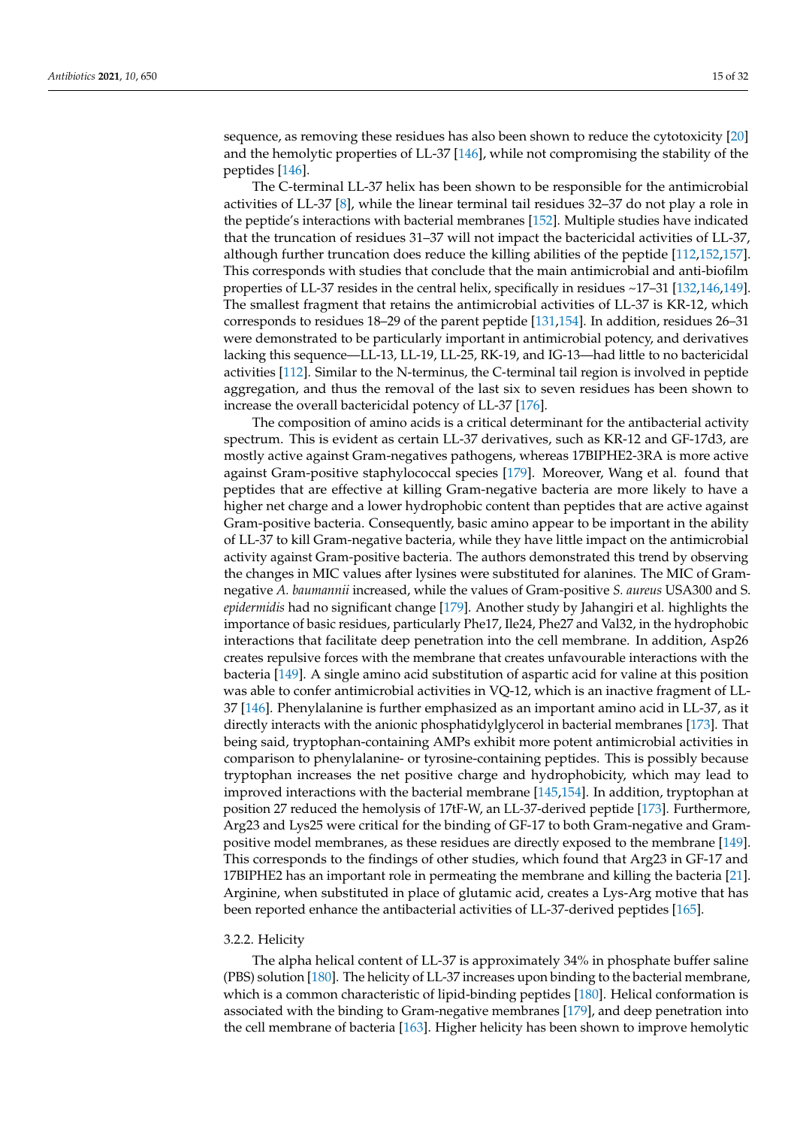sequence, as removing these residues has also been shown to reduce the cytotoxicity [\[20\]](#page-23-5) and the hemolytic properties of LL-37 [\[146\]](#page-28-4), while not compromising the stability of the peptides [\[146\]](#page-28-4).

The C-terminal LL-37 helix has been shown to be responsible for the antimicrobial activities of LL-37 [\[8\]](#page-22-7), while the linear terminal tail residues 32–37 do not play a role in the peptide's interactions with bacterial membranes [\[152\]](#page-28-11). Multiple studies have indicated that the truncation of residues 31–37 will not impact the bactericidal activities of LL-37, although further truncation does reduce the killing abilities of the peptide [\[112,](#page-26-20)[152,](#page-28-11)[157\]](#page-28-16). This corresponds with studies that conclude that the main antimicrobial and anti-biofilm properties of LL-37 resides in the central helix, specifically in residues ~17–31 [\[132,](#page-27-15)[146](#page-28-4)[,149\]](#page-28-7). The smallest fragment that retains the antimicrobial activities of LL-37 is KR-12, which corresponds to residues 18–29 of the parent peptide [\[131,](#page-27-13)[154\]](#page-28-13). In addition, residues 26–31 were demonstrated to be particularly important in antimicrobial potency, and derivatives lacking this sequence—LL-13, LL-19, LL-25, RK-19, and IG-13—had little to no bactericidal activities [\[112\]](#page-26-20). Similar to the N-terminus, the C-terminal tail region is involved in peptide aggregation, and thus the removal of the last six to seven residues has been shown to increase the overall bactericidal potency of LL-37 [\[176\]](#page-29-10).

The composition of amino acids is a critical determinant for the antibacterial activity spectrum. This is evident as certain LL-37 derivatives, such as KR-12 and GF-17d3, are mostly active against Gram-negatives pathogens, whereas 17BIPHE2-3RA is more active against Gram-positive staphylococcal species [\[179\]](#page-29-12). Moreover, Wang et al. found that peptides that are effective at killing Gram-negative bacteria are more likely to have a higher net charge and a lower hydrophobic content than peptides that are active against Gram-positive bacteria. Consequently, basic amino appear to be important in the ability of LL-37 to kill Gram-negative bacteria, while they have little impact on the antimicrobial activity against Gram-positive bacteria. The authors demonstrated this trend by observing the changes in MIC values after lysines were substituted for alanines. The MIC of Gramnegative *A. baumannii* increased, while the values of Gram-positive *S. aureus* USA300 and S. *epidermidis* had no significant change [\[179\]](#page-29-12). Another study by Jahangiri et al. highlights the importance of basic residues, particularly Phe17, Ile24, Phe27 and Val32, in the hydrophobic interactions that facilitate deep penetration into the cell membrane. In addition, Asp26 creates repulsive forces with the membrane that creates unfavourable interactions with the bacteria [\[149\]](#page-28-7). A single amino acid substitution of aspartic acid for valine at this position was able to confer antimicrobial activities in VQ-12, which is an inactive fragment of LL-37 [\[146\]](#page-28-4). Phenylalanine is further emphasized as an important amino acid in LL-37, as it directly interacts with the anionic phosphatidylglycerol in bacterial membranes [\[173\]](#page-29-7). That being said, tryptophan-containing AMPs exhibit more potent antimicrobial activities in comparison to phenylalanine- or tyrosine-containing peptides. This is possibly because tryptophan increases the net positive charge and hydrophobicity, which may lead to improved interactions with the bacterial membrane [\[145](#page-28-10)[,154\]](#page-28-13). In addition, tryptophan at position 27 reduced the hemolysis of 17tF-W, an LL-37-derived peptide [\[173\]](#page-29-7). Furthermore, Arg23 and Lys25 were critical for the binding of GF-17 to both Gram-negative and Grampositive model membranes, as these residues are directly exposed to the membrane [\[149\]](#page-28-7). This corresponds to the findings of other studies, which found that Arg23 in GF-17 and 17BIPHE2 has an important role in permeating the membrane and killing the bacteria [\[21\]](#page-23-3). Arginine, when substituted in place of glutamic acid, creates a Lys-Arg motive that has been reported enhance the antibacterial activities of LL-37-derived peptides [\[165\]](#page-28-24).

### 3.2.2. Helicity

The alpha helical content of LL-37 is approximately 34% in phosphate buffer saline (PBS) solution [\[180\]](#page-29-13). The helicity of LL-37 increases upon binding to the bacterial membrane, which is a common characteristic of lipid-binding peptides [\[180\]](#page-29-13). Helical conformation is associated with the binding to Gram-negative membranes [\[179\]](#page-29-12), and deep penetration into the cell membrane of bacteria [\[163\]](#page-28-22). Higher helicity has been shown to improve hemolytic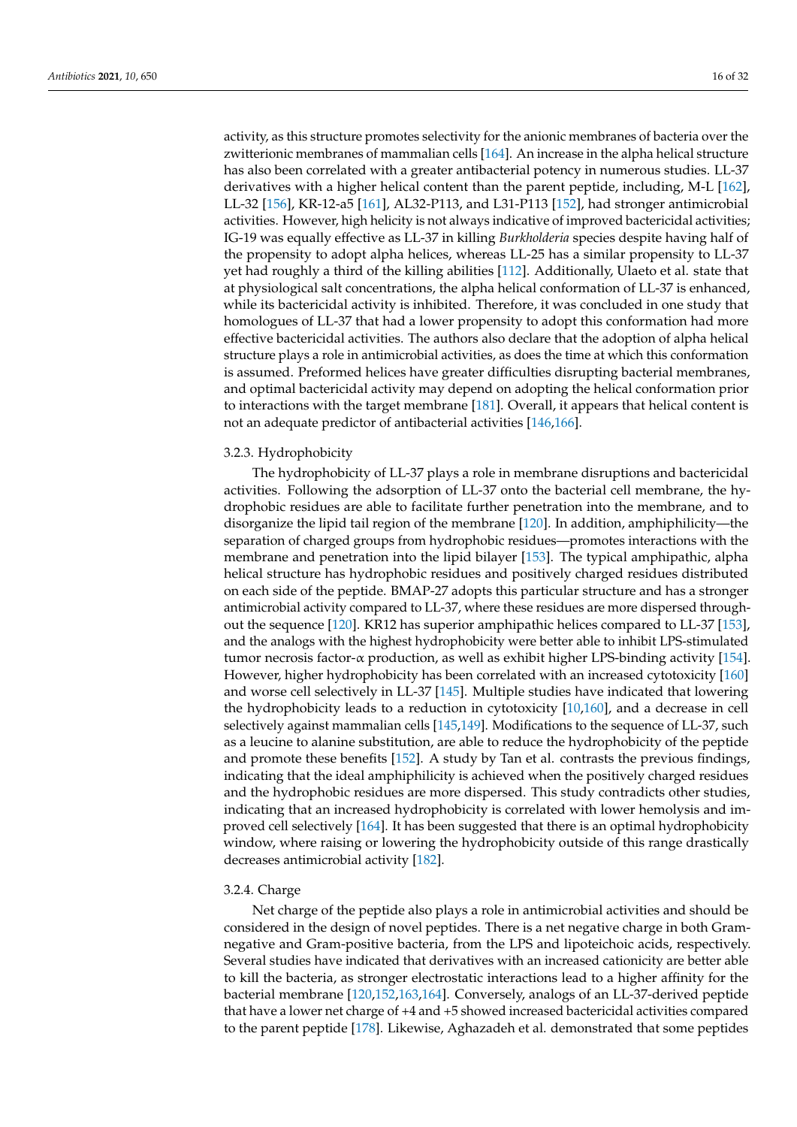activity, as this structure promotes selectivity for the anionic membranes of bacteria over the zwitterionic membranes of mammalian cells [\[164\]](#page-28-23). An increase in the alpha helical structure has also been correlated with a greater antibacterial potency in numerous studies. LL-37 derivatives with a higher helical content than the parent peptide, including, M-L [\[162\]](#page-28-21), LL-32 [\[156\]](#page-28-15), KR-12-a5 [\[161\]](#page-28-20), AL32-P113, and L31-P113 [\[152\]](#page-28-11), had stronger antimicrobial activities. However, high helicity is not always indicative of improved bactericidal activities; IG-19 was equally effective as LL-37 in killing *Burkholderia* species despite having half of the propensity to adopt alpha helices, whereas LL-25 has a similar propensity to LL-37 yet had roughly a third of the killing abilities [\[112\]](#page-26-20). Additionally, Ulaeto et al. state that at physiological salt concentrations, the alpha helical conformation of LL-37 is enhanced, while its bactericidal activity is inhibited. Therefore, it was concluded in one study that homologues of LL-37 that had a lower propensity to adopt this conformation had more effective bactericidal activities. The authors also declare that the adoption of alpha helical structure plays a role in antimicrobial activities, as does the time at which this conformation is assumed. Preformed helices have greater difficulties disrupting bacterial membranes, and optimal bactericidal activity may depend on adopting the helical conformation prior to interactions with the target membrane [\[181\]](#page-29-14). Overall, it appears that helical content is not an adequate predictor of antibacterial activities [\[146](#page-28-4)[,166\]](#page-29-0).

### 3.2.3. Hydrophobicity

The hydrophobicity of LL-37 plays a role in membrane disruptions and bactericidal activities. Following the adsorption of LL-37 onto the bacterial cell membrane, the hydrophobic residues are able to facilitate further penetration into the membrane, and to disorganize the lipid tail region of the membrane [\[120\]](#page-27-3). In addition, amphiphilicity—the separation of charged groups from hydrophobic residues—promotes interactions with the membrane and penetration into the lipid bilayer [\[153\]](#page-28-12). The typical amphipathic, alpha helical structure has hydrophobic residues and positively charged residues distributed on each side of the peptide. BMAP-27 adopts this particular structure and has a stronger antimicrobial activity compared to LL-37, where these residues are more dispersed throughout the sequence [\[120\]](#page-27-3). KR12 has superior amphipathic helices compared to LL-37 [\[153\]](#page-28-12), and the analogs with the highest hydrophobicity were better able to inhibit LPS-stimulated tumor necrosis factor-α production, as well as exhibit higher LPS-binding activity [\[154\]](#page-28-13). However, higher hydrophobicity has been correlated with an increased cytotoxicity [\[160\]](#page-28-19) and worse cell selectively in LL-37 [\[145\]](#page-28-10). Multiple studies have indicated that lowering the hydrophobicity leads to a reduction in cytotoxicity [\[10,](#page-22-9)[160\]](#page-28-19), and a decrease in cell selectively against mammalian cells [\[145,](#page-28-10)[149\]](#page-28-7). Modifications to the sequence of LL-37, such as a leucine to alanine substitution, are able to reduce the hydrophobicity of the peptide and promote these benefits [\[152\]](#page-28-11). A study by Tan et al. contrasts the previous findings, indicating that the ideal amphiphilicity is achieved when the positively charged residues and the hydrophobic residues are more dispersed. This study contradicts other studies, indicating that an increased hydrophobicity is correlated with lower hemolysis and improved cell selectively [\[164\]](#page-28-23). It has been suggested that there is an optimal hydrophobicity window, where raising or lowering the hydrophobicity outside of this range drastically decreases antimicrobial activity [\[182\]](#page-29-15).

#### 3.2.4. Charge

Net charge of the peptide also plays a role in antimicrobial activities and should be considered in the design of novel peptides. There is a net negative charge in both Gramnegative and Gram-positive bacteria, from the LPS and lipoteichoic acids, respectively. Several studies have indicated that derivatives with an increased cationicity are better able to kill the bacteria, as stronger electrostatic interactions lead to a higher affinity for the bacterial membrane [\[120](#page-27-3)[,152](#page-28-11)[,163](#page-28-22)[,164\]](#page-28-23). Conversely, analogs of an LL-37-derived peptide that have a lower net charge of +4 and +5 showed increased bactericidal activities compared to the parent peptide [\[178\]](#page-29-11). Likewise, Aghazadeh et al. demonstrated that some peptides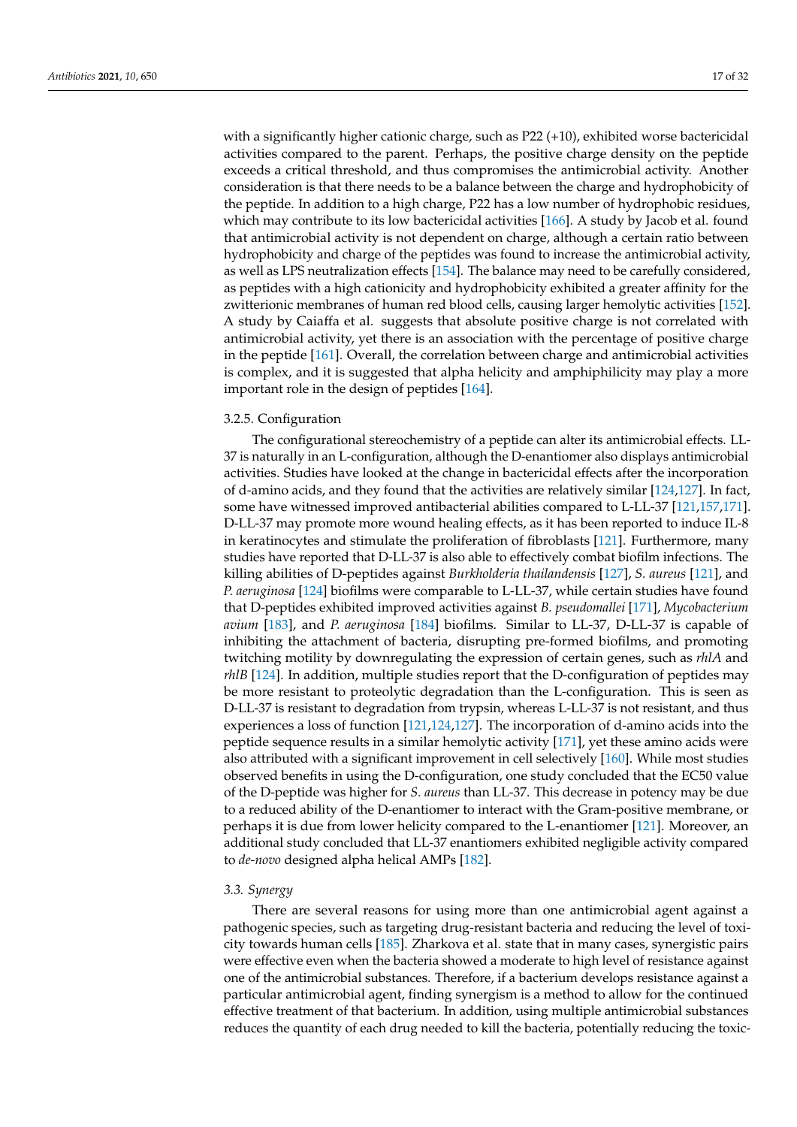with a significantly higher cationic charge, such as P22 (+10), exhibited worse bactericidal activities compared to the parent. Perhaps, the positive charge density on the peptide exceeds a critical threshold, and thus compromises the antimicrobial activity. Another consideration is that there needs to be a balance between the charge and hydrophobicity of the peptide. In addition to a high charge, P22 has a low number of hydrophobic residues, which may contribute to its low bactericidal activities [\[166\]](#page-29-0). A study by Jacob et al. found that antimicrobial activity is not dependent on charge, although a certain ratio between hydrophobicity and charge of the peptides was found to increase the antimicrobial activity, as well as LPS neutralization effects [\[154\]](#page-28-13). The balance may need to be carefully considered, as peptides with a high cationicity and hydrophobicity exhibited a greater affinity for the zwitterionic membranes of human red blood cells, causing larger hemolytic activities [\[152\]](#page-28-11). A study by Caiaffa et al. suggests that absolute positive charge is not correlated with antimicrobial activity, yet there is an association with the percentage of positive charge in the peptide [\[161\]](#page-28-20). Overall, the correlation between charge and antimicrobial activities is complex, and it is suggested that alpha helicity and amphiphilicity may play a more important role in the design of peptides [\[164\]](#page-28-23).

## 3.2.5. Configuration

The configurational stereochemistry of a peptide can alter its antimicrobial effects. LL-37 is naturally in an L-configuration, although the D-enantiomer also displays antimicrobial activities. Studies have looked at the change in bactericidal effects after the incorporation of d-amino acids, and they found that the activities are relatively similar [\[124,](#page-27-6)[127\]](#page-27-18). In fact, some have witnessed improved antibacterial abilities compared to L-LL-37 [\[121,](#page-27-4)[157,](#page-28-16)[171\]](#page-29-5). D-LL-37 may promote more wound healing effects, as it has been reported to induce IL-8 in keratinocytes and stimulate the proliferation of fibroblasts [\[121\]](#page-27-4). Furthermore, many studies have reported that D-LL-37 is also able to effectively combat biofilm infections. The killing abilities of D-peptides against *Burkholderia thailandensis* [\[127\]](#page-27-18), *S. aureus* [\[121\]](#page-27-4), and *P. aeruginosa* [\[124\]](#page-27-6) biofilms were comparable to L-LL-37, while certain studies have found that D-peptides exhibited improved activities against *B. pseudomallei* [\[171\]](#page-29-5), *Mycobacterium avium* [\[183\]](#page-29-16), and *P. aeruginosa* [\[184\]](#page-29-17) biofilms. Similar to LL-37, D-LL-37 is capable of inhibiting the attachment of bacteria, disrupting pre-formed biofilms, and promoting twitching motility by downregulating the expression of certain genes, such as *rhlA* and *rhlB* [\[124\]](#page-27-6). In addition, multiple studies report that the D-configuration of peptides may be more resistant to proteolytic degradation than the L-configuration. This is seen as D-LL-37 is resistant to degradation from trypsin, whereas L-LL-37 is not resistant, and thus experiences a loss of function [\[121,](#page-27-4)[124,](#page-27-6)[127\]](#page-27-18). The incorporation of d-amino acids into the peptide sequence results in a similar hemolytic activity [\[171\]](#page-29-5), yet these amino acids were also attributed with a significant improvement in cell selectively [\[160\]](#page-28-19). While most studies observed benefits in using the D-configuration, one study concluded that the EC50 value of the D-peptide was higher for *S. aureus* than LL-37. This decrease in potency may be due to a reduced ability of the D-enantiomer to interact with the Gram-positive membrane, or perhaps it is due from lower helicity compared to the L-enantiomer [\[121\]](#page-27-4). Moreover, an additional study concluded that LL-37 enantiomers exhibited negligible activity compared to *de-novo* designed alpha helical AMPs [\[182\]](#page-29-15).

#### *3.3. Synergy*

There are several reasons for using more than one antimicrobial agent against a pathogenic species, such as targeting drug-resistant bacteria and reducing the level of toxicity towards human cells [\[185\]](#page-29-18). Zharkova et al. state that in many cases, synergistic pairs were effective even when the bacteria showed a moderate to high level of resistance against one of the antimicrobial substances. Therefore, if a bacterium develops resistance against a particular antimicrobial agent, finding synergism is a method to allow for the continued effective treatment of that bacterium. In addition, using multiple antimicrobial substances reduces the quantity of each drug needed to kill the bacteria, potentially reducing the toxic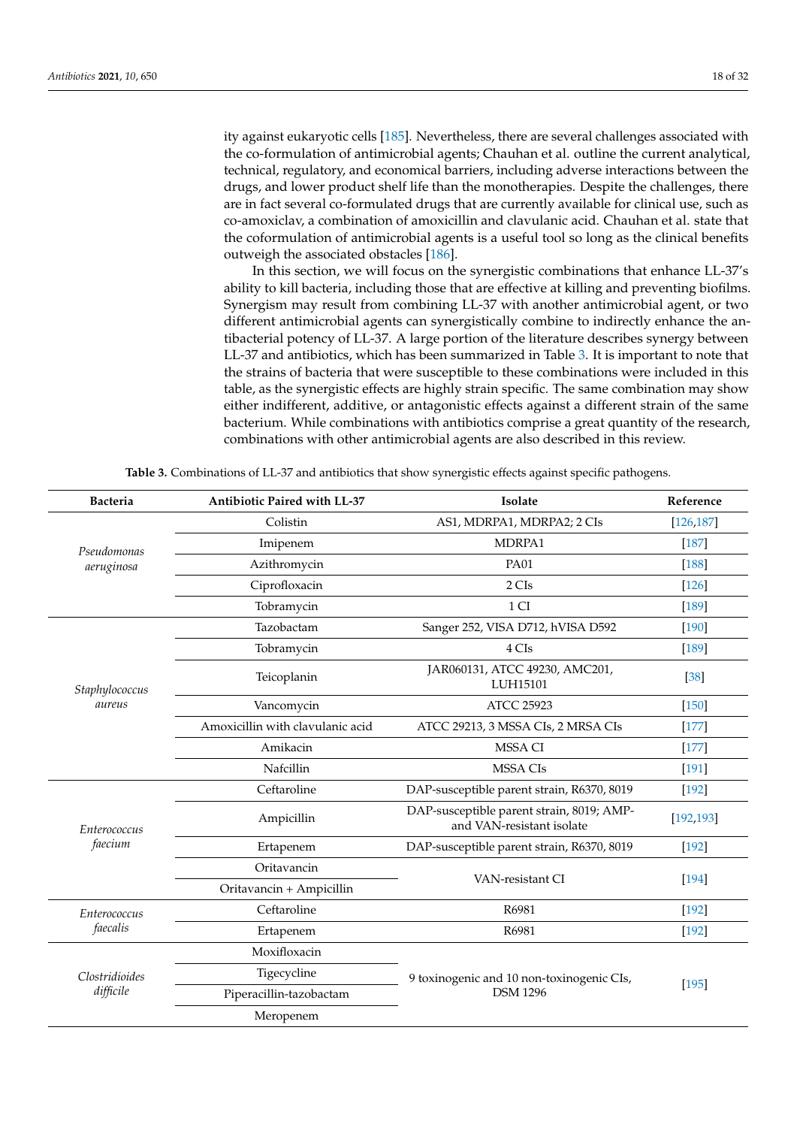ity against eukaryotic cells [\[185\]](#page-29-18). Nevertheless, there are several challenges associated with the co-formulation of antimicrobial agents; Chauhan et al. outline the current analytical, technical, regulatory, and economical barriers, including adverse interactions between the drugs, and lower product shelf life than the monotherapies. Despite the challenges, there are in fact several co-formulated drugs that are currently available for clinical use, such as co-amoxiclav, a combination of amoxicillin and clavulanic acid. Chauhan et al. state that the coformulation of antimicrobial agents is a useful tool so long as the clinical benefits outweigh the associated obstacles [\[186\]](#page-29-19).

In this section, we will focus on the synergistic combinations that enhance LL-37's ability to kill bacteria, including those that are effective at killing and preventing biofilms. Synergism may result from combining LL-37 with another antimicrobial agent, or two different antimicrobial agents can synergistically combine to indirectly enhance the antibacterial potency of LL-37. A large portion of the literature describes synergy between LL-37 and antibiotics, which has been summarized in Table [3.](#page-17-0) It is important to note that the strains of bacteria that were susceptible to these combinations were included in this table, as the synergistic effects are highly strain specific. The same combination may show either indifferent, additive, or antagonistic effects against a different strain of the same bacterium. While combinations with antibiotics comprise a great quantity of the research, combinations with other antimicrobial agents are also described in this review.

<span id="page-17-0"></span>

| <b>Bacteria</b> | Antibiotic Paired with LL-37     | Isolate                                                                | Reference  |  |
|-----------------|----------------------------------|------------------------------------------------------------------------|------------|--|
|                 | Colistin                         | AS1, MDRPA1, MDRPA2; 2 CIs                                             | [126, 187] |  |
| Pseudomonas     | Imipenem                         | MDRPA1                                                                 | $[187]$    |  |
| aeruginosa      | Azithromycin                     | <b>PA01</b>                                                            | $[188]$    |  |
|                 | Ciprofloxacin                    | 2 CIs                                                                  | $[126]$    |  |
|                 | Tobramycin                       | 1 CI                                                                   | $[189]$    |  |
|                 | Tazobactam                       | Sanger 252, VISA D712, hVISA D592                                      | $[190]$    |  |
|                 | Tobramycin                       | 4 CIs                                                                  | $[189]$    |  |
| Staphylococcus  | Teicoplanin                      | JAR060131, ATCC 49230, AMC201,<br>LUH15101                             | [38]       |  |
| aureus          | Vancomycin                       | <b>ATCC 25923</b>                                                      | $[150]$    |  |
|                 | Amoxicillin with clavulanic acid | ATCC 29213, 3 MSSA CIs, 2 MRSA CIs                                     | $[177]$    |  |
|                 | Amikacin                         | <b>MSSA CI</b>                                                         | $[177]$    |  |
|                 | Nafcillin                        | <b>MSSA CIs</b>                                                        | $[191]$    |  |
|                 | Ceftaroline                      | DAP-susceptible parent strain, R6370, 8019                             | $[192]$    |  |
| Enterococcus    | Ampicillin                       | DAP-susceptible parent strain, 8019; AMP-<br>and VAN-resistant isolate | [192, 193] |  |
| faecium         | Ertapenem                        | DAP-susceptible parent strain, R6370, 8019                             | $[192]$    |  |
|                 | Oritavancin                      | VAN-resistant CI                                                       | $[194]$    |  |
|                 | Oritavancin + Ampicillin         |                                                                        |            |  |
| Enterococcus    | Ceftaroline                      | R6981                                                                  | $[192]$    |  |
| faecalis        | Ertapenem                        | R6981                                                                  | $[192]$    |  |
|                 | Moxifloxacin                     |                                                                        | $[195]$    |  |
| Clostridioides  | Tigecycline                      | 9 toxinogenic and 10 non-toxinogenic CIs,                              |            |  |
| difficile       | Piperacillin-tazobactam          | <b>DSM 1296</b>                                                        |            |  |
|                 | Meropenem                        |                                                                        |            |  |

**Table 3.** Combinations of LL-37 and antibiotics that show synergistic effects against specific pathogens.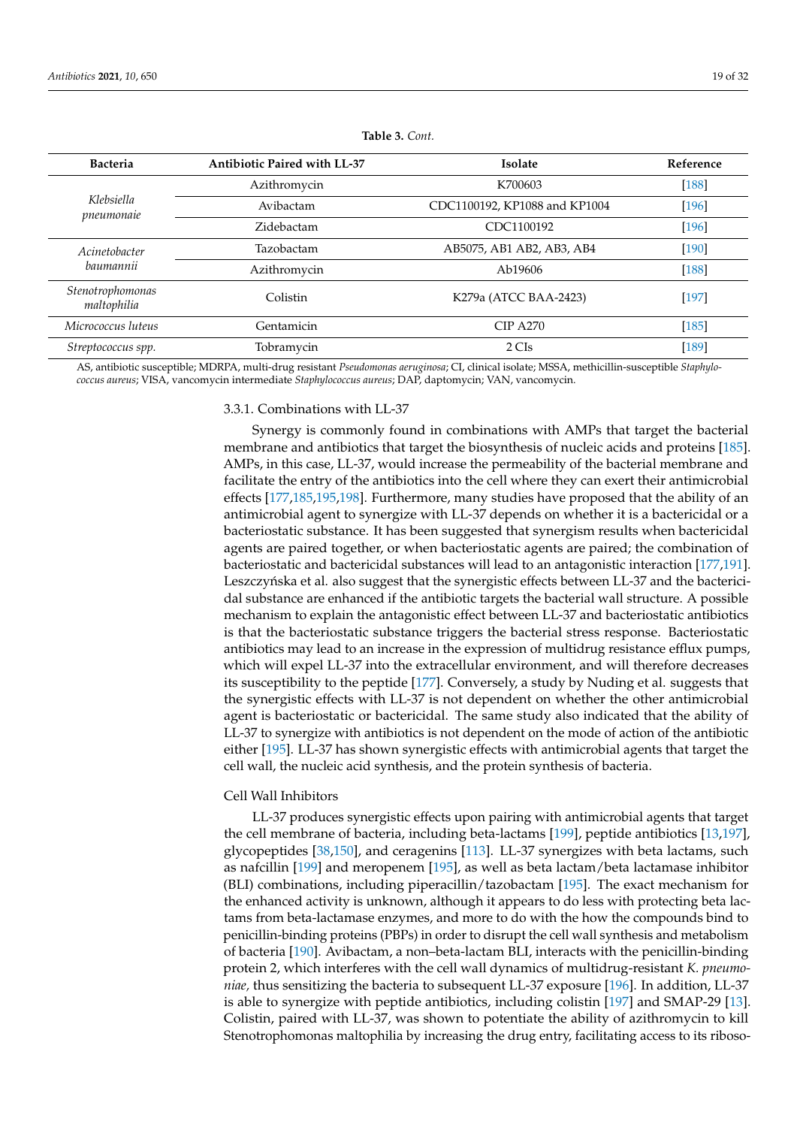| <b>Bacteria</b>                             | <b>Antibiotic Paired with LL-37</b> | <b>Isolate</b>                | Reference |
|---------------------------------------------|-------------------------------------|-------------------------------|-----------|
|                                             | Azithromycin                        | K700603                       | $[188]$   |
| Klebsiella<br>pneumonaie                    | Avibactam                           | CDC1100192, KP1088 and KP1004 | $[196]$   |
|                                             | Zidebactam                          | CDC1100192                    | $[196]$   |
| Acinetobacter                               | Tazobactam                          | AB5075, AB1 AB2, AB3, AB4     | $[190]$   |
| baumannii                                   | Azithromycin                        | Ab19606                       | $[188]$   |
| Stenotrophomonas<br>Colistin<br>maltophilia |                                     | K279a (ATCC BAA-2423)         | $[197]$   |
| Micrococcus luteus                          | Gentamicin                          | $CIP$ A270                    | $[185]$   |
| Streptococcus spp.                          | Tobramycin                          | 2 CIs                         | $[189]$   |

**Table 3.** *Cont.*

AS, antibiotic susceptible; MDRPA, multi-drug resistant *Pseudomonas aeruginosa*; CI, clinical isolate; MSSA, methicillin-susceptible *Staphylococcus aureus*; VISA, vancomycin intermediate *Staphylococcus aureus*; DAP, daptomycin; VAN, vancomycin.

3.3.1. Combinations with LL-37

Synergy is commonly found in combinations with AMPs that target the bacterial membrane and antibiotics that target the biosynthesis of nucleic acids and proteins [\[185\]](#page-29-18). AMPs, in this case, LL-37, would increase the permeability of the bacterial membrane and facilitate the entry of the antibiotics into the cell where they can exert their antimicrobial effects [\[177](#page-29-21)[,185,](#page-29-18)[195,](#page-30-7)[198\]](#page-30-10). Furthermore, many studies have proposed that the ability of an antimicrobial agent to synergize with LL-37 depends on whether it is a bactericidal or a bacteriostatic substance. It has been suggested that synergism results when bactericidal agents are paired together, or when bacteriostatic agents are paired; the combination of bacteriostatic and bactericidal substances will lead to an antagonistic interaction [\[177](#page-29-21)[,191\]](#page-30-3). Leszczyńska et al. also suggest that the synergistic effects between LL-37 and the bactericidal substance are enhanced if the antibiotic targets the bacterial wall structure. A possible mechanism to explain the antagonistic effect between LL-37 and bacteriostatic antibiotics is that the bacteriostatic substance triggers the bacterial stress response. Bacteriostatic antibiotics may lead to an increase in the expression of multidrug resistance efflux pumps, which will expel LL-37 into the extracellular environment, and will therefore decreases its susceptibility to the peptide [\[177\]](#page-29-21). Conversely, a study by Nuding et al. suggests that the synergistic effects with LL-37 is not dependent on whether the other antimicrobial agent is bacteriostatic or bactericidal. The same study also indicated that the ability of LL-37 to synergize with antibiotics is not dependent on the mode of action of the antibiotic either [\[195\]](#page-30-7). LL-37 has shown synergistic effects with antimicrobial agents that target the cell wall, the nucleic acid synthesis, and the protein synthesis of bacteria.

# Cell Wall Inhibitors

LL-37 produces synergistic effects upon pairing with antimicrobial agents that target the cell membrane of bacteria, including beta-lactams [\[199\]](#page-30-11), peptide antibiotics [\[13,](#page-22-12)[197\]](#page-30-9), glycopeptides [\[38,](#page-23-19)[150\]](#page-28-8), and ceragenins [\[113\]](#page-26-21). LL-37 synergizes with beta lactams, such as nafcillin [\[199\]](#page-30-11) and meropenem [\[195\]](#page-30-7), as well as beta lactam/beta lactamase inhibitor (BLI) combinations, including piperacillin/tazobactam [\[195\]](#page-30-7). The exact mechanism for the enhanced activity is unknown, although it appears to do less with protecting beta lactams from beta-lactamase enzymes, and more to do with the how the compounds bind to penicillin-binding proteins (PBPs) in order to disrupt the cell wall synthesis and metabolism of bacteria [\[190\]](#page-30-2). Avibactam, a non–beta-lactam BLI, interacts with the penicillin-binding protein 2, which interferes with the cell wall dynamics of multidrug-resistant *K. pneumoniae,* thus sensitizing the bacteria to subsequent LL-37 exposure [\[196\]](#page-30-8). In addition, LL-37 is able to synergize with peptide antibiotics, including colistin [\[197\]](#page-30-9) and SMAP-29 [\[13\]](#page-22-12). Colistin, paired with LL-37, was shown to potentiate the ability of azithromycin to kill Stenotrophomonas maltophilia by increasing the drug entry, facilitating access to its riboso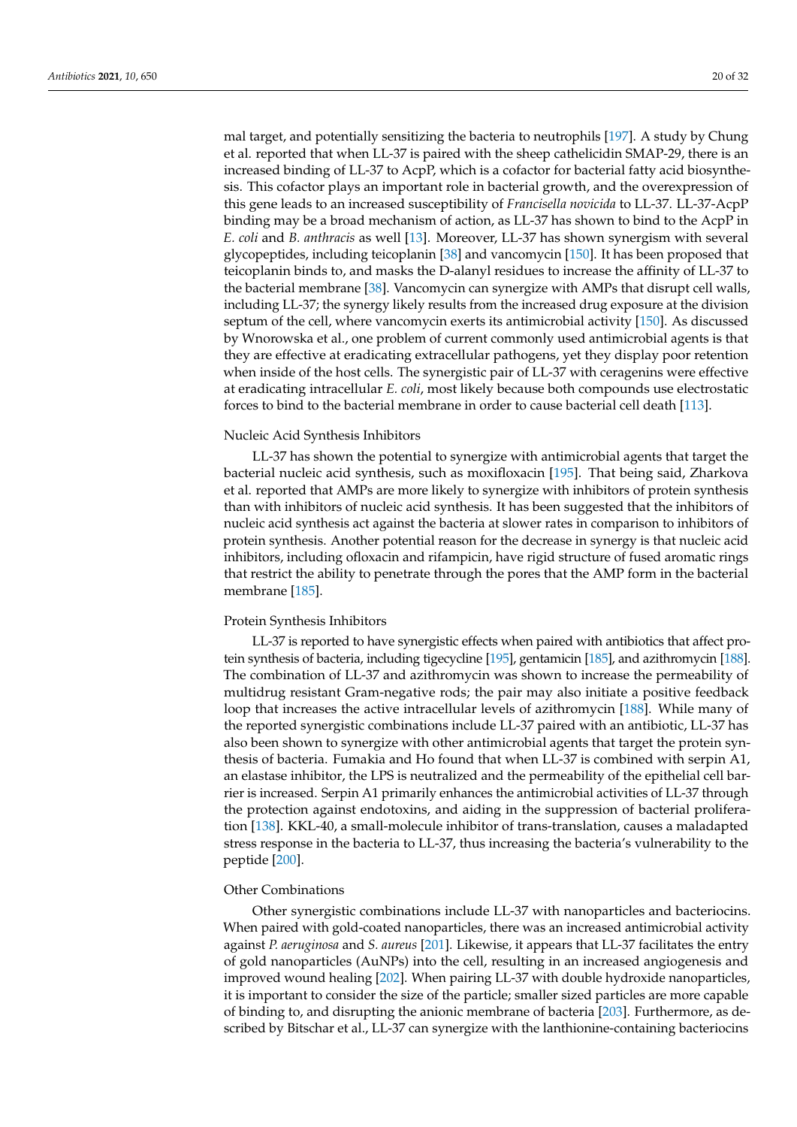mal target, and potentially sensitizing the bacteria to neutrophils [\[197\]](#page-30-9). A study by Chung et al. reported that when LL-37 is paired with the sheep cathelicidin SMAP-29, there is an increased binding of LL-37 to AcpP, which is a cofactor for bacterial fatty acid biosynthesis. This cofactor plays an important role in bacterial growth, and the overexpression of this gene leads to an increased susceptibility of *Francisella novicida* to LL-37. LL-37-AcpP binding may be a broad mechanism of action, as LL-37 has shown to bind to the AcpP in *E. coli* and *B. anthracis* as well [\[13\]](#page-22-12). Moreover, LL-37 has shown synergism with several glycopeptides, including teicoplanin [\[38\]](#page-23-19) and vancomycin [\[150\]](#page-28-8). It has been proposed that teicoplanin binds to, and masks the D-alanyl residues to increase the affinity of LL-37 to the bacterial membrane [\[38\]](#page-23-19). Vancomycin can synergize with AMPs that disrupt cell walls, including LL-37; the synergy likely results from the increased drug exposure at the division septum of the cell, where vancomycin exerts its antimicrobial activity [\[150\]](#page-28-8). As discussed by Wnorowska et al., one problem of current commonly used antimicrobial agents is that they are effective at eradicating extracellular pathogens, yet they display poor retention when inside of the host cells. The synergistic pair of LL-37 with ceragenins were effective at eradicating intracellular *E. coli*, most likely because both compounds use electrostatic forces to bind to the bacterial membrane in order to cause bacterial cell death [\[113\]](#page-26-21).

### Nucleic Acid Synthesis Inhibitors

LL-37 has shown the potential to synergize with antimicrobial agents that target the bacterial nucleic acid synthesis, such as moxifloxacin [\[195\]](#page-30-7). That being said, Zharkova et al. reported that AMPs are more likely to synergize with inhibitors of protein synthesis than with inhibitors of nucleic acid synthesis. It has been suggested that the inhibitors of nucleic acid synthesis act against the bacteria at slower rates in comparison to inhibitors of protein synthesis. Another potential reason for the decrease in synergy is that nucleic acid inhibitors, including ofloxacin and rifampicin, have rigid structure of fused aromatic rings that restrict the ability to penetrate through the pores that the AMP form in the bacterial membrane [\[185\]](#page-29-18).

### Protein Synthesis Inhibitors

LL-37 is reported to have synergistic effects when paired with antibiotics that affect protein synthesis of bacteria, including tigecycline [\[195\]](#page-30-7), gentamicin [\[185\]](#page-29-18), and azithromycin [\[188\]](#page-30-0). The combination of LL-37 and azithromycin was shown to increase the permeability of multidrug resistant Gram-negative rods; the pair may also initiate a positive feedback loop that increases the active intracellular levels of azithromycin [\[188\]](#page-30-0). While many of the reported synergistic combinations include LL-37 paired with an antibiotic, LL-37 has also been shown to synergize with other antimicrobial agents that target the protein synthesis of bacteria. Fumakia and Ho found that when LL-37 is combined with serpin A1, an elastase inhibitor, the LPS is neutralized and the permeability of the epithelial cell barrier is increased. Serpin A1 primarily enhances the antimicrobial activities of LL-37 through the protection against endotoxins, and aiding in the suppression of bacterial proliferation [\[138\]](#page-27-19). KKL-40, a small-molecule inhibitor of trans-translation, causes a maladapted stress response in the bacteria to LL-37, thus increasing the bacteria's vulnerability to the peptide [\[200\]](#page-30-12).

### Other Combinations

Other synergistic combinations include LL-37 with nanoparticles and bacteriocins. When paired with gold-coated nanoparticles, there was an increased antimicrobial activity against *P. aeruginosa* and *S. aureus* [\[201\]](#page-30-13). Likewise, it appears that LL-37 facilitates the entry of gold nanoparticles (AuNPs) into the cell, resulting in an increased angiogenesis and improved wound healing [\[202\]](#page-30-14). When pairing LL-37 with double hydroxide nanoparticles, it is important to consider the size of the particle; smaller sized particles are more capable of binding to, and disrupting the anionic membrane of bacteria [\[203\]](#page-30-15). Furthermore, as described by Bitschar et al., LL-37 can synergize with the lanthionine-containing bacteriocins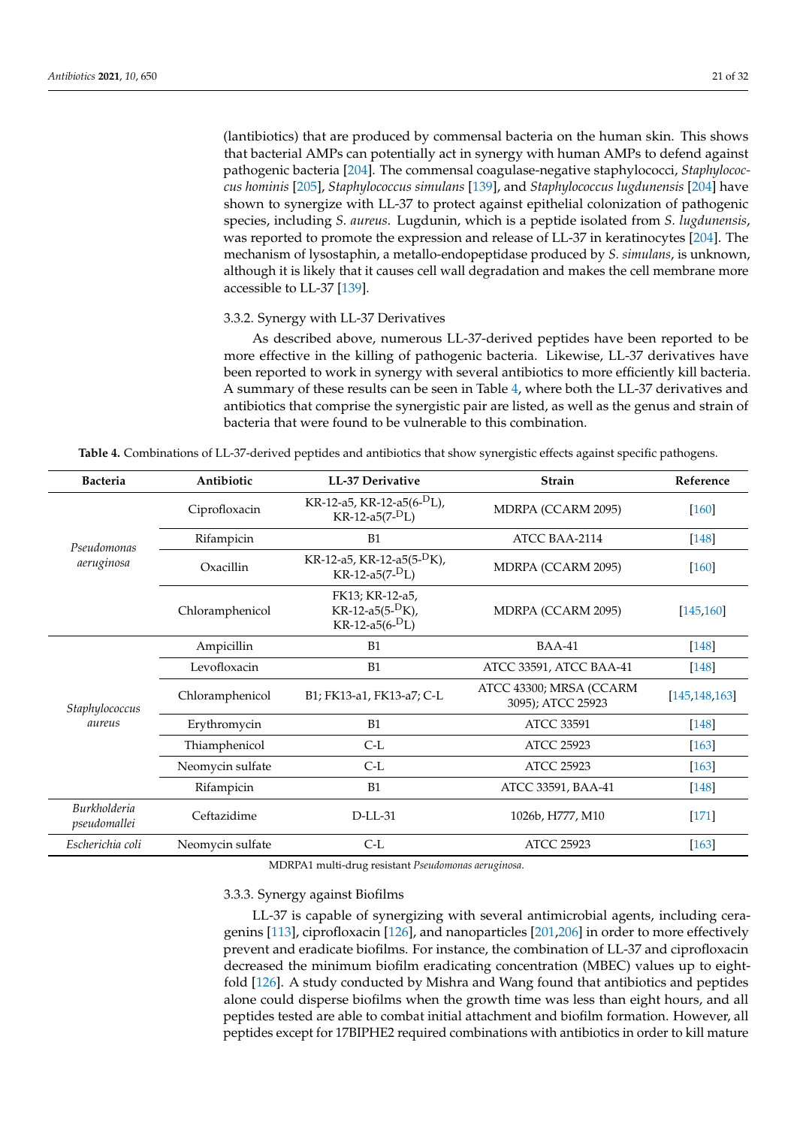(lantibiotics) that are produced by commensal bacteria on the human skin. This shows that bacterial AMPs can potentially act in synergy with human AMPs to defend against pathogenic bacteria [\[204\]](#page-30-16). The commensal coagulase-negative staphylococci, *Staphylococcus hominis* [\[205\]](#page-30-17), *Staphylococcus simulans* [\[139\]](#page-27-20), and *Staphylococcus lugdunensis* [\[204\]](#page-30-16) have shown to synergize with LL-37 to protect against epithelial colonization of pathogenic species, including *S. aureus*. Lugdunin, which is a peptide isolated from *S. lugdunensis*, was reported to promote the expression and release of LL-37 in keratinocytes [\[204\]](#page-30-16). The mechanism of lysostaphin, a metallo-endopeptidase produced by *S. simulans*, is unknown, although it is likely that it causes cell wall degradation and makes the cell membrane more accessible to LL-37 [\[139\]](#page-27-20).

## 3.3.2. Synergy with LL-37 Derivatives

As described above, numerous LL-37-derived peptides have been reported to be more effective in the killing of pathogenic bacteria. Likewise, LL-37 derivatives have been reported to work in synergy with several antibiotics to more efficiently kill bacteria. A summary of these results can be seen in Table [4,](#page-20-0) where both the LL-37 derivatives and antibiotics that comprise the synergistic pair are listed, as well as the genus and strain of bacteria that were found to be vulnerable to this combination.

<span id="page-20-0"></span>

| Table 4. Combinations of LL-37-derived peptides and antibiotics that show synergistic effects against specific pathogens. |  |  |  |  |
|---------------------------------------------------------------------------------------------------------------------------|--|--|--|--|
|                                                                                                                           |  |  |  |  |

| <b>Bacteria</b>              | Antibiotic                                                                              | <b>LL-37 Derivative</b>                                     | <b>Strain</b>                                | Reference       |
|------------------------------|-----------------------------------------------------------------------------------------|-------------------------------------------------------------|----------------------------------------------|-----------------|
|                              | Ciprofloxacin                                                                           | KR-12-a5, KR-12-a5(6- <sup>D</sup> L),<br>$KR-12-a5(7-D_L)$ | MDRPA (CCARM 2095)                           | [160]           |
| Pseudomonas                  | Rifampicin                                                                              | B1                                                          | ATCC BAA-2114                                | $[148]$         |
| aeruginosa                   | Oxacillin                                                                               | KR-12-a5, KR-12-a5(5- <sup>D</sup> K),<br>$KR-12-a5(7-D_L)$ | MDRPA (CCARM 2095)                           | $[160]$         |
|                              | FK13; KR-12-a5,<br>KR-12-a5(5- <sup>D</sup> K),<br>Chloramphenicol<br>$KR-12-a5(6-D_L)$ |                                                             | MDRPA (CCARM 2095)                           | [145, 160]      |
|                              | Ampicillin                                                                              | <b>B1</b>                                                   | $BAA-41$                                     | $[148]$         |
|                              | Levofloxacin                                                                            | B1                                                          | ATCC 33591, ATCC BAA-41                      | $[148]$         |
| Staphylococcus               | Chloramphenicol                                                                         | B1; FK13-a1, FK13-a7; C-L                                   | ATCC 43300; MRSA (CCARM<br>3095); ATCC 25923 | [145, 148, 163] |
| aureus                       | Erythromycin                                                                            | B1                                                          | <b>ATCC 33591</b>                            | $[148]$         |
|                              | Thiamphenicol                                                                           | $C-L$                                                       | <b>ATCC 25923</b>                            | $[163]$         |
|                              | Neomycin sulfate                                                                        | $C-L$                                                       | <b>ATCC 25923</b>                            | $[163]$         |
|                              | Rifampicin                                                                              | B1                                                          | ATCC 33591, BAA-41                           | $[148]$         |
| Burkholderia<br>pseudomallei | Ceftazidime                                                                             | $D$ -LL-31                                                  | 1026b, H777, M10                             | $[171]$         |
| Escherichia coli             | Neomycin sulfate                                                                        | $C-L$                                                       | <b>ATCC 25923</b>                            | $[163]$         |

MDRPA1 multi-drug resistant *Pseudomonas aeruginosa*.

### 3.3.3. Synergy against Biofilms

LL-37 is capable of synergizing with several antimicrobial agents, including ceragenins [\[113\]](#page-26-21), ciprofloxacin [\[126\]](#page-27-9), and nanoparticles [\[201,](#page-30-13)[206\]](#page-30-18) in order to more effectively prevent and eradicate biofilms. For instance, the combination of LL-37 and ciprofloxacin decreased the minimum biofilm eradicating concentration (MBEC) values up to eightfold [\[126\]](#page-27-9). A study conducted by Mishra and Wang found that antibiotics and peptides alone could disperse biofilms when the growth time was less than eight hours, and all peptides tested are able to combat initial attachment and biofilm formation. However, all peptides except for 17BIPHE2 required combinations with antibiotics in order to kill mature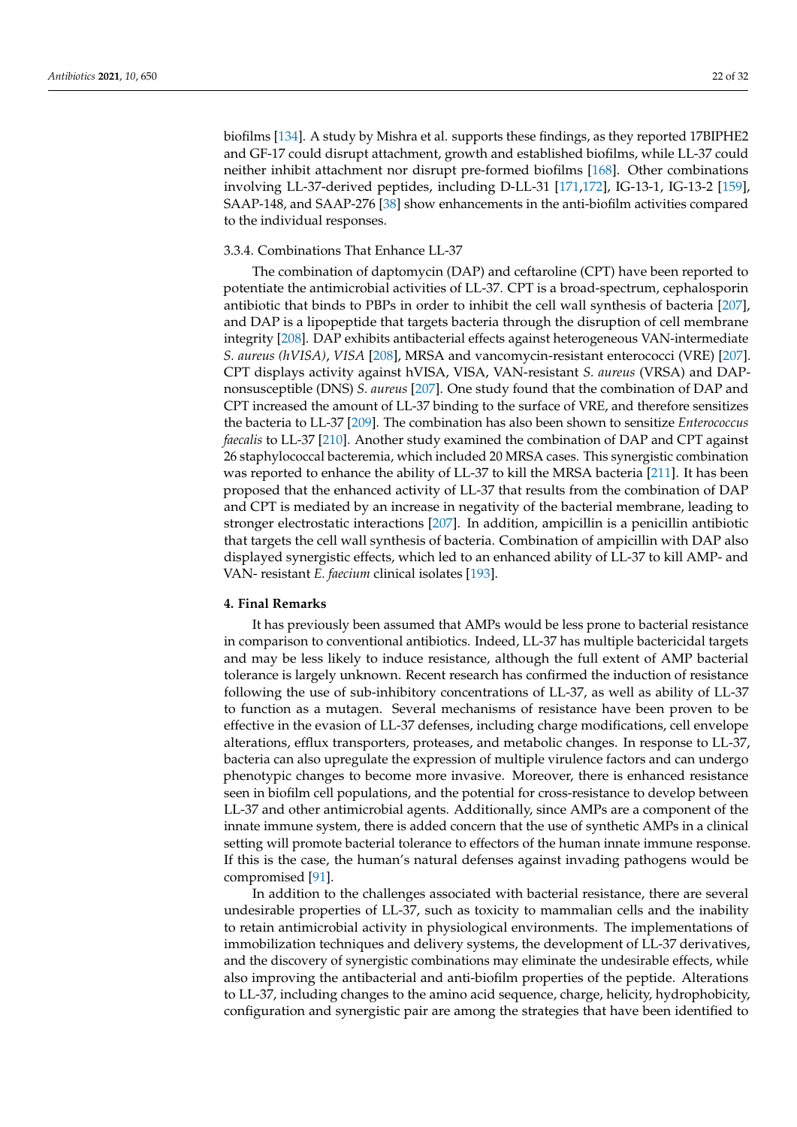biofilms [\[134\]](#page-27-14). A study by Mishra et al. supports these findings, as they reported 17BIPHE2 and GF-17 could disrupt attachment, growth and established biofilms, while LL-37 could neither inhibit attachment nor disrupt pre-formed biofilms [\[168\]](#page-29-2). Other combinations involving LL-37-derived peptides, including D-LL-31 [\[171](#page-29-5)[,172\]](#page-29-6), IG-13-1, IG-13-2 [\[159\]](#page-28-18), SAAP-148, and SAAP-276 [\[38\]](#page-23-19) show enhancements in the anti-biofilm activities compared to the individual responses.

### 3.3.4. Combinations That Enhance LL-37

The combination of daptomycin (DAP) and ceftaroline (CPT) have been reported to potentiate the antimicrobial activities of LL-37. CPT is a broad-spectrum, cephalosporin antibiotic that binds to PBPs in order to inhibit the cell wall synthesis of bacteria [\[207\]](#page-30-19), and DAP is a lipopeptide that targets bacteria through the disruption of cell membrane integrity [\[208\]](#page-31-0). DAP exhibits antibacterial effects against heterogeneous VAN-intermediate *S. aureus (hVISA)*, *VISA* [\[208\]](#page-31-0), MRSA and vancomycin-resistant enterococci (VRE) [\[207\]](#page-30-19). CPT displays activity against hVISA, VISA, VAN-resistant *S. aureus* (VRSA) and DAPnonsusceptible (DNS) *S. aureus* [\[207\]](#page-30-19). One study found that the combination of DAP and CPT increased the amount of LL-37 binding to the surface of VRE, and therefore sensitizes the bacteria to LL-37 [\[209\]](#page-31-1). The combination has also been shown to sensitize *Enterococcus faecalis* to LL-37 [\[210\]](#page-31-2). Another study examined the combination of DAP and CPT against 26 staphylococcal bacteremia, which included 20 MRSA cases. This synergistic combination was reported to enhance the ability of LL-37 to kill the MRSA bacteria [\[211\]](#page-31-3). It has been proposed that the enhanced activity of LL-37 that results from the combination of DAP and CPT is mediated by an increase in negativity of the bacterial membrane, leading to stronger electrostatic interactions [\[207\]](#page-30-19). In addition, ampicillin is a penicillin antibiotic that targets the cell wall synthesis of bacteria. Combination of ampicillin with DAP also displayed synergistic effects, which led to an enhanced ability of LL-37 to kill AMP- and VAN- resistant *E. faecium* clinical isolates [\[193\]](#page-30-5).

#### **4. Final Remarks**

It has previously been assumed that AMPs would be less prone to bacterial resistance in comparison to conventional antibiotics. Indeed, LL-37 has multiple bactericidal targets and may be less likely to induce resistance, although the full extent of AMP bacterial tolerance is largely unknown. Recent research has confirmed the induction of resistance following the use of sub-inhibitory concentrations of LL-37, as well as ability of LL-37 to function as a mutagen. Several mechanisms of resistance have been proven to be effective in the evasion of LL-37 defenses, including charge modifications, cell envelope alterations, efflux transporters, proteases, and metabolic changes. In response to LL-37, bacteria can also upregulate the expression of multiple virulence factors and can undergo phenotypic changes to become more invasive. Moreover, there is enhanced resistance seen in biofilm cell populations, and the potential for cross-resistance to develop between LL-37 and other antimicrobial agents. Additionally, since AMPs are a component of the innate immune system, there is added concern that the use of synthetic AMPs in a clinical setting will promote bacterial tolerance to effectors of the human innate immune response. If this is the case, the human's natural defenses against invading pathogens would be compromised [\[91\]](#page-25-22).

In addition to the challenges associated with bacterial resistance, there are several undesirable properties of LL-37, such as toxicity to mammalian cells and the inability to retain antimicrobial activity in physiological environments. The implementations of immobilization techniques and delivery systems, the development of LL-37 derivatives, and the discovery of synergistic combinations may eliminate the undesirable effects, while also improving the antibacterial and anti-biofilm properties of the peptide. Alterations to LL-37, including changes to the amino acid sequence, charge, helicity, hydrophobicity, configuration and synergistic pair are among the strategies that have been identified to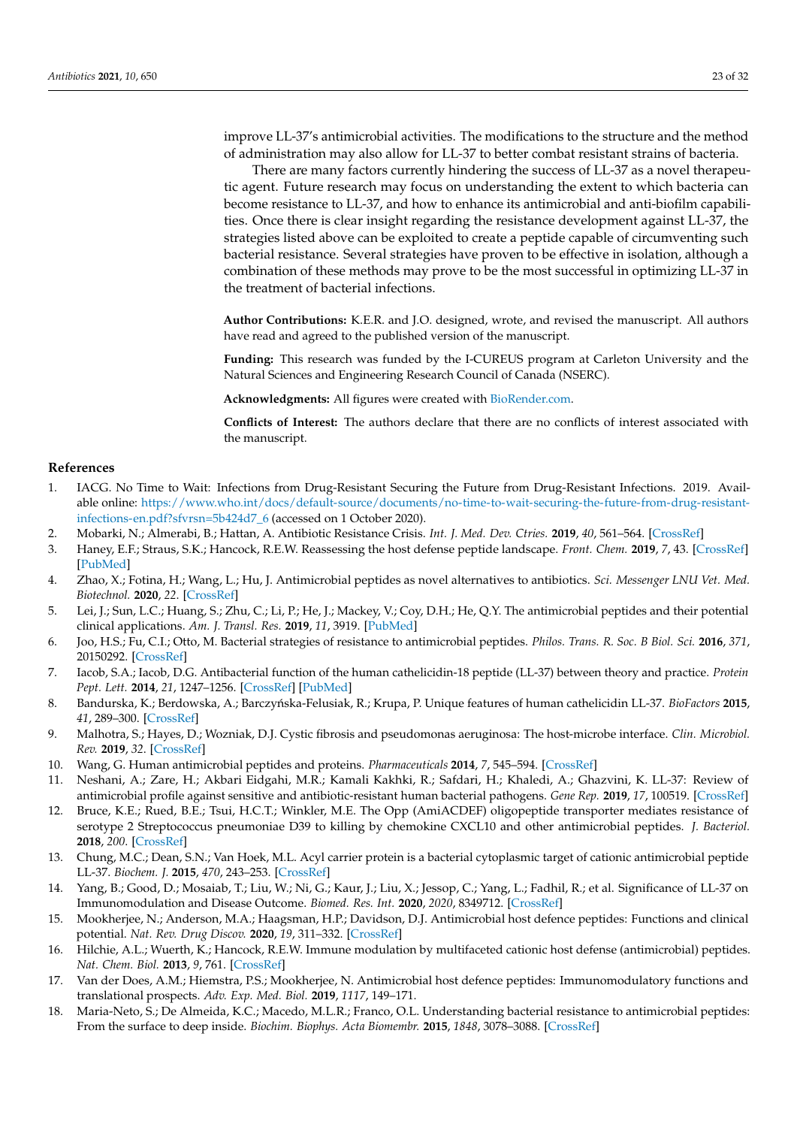improve LL-37's antimicrobial activities. The modifications to the structure and the method of administration may also allow for LL-37 to better combat resistant strains of bacteria.

There are many factors currently hindering the success of LL-37 as a novel therapeutic agent. Future research may focus on understanding the extent to which bacteria can become resistance to LL-37, and how to enhance its antimicrobial and anti-biofilm capabilities. Once there is clear insight regarding the resistance development against LL-37, the strategies listed above can be exploited to create a peptide capable of circumventing such bacterial resistance. Several strategies have proven to be effective in isolation, although a combination of these methods may prove to be the most successful in optimizing LL-37 in the treatment of bacterial infections.

**Author Contributions:** K.E.R. and J.O. designed, wrote, and revised the manuscript. All authors have read and agreed to the published version of the manuscript.

**Funding:** This research was funded by the I-CUREUS program at Carleton University and the Natural Sciences and Engineering Research Council of Canada (NSERC).

**Acknowledgments:** All figures were created with [BioRender.com.](BioRender.com)

**Conflicts of Interest:** The authors declare that there are no conflicts of interest associated with the manuscript.

#### **References**

- <span id="page-22-0"></span>1. IACG. No Time to Wait: Infections from Drug-Resistant Securing the Future from Drug-Resistant Infections. 2019. Available online: [https://www.who.int/docs/default-source/documents/no-time-to-wait-securing-the-future-from-drug-resistant](https://www.who.int/docs/default-source/documents/no-time-to-wait-securing-the-future-from-drug-resistant-infections-en.pdf?sfvrsn=5b424d7_6)[infections-en.pdf?sfvrsn=5b424d7\\_6](https://www.who.int/docs/default-source/documents/no-time-to-wait-securing-the-future-from-drug-resistant-infections-en.pdf?sfvrsn=5b424d7_6) (accessed on 1 October 2020).
- <span id="page-22-1"></span>2. Mobarki, N.; Almerabi, B.; Hattan, A. Antibiotic Resistance Crisis. *Int. J. Med. Dev. Ctries.* **2019**, *40*, 561–564. [\[CrossRef\]](http://doi.org/10.24911/IJMDC.51-1549060699)
- <span id="page-22-2"></span>3. Haney, E.F.; Straus, S.K.; Hancock, R.E.W. Reassessing the host defense peptide landscape. *Front. Chem.* **2019**, *7*, 43. [\[CrossRef\]](http://doi.org/10.3389/fchem.2019.00043) [\[PubMed\]](http://www.ncbi.nlm.nih.gov/pubmed/30778385)
- <span id="page-22-3"></span>4. Zhao, X.; Fotina, H.; Wang, L.; Hu, J. Antimicrobial peptides as novel alternatives to antibiotics. *Sci. Messenger LNU Vet. Med. Biotechnol.* **2020**, *22*. [\[CrossRef\]](http://doi.org/10.32718/nvlvet9813)
- <span id="page-22-4"></span>5. Lei, J.; Sun, L.C.; Huang, S.; Zhu, C.; Li, P.; He, J.; Mackey, V.; Coy, D.H.; He, Q.Y. The antimicrobial peptides and their potential clinical applications. *Am. J. Transl. Res.* **2019**, *11*, 3919. [\[PubMed\]](http://www.ncbi.nlm.nih.gov/pubmed/31396309)
- <span id="page-22-5"></span>6. Joo, H.S.; Fu, C.I.; Otto, M. Bacterial strategies of resistance to antimicrobial peptides. *Philos. Trans. R. Soc. B Biol. Sci.* **2016**, *371*, 20150292. [\[CrossRef\]](http://doi.org/10.1098/rstb.2015.0292)
- <span id="page-22-6"></span>7. Iacob, S.A.; Iacob, D.G. Antibacterial function of the human cathelicidin-18 peptide (LL-37) between theory and practice. *Protein Pept. Lett.* **2014**, *21*, 1247–1256. [\[CrossRef\]](http://doi.org/10.2174/0929866521666140805124855) [\[PubMed\]](http://www.ncbi.nlm.nih.gov/pubmed/25101632)
- <span id="page-22-7"></span>8. Bandurska, K.; Berdowska, A.; Barczyńska-Felusiak, R.; Krupa, P. Unique features of human cathelicidin LL-37. *BioFactors* 2015, *41*, 289–300. [\[CrossRef\]](http://doi.org/10.1002/biof.1225)
- <span id="page-22-8"></span>9. Malhotra, S.; Hayes, D.; Wozniak, D.J. Cystic fibrosis and pseudomonas aeruginosa: The host-microbe interface. *Clin. Microbiol. Rev.* **2019**, *32*. [\[CrossRef\]](http://doi.org/10.1128/CMR.00138-18)
- <span id="page-22-9"></span>10. Wang, G. Human antimicrobial peptides and proteins. *Pharmaceuticals* **2014**, *7*, 545–594. [\[CrossRef\]](http://doi.org/10.3390/ph7050545)
- <span id="page-22-10"></span>11. Neshani, A.; Zare, H.; Akbari Eidgahi, M.R.; Kamali Kakhki, R.; Safdari, H.; Khaledi, A.; Ghazvini, K. LL-37: Review of antimicrobial profile against sensitive and antibiotic-resistant human bacterial pathogens. *Gene Rep.* **2019**, *17*, 100519. [\[CrossRef\]](http://doi.org/10.1016/j.genrep.2019.100519)
- <span id="page-22-11"></span>12. Bruce, K.E.; Rued, B.E.; Tsui, H.C.T.; Winkler, M.E. The Opp (AmiACDEF) oligopeptide transporter mediates resistance of serotype 2 Streptococcus pneumoniae D39 to killing by chemokine CXCL10 and other antimicrobial peptides. *J. Bacteriol.* **2018**, *200*. [\[CrossRef\]](http://doi.org/10.1128/JB.00745-17)
- <span id="page-22-12"></span>13. Chung, M.C.; Dean, S.N.; Van Hoek, M.L. Acyl carrier protein is a bacterial cytoplasmic target of cationic antimicrobial peptide LL-37. *Biochem. J.* **2015**, *470*, 243–253. [\[CrossRef\]](http://doi.org/10.1042/BJ20150432)
- <span id="page-22-13"></span>14. Yang, B.; Good, D.; Mosaiab, T.; Liu, W.; Ni, G.; Kaur, J.; Liu, X.; Jessop, C.; Yang, L.; Fadhil, R.; et al. Significance of LL-37 on Immunomodulation and Disease Outcome. *Biomed. Res. Int.* **2020**, *2020*, 8349712. [\[CrossRef\]](http://doi.org/10.1155/2020/8349712)
- 15. Mookherjee, N.; Anderson, M.A.; Haagsman, H.P.; Davidson, D.J. Antimicrobial host defence peptides: Functions and clinical potential. *Nat. Rev. Drug Discov.* **2020**, *19*, 311–332. [\[CrossRef\]](http://doi.org/10.1038/s41573-019-0058-8)
- 16. Hilchie, A.L.; Wuerth, K.; Hancock, R.E.W. Immune modulation by multifaceted cationic host defense (antimicrobial) peptides. *Nat. Chem. Biol.* **2013**, *9*, 761. [\[CrossRef\]](http://doi.org/10.1038/nchembio.1393)
- <span id="page-22-14"></span>17. Van der Does, A.M.; Hiemstra, P.S.; Mookherjee, N. Antimicrobial host defence peptides: Immunomodulatory functions and translational prospects. *Adv. Exp. Med. Biol.* **2019**, *1117*, 149–171.
- <span id="page-22-15"></span>18. Maria-Neto, S.; De Almeida, K.C.; Macedo, M.L.R.; Franco, O.L. Understanding bacterial resistance to antimicrobial peptides: From the surface to deep inside. *Biochim. Biophys. Acta Biomembr.* **2015**, *1848*, 3078–3088. [\[CrossRef\]](http://doi.org/10.1016/j.bbamem.2015.02.017)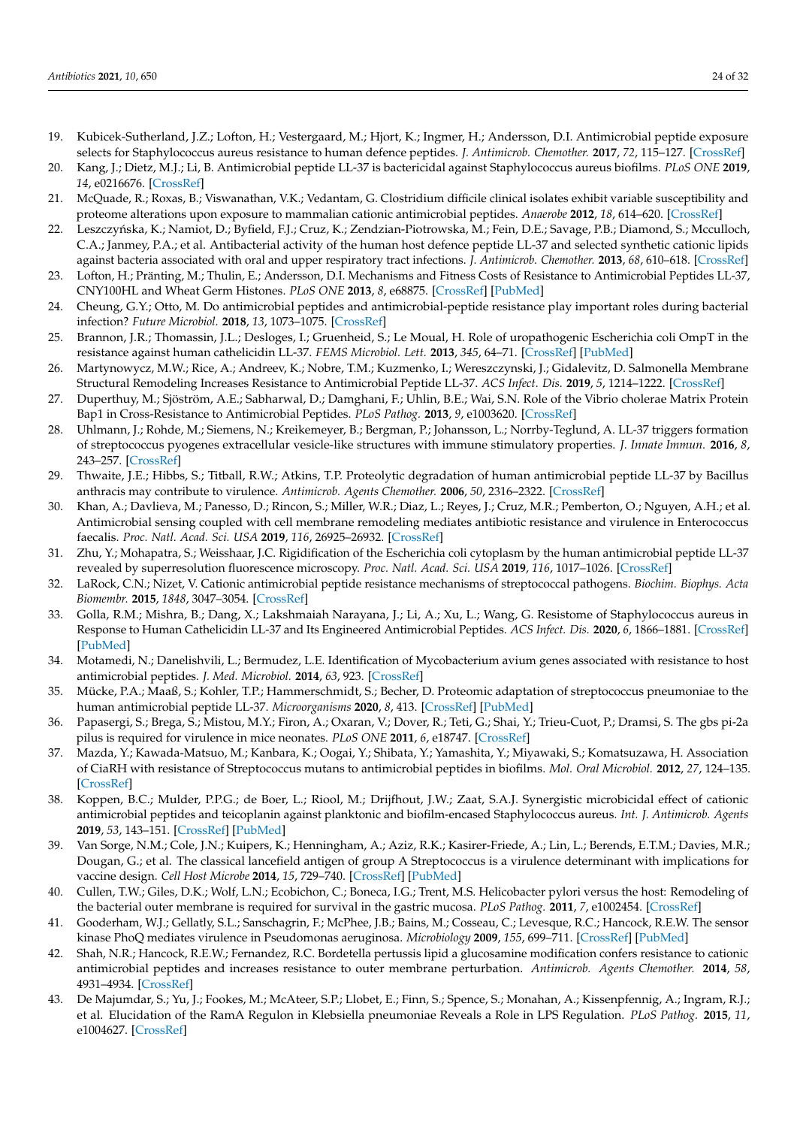- <span id="page-23-0"></span>19. Kubicek-Sutherland, J.Z.; Lofton, H.; Vestergaard, M.; Hjort, K.; Ingmer, H.; Andersson, D.I. Antimicrobial peptide exposure selects for Staphylococcus aureus resistance to human defence peptides. *J. Antimicrob. Chemother.* **2017**, *72*, 115–127. [\[CrossRef\]](http://doi.org/10.1093/jac/dkw381)
- <span id="page-23-5"></span>20. Kang, J.; Dietz, M.J.; Li, B. Antimicrobial peptide LL-37 is bactericidal against Staphylococcus aureus biofilms. *PLoS ONE* **2019**, *14*, e0216676. [\[CrossRef\]](http://doi.org/10.1371/journal.pone.0216676)
- <span id="page-23-3"></span>21. McQuade, R.; Roxas, B.; Viswanathan, V.K.; Vedantam, G. Clostridium difficile clinical isolates exhibit variable susceptibility and proteome alterations upon exposure to mammalian cationic antimicrobial peptides. *Anaerobe* **2012**, *18*, 614–620. [\[CrossRef\]](http://doi.org/10.1016/j.anaerobe.2012.09.004)
- <span id="page-23-1"></span>22. Leszczyńska, K.; Namiot, D.; Byfield, F.J.; Cruz, K.; Zendzian-Piotrowska, M.; Fein, D.E.; Savage, P.B.; Diamond, S.; Mcculloch, C.A.; Janmey, P.A.; et al. Antibacterial activity of the human host defence peptide LL-37 and selected synthetic cationic lipids against bacteria associated with oral and upper respiratory tract infections. *J. Antimicrob. Chemother.* **2013**, *68*, 610–618. [\[CrossRef\]](http://doi.org/10.1093/jac/dks434)
- <span id="page-23-2"></span>23. Lofton, H.; Pränting, M.; Thulin, E.; Andersson, D.I. Mechanisms and Fitness Costs of Resistance to Antimicrobial Peptides LL-37, CNY100HL and Wheat Germ Histones. *PLoS ONE* **2013**, *8*, e68875. [\[CrossRef\]](http://doi.org/10.1371/journal.pone.0068875) [\[PubMed\]](http://www.ncbi.nlm.nih.gov/pubmed/23894360)
- <span id="page-23-4"></span>24. Cheung, G.Y.; Otto, M. Do antimicrobial peptides and antimicrobial-peptide resistance play important roles during bacterial infection? *Future Microbiol.* **2018**, *13*, 1073–1075. [\[CrossRef\]](http://doi.org/10.2217/fmb-2018-0138)
- <span id="page-23-6"></span>25. Brannon, J.R.; Thomassin, J.L.; Desloges, I.; Gruenheid, S.; Le Moual, H. Role of uropathogenic Escherichia coli OmpT in the resistance against human cathelicidin LL-37. *FEMS Microbiol. Lett.* **2013**, *345*, 64–71. [\[CrossRef\]](http://doi.org/10.1111/1574-6968.12185) [\[PubMed\]](http://www.ncbi.nlm.nih.gov/pubmed/23710656)
- <span id="page-23-7"></span>26. Martynowycz, M.W.; Rice, A.; Andreev, K.; Nobre, T.M.; Kuzmenko, I.; Wereszczynski, J.; Gidalevitz, D. Salmonella Membrane Structural Remodeling Increases Resistance to Antimicrobial Peptide LL-37. *ACS Infect. Dis.* **2019**, *5*, 1214–1222. [\[CrossRef\]](http://doi.org/10.1021/acsinfecdis.9b00066)
- <span id="page-23-8"></span>27. Duperthuy, M.; Sjöström, A.E.; Sabharwal, D.; Damghani, F.; Uhlin, B.E.; Wai, S.N. Role of the Vibrio cholerae Matrix Protein Bap1 in Cross-Resistance to Antimicrobial Peptides. *PLoS Pathog.* **2013**, *9*, e1003620. [\[CrossRef\]](http://doi.org/10.1371/journal.ppat.1003620)
- <span id="page-23-9"></span>28. Uhlmann, J.; Rohde, M.; Siemens, N.; Kreikemeyer, B.; Bergman, P.; Johansson, L.; Norrby-Teglund, A. LL-37 triggers formation of streptococcus pyogenes extracellular vesicle-like structures with immune stimulatory properties. *J. Innate Immun.* **2016**, *8*, 243–257. [\[CrossRef\]](http://doi.org/10.1159/000441896)
- <span id="page-23-10"></span>29. Thwaite, J.E.; Hibbs, S.; Titball, R.W.; Atkins, T.P. Proteolytic degradation of human antimicrobial peptide LL-37 by Bacillus anthracis may contribute to virulence. *Antimicrob. Agents Chemother.* **2006**, *50*, 2316–2322. [\[CrossRef\]](http://doi.org/10.1128/AAC.01488-05)
- <span id="page-23-11"></span>30. Khan, A.; Davlieva, M.; Panesso, D.; Rincon, S.; Miller, W.R.; Diaz, L.; Reyes, J.; Cruz, M.R.; Pemberton, O.; Nguyen, A.H.; et al. Antimicrobial sensing coupled with cell membrane remodeling mediates antibiotic resistance and virulence in Enterococcus faecalis. *Proc. Natl. Acad. Sci. USA* **2019**, *116*, 26925–26932. [\[CrossRef\]](http://doi.org/10.1073/pnas.1916037116)
- <span id="page-23-12"></span>31. Zhu, Y.; Mohapatra, S.; Weisshaar, J.C. Rigidification of the Escherichia coli cytoplasm by the human antimicrobial peptide LL-37 revealed by superresolution fluorescence microscopy. *Proc. Natl. Acad. Sci. USA* **2019**, *116*, 1017–1026. [\[CrossRef\]](http://doi.org/10.1073/pnas.1814924116)
- <span id="page-23-14"></span>32. LaRock, C.N.; Nizet, V. Cationic antimicrobial peptide resistance mechanisms of streptococcal pathogens. *Biochim. Biophys. Acta Biomembr.* **2015**, *1848*, 3047–3054. [\[CrossRef\]](http://doi.org/10.1016/j.bbamem.2015.02.010)
- <span id="page-23-13"></span>33. Golla, R.M.; Mishra, B.; Dang, X.; Lakshmaiah Narayana, J.; Li, A.; Xu, L.; Wang, G. Resistome of Staphylococcus aureus in Response to Human Cathelicidin LL-37 and Its Engineered Antimicrobial Peptides. *ACS Infect. Dis.* **2020**, *6*, 1866–1881. [\[CrossRef\]](http://doi.org/10.1021/acsinfecdis.0c00112) [\[PubMed\]](http://www.ncbi.nlm.nih.gov/pubmed/32343547)
- <span id="page-23-15"></span>34. Motamedi, N.; Danelishvili, L.; Bermudez, L.E. Identification of Mycobacterium avium genes associated with resistance to host antimicrobial peptides. *J. Med. Microbiol.* **2014**, *63*, 923. [\[CrossRef\]](http://doi.org/10.1099/jmm.0.072744-0)
- <span id="page-23-16"></span>35. Mücke, P.A.; Maaß, S.; Kohler, T.P.; Hammerschmidt, S.; Becher, D. Proteomic adaptation of streptococcus pneumoniae to the human antimicrobial peptide LL-37. *Microorganisms* **2020**, *8*, 413. [\[CrossRef\]](http://doi.org/10.3390/microorganisms8030413) [\[PubMed\]](http://www.ncbi.nlm.nih.gov/pubmed/32183275)
- <span id="page-23-17"></span>36. Papasergi, S.; Brega, S.; Mistou, M.Y.; Firon, A.; Oxaran, V.; Dover, R.; Teti, G.; Shai, Y.; Trieu-Cuot, P.; Dramsi, S. The gbs pi-2a pilus is required for virulence in mice neonates. *PLoS ONE* **2011**, *6*, e18747. [\[CrossRef\]](http://doi.org/10.1371/journal.pone.0018747)
- <span id="page-23-18"></span>37. Mazda, Y.; Kawada-Matsuo, M.; Kanbara, K.; Oogai, Y.; Shibata, Y.; Yamashita, Y.; Miyawaki, S.; Komatsuzawa, H. Association of CiaRH with resistance of Streptococcus mutans to antimicrobial peptides in biofilms. *Mol. Oral Microbiol.* **2012**, *27*, 124–135. [\[CrossRef\]](http://doi.org/10.1111/j.2041-1014.2012.00637.x)
- <span id="page-23-19"></span>38. Koppen, B.C.; Mulder, P.P.G.; de Boer, L.; Riool, M.; Drijfhout, J.W.; Zaat, S.A.J. Synergistic microbicidal effect of cationic antimicrobial peptides and teicoplanin against planktonic and biofilm-encased Staphylococcus aureus. *Int. J. Antimicrob. Agents* **2019**, *53*, 143–151. [\[CrossRef\]](http://doi.org/10.1016/j.ijantimicag.2018.10.002) [\[PubMed\]](http://www.ncbi.nlm.nih.gov/pubmed/30315918)
- <span id="page-23-20"></span>39. Van Sorge, N.M.; Cole, J.N.; Kuipers, K.; Henningham, A.; Aziz, R.K.; Kasirer-Friede, A.; Lin, L.; Berends, E.T.M.; Davies, M.R.; Dougan, G.; et al. The classical lancefield antigen of group A Streptococcus is a virulence determinant with implications for vaccine design. *Cell Host Microbe* **2014**, *15*, 729–740. [\[CrossRef\]](http://doi.org/10.1016/j.chom.2014.05.009) [\[PubMed\]](http://www.ncbi.nlm.nih.gov/pubmed/24922575)
- <span id="page-23-21"></span>40. Cullen, T.W.; Giles, D.K.; Wolf, L.N.; Ecobichon, C.; Boneca, I.G.; Trent, M.S. Helicobacter pylori versus the host: Remodeling of the bacterial outer membrane is required for survival in the gastric mucosa. *PLoS Pathog.* **2011**, *7*, e1002454. [\[CrossRef\]](http://doi.org/10.1371/journal.ppat.1002454)
- <span id="page-23-22"></span>41. Gooderham, W.J.; Gellatly, S.L.; Sanschagrin, F.; McPhee, J.B.; Bains, M.; Cosseau, C.; Levesque, R.C.; Hancock, R.E.W. The sensor kinase PhoQ mediates virulence in Pseudomonas aeruginosa. *Microbiology* **2009**, *155*, 699–711. [\[CrossRef\]](http://doi.org/10.1099/mic.0.024554-0) [\[PubMed\]](http://www.ncbi.nlm.nih.gov/pubmed/19246741)
- <span id="page-23-23"></span>42. Shah, N.R.; Hancock, R.E.W.; Fernandez, R.C. Bordetella pertussis lipid a glucosamine modification confers resistance to cationic antimicrobial peptides and increases resistance to outer membrane perturbation. *Antimicrob. Agents Chemother.* **2014**, *58*, 4931–4934. [\[CrossRef\]](http://doi.org/10.1128/AAC.02590-14)
- <span id="page-23-24"></span>43. De Majumdar, S.; Yu, J.; Fookes, M.; McAteer, S.P.; Llobet, E.; Finn, S.; Spence, S.; Monahan, A.; Kissenpfennig, A.; Ingram, R.J.; et al. Elucidation of the RamA Regulon in Klebsiella pneumoniae Reveals a Role in LPS Regulation. *PLoS Pathog.* **2015**, *11*, e1004627. [\[CrossRef\]](http://doi.org/10.1371/journal.ppat.1004627)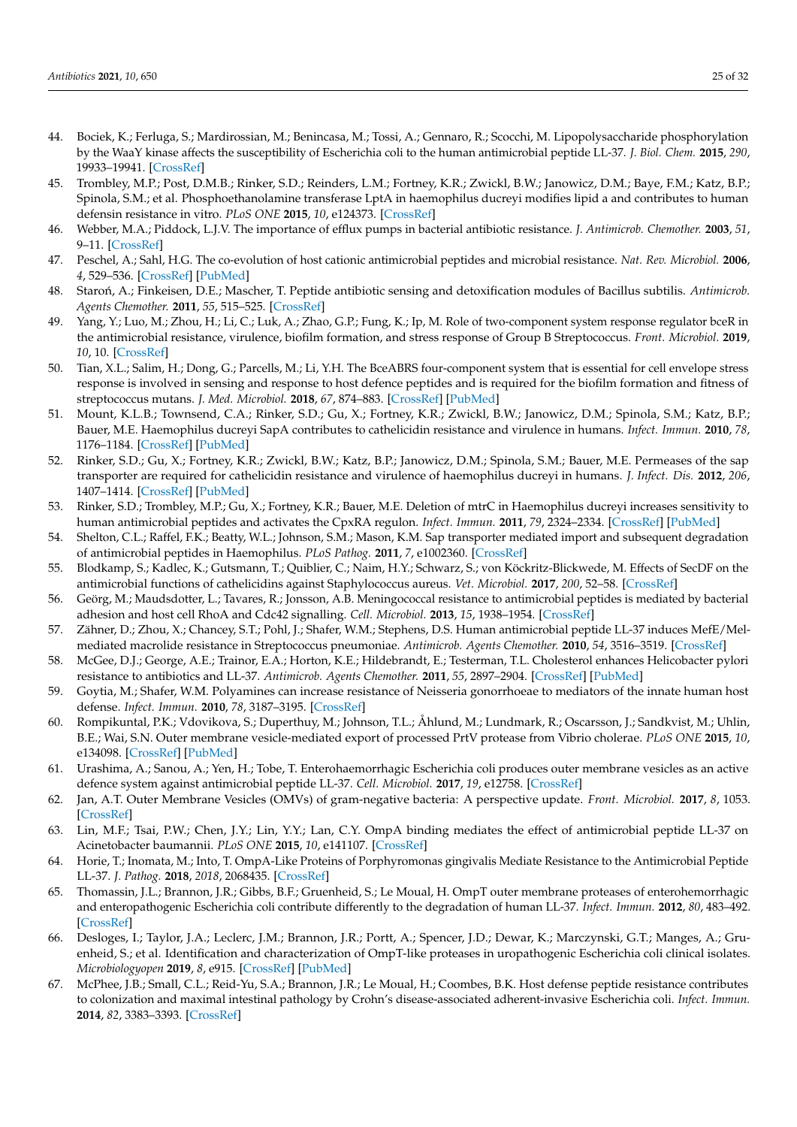- <span id="page-24-0"></span>44. Bociek, K.; Ferluga, S.; Mardirossian, M.; Benincasa, M.; Tossi, A.; Gennaro, R.; Scocchi, M. Lipopolysaccharide phosphorylation by the WaaY kinase affects the susceptibility of Escherichia coli to the human antimicrobial peptide LL-37. *J. Biol. Chem.* **2015**, *290*, 19933–19941. [\[CrossRef\]](http://doi.org/10.1074/jbc.M114.634758)
- <span id="page-24-1"></span>45. Trombley, M.P.; Post, D.M.B.; Rinker, S.D.; Reinders, L.M.; Fortney, K.R.; Zwickl, B.W.; Janowicz, D.M.; Baye, F.M.; Katz, B.P.; Spinola, S.M.; et al. Phosphoethanolamine transferase LptA in haemophilus ducreyi modifies lipid a and contributes to human defensin resistance in vitro. *PLoS ONE* **2015**, *10*, e124373. [\[CrossRef\]](http://doi.org/10.1371/journal.pone.0124373)
- <span id="page-24-2"></span>46. Webber, M.A.; Piddock, L.J.V. The importance of efflux pumps in bacterial antibiotic resistance. *J. Antimicrob. Chemother.* **2003**, *51*, 9–11. [\[CrossRef\]](http://doi.org/10.1093/jac/dkg050)
- <span id="page-24-3"></span>47. Peschel, A.; Sahl, H.G. The co-evolution of host cationic antimicrobial peptides and microbial resistance. *Nat. Rev. Microbiol.* **2006**, *4*, 529–536. [\[CrossRef\]](http://doi.org/10.1038/nrmicro1441) [\[PubMed\]](http://www.ncbi.nlm.nih.gov/pubmed/16778838)
- <span id="page-24-4"></span>48. Staroń, A.; Finkeisen, D.E.; Mascher, T. Peptide antibiotic sensing and detoxification modules of Bacillus subtilis. *Antimicrob. Agents Chemother.* **2011**, *55*, 515–525. [\[CrossRef\]](http://doi.org/10.1128/AAC.00352-10)
- <span id="page-24-6"></span>49. Yang, Y.; Luo, M.; Zhou, H.; Li, C.; Luk, A.; Zhao, G.P.; Fung, K.; Ip, M. Role of two-component system response regulator bceR in the antimicrobial resistance, virulence, biofilm formation, and stress response of Group B Streptococcus. *Front. Microbiol.* **2019**, *10*, 10. [\[CrossRef\]](http://doi.org/10.3389/fmicb.2019.00010)
- <span id="page-24-5"></span>50. Tian, X.L.; Salim, H.; Dong, G.; Parcells, M.; Li, Y.H. The BceABRS four-component system that is essential for cell envelope stress response is involved in sensing and response to host defence peptides and is required for the biofilm formation and fitness of streptococcus mutans. *J. Med. Microbiol.* **2018**, *67*, 874–883. [\[CrossRef\]](http://doi.org/10.1099/jmm.0.000733) [\[PubMed\]](http://www.ncbi.nlm.nih.gov/pubmed/29671721)
- <span id="page-24-7"></span>51. Mount, K.L.B.; Townsend, C.A.; Rinker, S.D.; Gu, X.; Fortney, K.R.; Zwickl, B.W.; Janowicz, D.M.; Spinola, S.M.; Katz, B.P.; Bauer, M.E. Haemophilus ducreyi SapA contributes to cathelicidin resistance and virulence in humans. *Infect. Immun.* **2010**, *78*, 1176–1184. [\[CrossRef\]](http://doi.org/10.1128/IAI.01014-09) [\[PubMed\]](http://www.ncbi.nlm.nih.gov/pubmed/20086092)
- <span id="page-24-9"></span>52. Rinker, S.D.; Gu, X.; Fortney, K.R.; Zwickl, B.W.; Katz, B.P.; Janowicz, D.M.; Spinola, S.M.; Bauer, M.E. Permeases of the sap transporter are required for cathelicidin resistance and virulence of haemophilus ducreyi in humans. *J. Infect. Dis.* **2012**, *206*, 1407–1414. [\[CrossRef\]](http://doi.org/10.1093/infdis/jis525) [\[PubMed\]](http://www.ncbi.nlm.nih.gov/pubmed/22930807)
- <span id="page-24-10"></span>53. Rinker, S.D.; Trombley, M.P.; Gu, X.; Fortney, K.R.; Bauer, M.E. Deletion of mtrC in Haemophilus ducreyi increases sensitivity to human antimicrobial peptides and activates the CpxRA regulon. *Infect. Immun.* **2011**, *79*, 2324–2334. [\[CrossRef\]](http://doi.org/10.1128/IAI.01316-10) [\[PubMed\]](http://www.ncbi.nlm.nih.gov/pubmed/21444663)
- <span id="page-24-8"></span>54. Shelton, C.L.; Raffel, F.K.; Beatty, W.L.; Johnson, S.M.; Mason, K.M. Sap transporter mediated import and subsequent degradation of antimicrobial peptides in Haemophilus. *PLoS Pathog.* **2011**, *7*, e1002360. [\[CrossRef\]](http://doi.org/10.1371/journal.ppat.1002360)
- <span id="page-24-11"></span>55. Blodkamp, S.; Kadlec, K.; Gutsmann, T.; Quiblier, C.; Naim, H.Y.; Schwarz, S.; von Köckritz-Blickwede, M. Effects of SecDF on the antimicrobial functions of cathelicidins against Staphylococcus aureus. *Vet. Microbiol.* **2017**, *200*, 52–58. [\[CrossRef\]](http://doi.org/10.1016/j.vetmic.2016.03.021)
- <span id="page-24-12"></span>56. Geörg, M.; Maudsdotter, L.; Tavares, R.; Jonsson, A.B. Meningococcal resistance to antimicrobial peptides is mediated by bacterial adhesion and host cell RhoA and Cdc42 signalling. *Cell. Microbiol.* **2013**, *15*, 1938–1954. [\[CrossRef\]](http://doi.org/10.1111/cmi.12163)
- <span id="page-24-13"></span>57. Zähner, D.; Zhou, X.; Chancey, S.T.; Pohl, J.; Shafer, W.M.; Stephens, D.S. Human antimicrobial peptide LL-37 induces MefE/Melmediated macrolide resistance in Streptococcus pneumoniae. *Antimicrob. Agents Chemother.* **2010**, *54*, 3516–3519. [\[CrossRef\]](http://doi.org/10.1128/AAC.01756-09)
- <span id="page-24-14"></span>58. McGee, D.J.; George, A.E.; Trainor, E.A.; Horton, K.E.; Hildebrandt, E.; Testerman, T.L. Cholesterol enhances Helicobacter pylori resistance to antibiotics and LL-37. *Antimicrob. Agents Chemother.* **2011**, *55*, 2897–2904. [\[CrossRef\]](http://doi.org/10.1128/AAC.00016-11) [\[PubMed\]](http://www.ncbi.nlm.nih.gov/pubmed/21464244)
- <span id="page-24-15"></span>59. Goytia, M.; Shafer, W.M. Polyamines can increase resistance of Neisseria gonorrhoeae to mediators of the innate human host defense. *Infect. Immun.* **2010**, *78*, 3187–3195. [\[CrossRef\]](http://doi.org/10.1128/IAI.01301-09)
- <span id="page-24-16"></span>60. Rompikuntal, P.K.; Vdovikova, S.; Duperthuy, M.; Johnson, T.L.; Åhlund, M.; Lundmark, R.; Oscarsson, J.; Sandkvist, M.; Uhlin, B.E.; Wai, S.N. Outer membrane vesicle-mediated export of processed PrtV protease from Vibrio cholerae. *PLoS ONE* **2015**, *10*, e134098. [\[CrossRef\]](http://doi.org/10.1371/journal.pone.0134098) [\[PubMed\]](http://www.ncbi.nlm.nih.gov/pubmed/26222047)
- <span id="page-24-17"></span>61. Urashima, A.; Sanou, A.; Yen, H.; Tobe, T. Enterohaemorrhagic Escherichia coli produces outer membrane vesicles as an active defence system against antimicrobial peptide LL-37. *Cell. Microbiol.* **2017**, *19*, e12758. [\[CrossRef\]](http://doi.org/10.1111/cmi.12758)
- <span id="page-24-18"></span>62. Jan, A.T. Outer Membrane Vesicles (OMVs) of gram-negative bacteria: A perspective update. *Front. Microbiol.* **2017**, *8*, 1053. [\[CrossRef\]](http://doi.org/10.3389/fmicb.2017.01053)
- <span id="page-24-19"></span>63. Lin, M.F.; Tsai, P.W.; Chen, J.Y.; Lin, Y.Y.; Lan, C.Y. OmpA binding mediates the effect of antimicrobial peptide LL-37 on Acinetobacter baumannii. *PLoS ONE* **2015**, *10*, e141107. [\[CrossRef\]](http://doi.org/10.1371/journal.pone.0141107)
- <span id="page-24-20"></span>64. Horie, T.; Inomata, M.; Into, T. OmpA-Like Proteins of Porphyromonas gingivalis Mediate Resistance to the Antimicrobial Peptide LL-37. *J. Pathog.* **2018**, *2018*, 2068435. [\[CrossRef\]](http://doi.org/10.1155/2018/2068435)
- <span id="page-24-21"></span>65. Thomassin, J.L.; Brannon, J.R.; Gibbs, B.F.; Gruenheid, S.; Le Moual, H. OmpT outer membrane proteases of enterohemorrhagic and enteropathogenic Escherichia coli contribute differently to the degradation of human LL-37. *Infect. Immun.* **2012**, *80*, 483–492. [\[CrossRef\]](http://doi.org/10.1128/IAI.05674-11)
- <span id="page-24-22"></span>66. Desloges, I.; Taylor, J.A.; Leclerc, J.M.; Brannon, J.R.; Portt, A.; Spencer, J.D.; Dewar, K.; Marczynski, G.T.; Manges, A.; Gruenheid, S.; et al. Identification and characterization of OmpT-like proteases in uropathogenic Escherichia coli clinical isolates. *Microbiologyopen* **2019**, *8*, e915. [\[CrossRef\]](http://doi.org/10.1002/mbo3.915) [\[PubMed\]](http://www.ncbi.nlm.nih.gov/pubmed/31496120)
- <span id="page-24-23"></span>67. McPhee, J.B.; Small, C.L.; Reid-Yu, S.A.; Brannon, J.R.; Le Moual, H.; Coombes, B.K. Host defense peptide resistance contributes to colonization and maximal intestinal pathology by Crohn's disease-associated adherent-invasive Escherichia coli. *Infect. Immun.* **2014**, *82*, 3383–3393. [\[CrossRef\]](http://doi.org/10.1128/IAI.01888-14)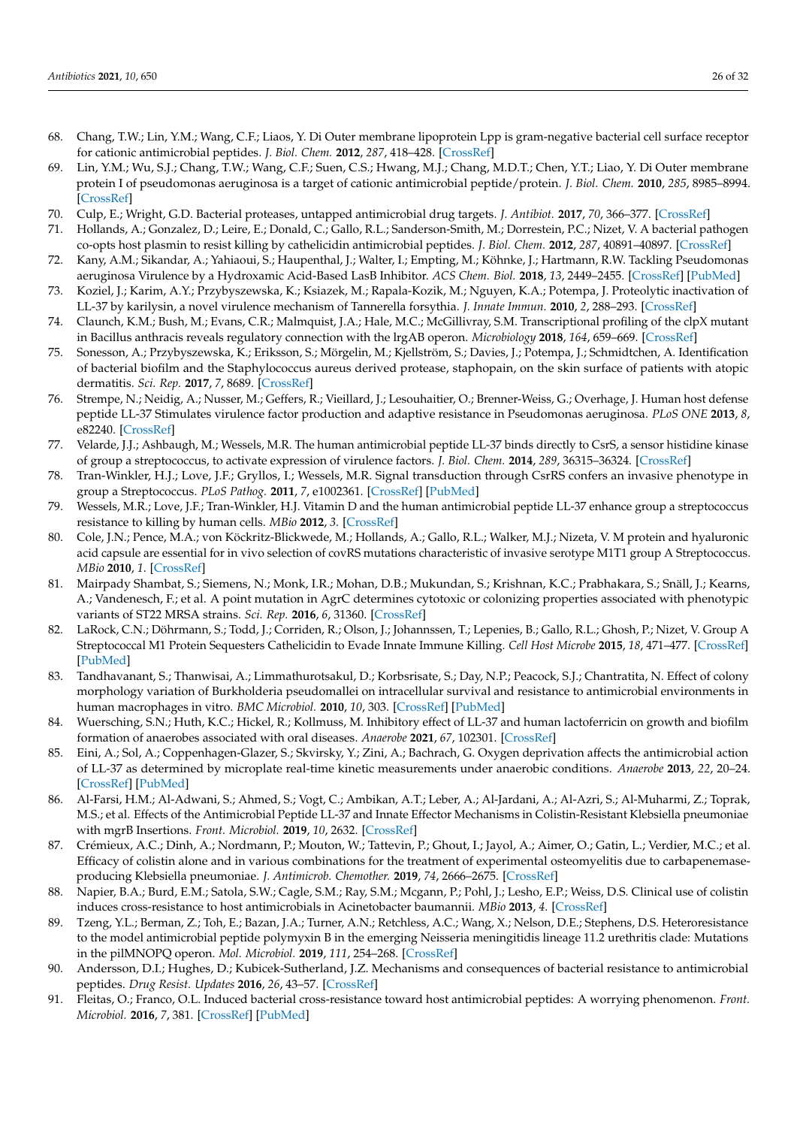- <span id="page-25-0"></span>68. Chang, T.W.; Lin, Y.M.; Wang, C.F.; Liaos, Y. Di Outer membrane lipoprotein Lpp is gram-negative bacterial cell surface receptor for cationic antimicrobial peptides. *J. Biol. Chem.* **2012**, *287*, 418–428. [\[CrossRef\]](http://doi.org/10.1074/jbc.M111.290361)
- <span id="page-25-1"></span>69. Lin, Y.M.; Wu, S.J.; Chang, T.W.; Wang, C.F.; Suen, C.S.; Hwang, M.J.; Chang, M.D.T.; Chen, Y.T.; Liao, Y. Di Outer membrane protein I of pseudomonas aeruginosa is a target of cationic antimicrobial peptide/protein. *J. Biol. Chem.* **2010**, *285*, 8985–8994. [\[CrossRef\]](http://doi.org/10.1074/jbc.M109.078725)
- <span id="page-25-2"></span>70. Culp, E.; Wright, G.D. Bacterial proteases, untapped antimicrobial drug targets. *J. Antibiot.* **2017**, *70*, 366–377. [\[CrossRef\]](http://doi.org/10.1038/ja.2016.138)
- <span id="page-25-3"></span>71. Hollands, A.; Gonzalez, D.; Leire, E.; Donald, C.; Gallo, R.L.; Sanderson-Smith, M.; Dorrestein, P.C.; Nizet, V. A bacterial pathogen co-opts host plasmin to resist killing by cathelicidin antimicrobial peptides. *J. Biol. Chem.* **2012**, *287*, 40891–40897. [\[CrossRef\]](http://doi.org/10.1074/jbc.M112.404582)
- <span id="page-25-4"></span>72. Kany, A.M.; Sikandar, A.; Yahiaoui, S.; Haupenthal, J.; Walter, I.; Empting, M.; Köhnke, J.; Hartmann, R.W. Tackling Pseudomonas aeruginosa Virulence by a Hydroxamic Acid-Based LasB Inhibitor. *ACS Chem. Biol.* **2018**, *13*, 2449–2455. [\[CrossRef\]](http://doi.org/10.1021/acschembio.8b00257) [\[PubMed\]](http://www.ncbi.nlm.nih.gov/pubmed/30088919)
- <span id="page-25-5"></span>73. Koziel, J.; Karim, A.Y.; Przybyszewska, K.; Ksiazek, M.; Rapala-Kozik, M.; Nguyen, K.A.; Potempa, J. Proteolytic inactivation of LL-37 by karilysin, a novel virulence mechanism of Tannerella forsythia. *J. Innate Immun.* **2010**, *2*, 288–293. [\[CrossRef\]](http://doi.org/10.1159/000281881)
- <span id="page-25-6"></span>74. Claunch, K.M.; Bush, M.; Evans, C.R.; Malmquist, J.A.; Hale, M.C.; McGillivray, S.M. Transcriptional profiling of the clpX mutant in Bacillus anthracis reveals regulatory connection with the lrgAB operon. *Microbiology* **2018**, *164*, 659–669. [\[CrossRef\]](http://doi.org/10.1099/mic.0.000628)
- <span id="page-25-7"></span>75. Sonesson, A.; Przybyszewska, K.; Eriksson, S.; Mörgelin, M.; Kjellström, S.; Davies, J.; Potempa, J.; Schmidtchen, A. Identification of bacterial biofilm and the Staphylococcus aureus derived protease, staphopain, on the skin surface of patients with atopic dermatitis. *Sci. Rep.* **2017**, *7*, 8689. [\[CrossRef\]](http://doi.org/10.1038/s41598-017-08046-2)
- <span id="page-25-8"></span>76. Strempe, N.; Neidig, A.; Nusser, M.; Geffers, R.; Vieillard, J.; Lesouhaitier, O.; Brenner-Weiss, G.; Overhage, J. Human host defense peptide LL-37 Stimulates virulence factor production and adaptive resistance in Pseudomonas aeruginosa. *PLoS ONE* **2013**, *8*, e82240. [\[CrossRef\]](http://doi.org/10.1371/journal.pone.0082240)
- <span id="page-25-9"></span>77. Velarde, J.J.; Ashbaugh, M.; Wessels, M.R. The human antimicrobial peptide LL-37 binds directly to CsrS, a sensor histidine kinase of group a streptococcus, to activate expression of virulence factors. *J. Biol. Chem.* **2014**, *289*, 36315–36324. [\[CrossRef\]](http://doi.org/10.1074/jbc.M114.605394)
- <span id="page-25-10"></span>78. Tran-Winkler, H.J.; Love, J.F.; Gryllos, I.; Wessels, M.R. Signal transduction through CsrRS confers an invasive phenotype in group a Streptococcus. *PLoS Pathog.* **2011**, *7*, e1002361. [\[CrossRef\]](http://doi.org/10.1371/journal.ppat.1002361) [\[PubMed\]](http://www.ncbi.nlm.nih.gov/pubmed/22046138)
- <span id="page-25-11"></span>79. Wessels, M.R.; Love, J.F.; Tran-Winkler, H.J. Vitamin D and the human antimicrobial peptide LL-37 enhance group a streptococcus resistance to killing by human cells. *MBio* **2012**, *3*. [\[CrossRef\]](http://doi.org/10.1128/mBio.00394-12)
- <span id="page-25-12"></span>80. Cole, J.N.; Pence, M.A.; von Köckritz-Blickwede, M.; Hollands, A.; Gallo, R.L.; Walker, M.J.; Nizeta, V. M protein and hyaluronic acid capsule are essential for in vivo selection of covRS mutations characteristic of invasive serotype M1T1 group A Streptococcus. *MBio* **2010**, *1*. [\[CrossRef\]](http://doi.org/10.1128/mBio.00191-10)
- <span id="page-25-13"></span>81. Mairpady Shambat, S.; Siemens, N.; Monk, I.R.; Mohan, D.B.; Mukundan, S.; Krishnan, K.C.; Prabhakara, S.; Snäll, J.; Kearns, A.; Vandenesch, F.; et al. A point mutation in AgrC determines cytotoxic or colonizing properties associated with phenotypic variants of ST22 MRSA strains. *Sci. Rep.* **2016**, *6*, 31360. [\[CrossRef\]](http://doi.org/10.1038/srep31360)
- <span id="page-25-14"></span>82. LaRock, C.N.; Döhrmann, S.; Todd, J.; Corriden, R.; Olson, J.; Johannssen, T.; Lepenies, B.; Gallo, R.L.; Ghosh, P.; Nizet, V. Group A Streptococcal M1 Protein Sequesters Cathelicidin to Evade Innate Immune Killing. *Cell Host Microbe* **2015**, *18*, 471–477. [\[CrossRef\]](http://doi.org/10.1016/j.chom.2015.09.004) [\[PubMed\]](http://www.ncbi.nlm.nih.gov/pubmed/26468750)
- <span id="page-25-15"></span>83. Tandhavanant, S.; Thanwisai, A.; Limmathurotsakul, D.; Korbsrisate, S.; Day, N.P.; Peacock, S.J.; Chantratita, N. Effect of colony morphology variation of Burkholderia pseudomallei on intracellular survival and resistance to antimicrobial environments in human macrophages in vitro. *BMC Microbiol.* **2010**, *10*, 303. [\[CrossRef\]](http://doi.org/10.1186/1471-2180-10-303) [\[PubMed\]](http://www.ncbi.nlm.nih.gov/pubmed/21114871)
- <span id="page-25-16"></span>84. Wuersching, S.N.; Huth, K.C.; Hickel, R.; Kollmuss, M. Inhibitory effect of LL-37 and human lactoferricin on growth and biofilm formation of anaerobes associated with oral diseases. *Anaerobe* **2021**, *67*, 102301. [\[CrossRef\]](http://doi.org/10.1016/j.anaerobe.2020.102301)
- <span id="page-25-17"></span>85. Eini, A.; Sol, A.; Coppenhagen-Glazer, S.; Skvirsky, Y.; Zini, A.; Bachrach, G. Oxygen deprivation affects the antimicrobial action of LL-37 as determined by microplate real-time kinetic measurements under anaerobic conditions. *Anaerobe* **2013**, *22*, 20–24. [\[CrossRef\]](http://doi.org/10.1016/j.anaerobe.2013.04.014) [\[PubMed\]](http://www.ncbi.nlm.nih.gov/pubmed/23664904)
- <span id="page-25-18"></span>86. Al-Farsi, H.M.; Al-Adwani, S.; Ahmed, S.; Vogt, C.; Ambikan, A.T.; Leber, A.; Al-Jardani, A.; Al-Azri, S.; Al-Muharmi, Z.; Toprak, M.S.; et al. Effects of the Antimicrobial Peptide LL-37 and Innate Effector Mechanisms in Colistin-Resistant Klebsiella pneumoniae with mgrB Insertions. *Front. Microbiol.* **2019**, *10*, 2632. [\[CrossRef\]](http://doi.org/10.3389/fmicb.2019.02632)
- <span id="page-25-23"></span>87. Crémieux, A.C.; Dinh, A.; Nordmann, P.; Mouton, W.; Tattevin, P.; Ghout, I.; Jayol, A.; Aimer, O.; Gatin, L.; Verdier, M.C.; et al. Efficacy of colistin alone and in various combinations for the treatment of experimental osteomyelitis due to carbapenemaseproducing Klebsiella pneumoniae. *J. Antimicrob. Chemother.* **2019**, *74*, 2666–2675. [\[CrossRef\]](http://doi.org/10.1093/jac/dkz257)
- <span id="page-25-19"></span>88. Napier, B.A.; Burd, E.M.; Satola, S.W.; Cagle, S.M.; Ray, S.M.; Mcgann, P.; Pohl, J.; Lesho, E.P.; Weiss, D.S. Clinical use of colistin induces cross-resistance to host antimicrobials in Acinetobacter baumannii. *MBio* **2013**, *4*. [\[CrossRef\]](http://doi.org/10.1128/mBio.00021-13)
- <span id="page-25-20"></span>89. Tzeng, Y.L.; Berman, Z.; Toh, E.; Bazan, J.A.; Turner, A.N.; Retchless, A.C.; Wang, X.; Nelson, D.E.; Stephens, D.S. Heteroresistance to the model antimicrobial peptide polymyxin B in the emerging Neisseria meningitidis lineage 11.2 urethritis clade: Mutations in the pilMNOPQ operon. *Mol. Microbiol.* **2019**, *111*, 254–268. [\[CrossRef\]](http://doi.org/10.1111/mmi.14153)
- <span id="page-25-21"></span>90. Andersson, D.I.; Hughes, D.; Kubicek-Sutherland, J.Z. Mechanisms and consequences of bacterial resistance to antimicrobial peptides. *Drug Resist. Updates* **2016**, *26*, 43–57. [\[CrossRef\]](http://doi.org/10.1016/j.drup.2016.04.002)
- <span id="page-25-22"></span>91. Fleitas, O.; Franco, O.L. Induced bacterial cross-resistance toward host antimicrobial peptides: A worrying phenomenon. *Front. Microbiol.* **2016**, *7*, 381. [\[CrossRef\]](http://doi.org/10.3389/fmicb.2016.00381) [\[PubMed\]](http://www.ncbi.nlm.nih.gov/pubmed/27047486)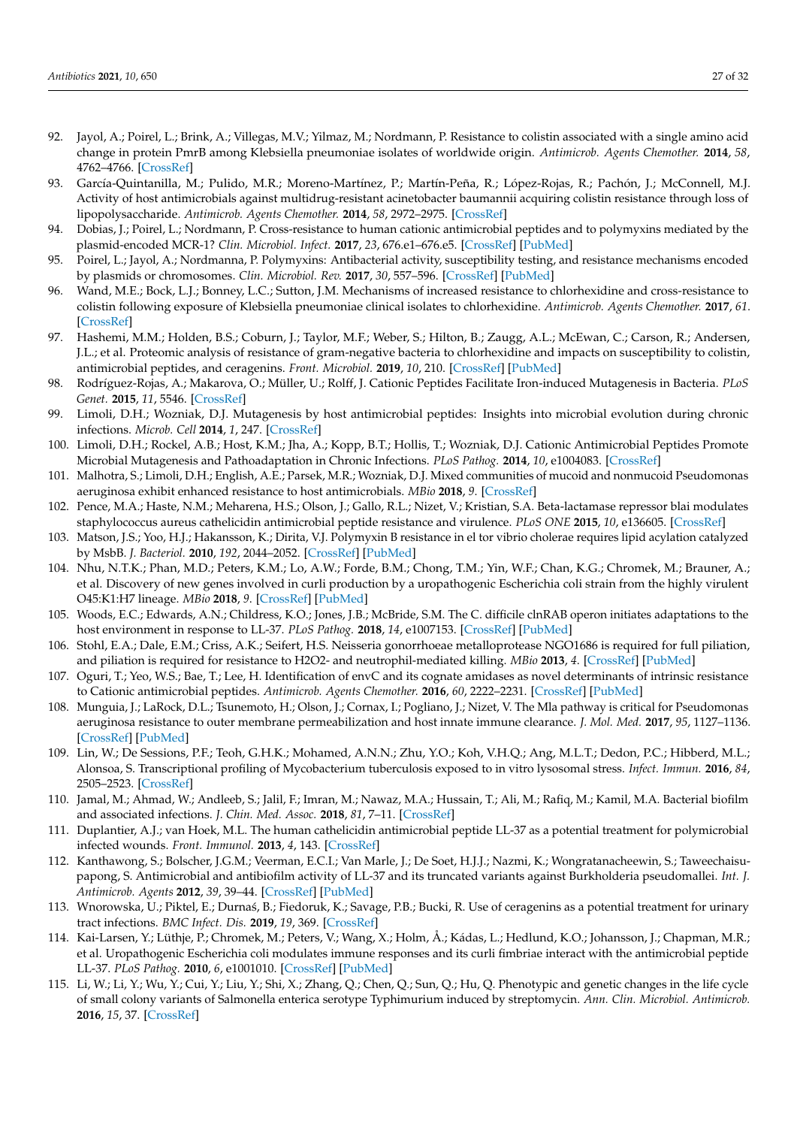- <span id="page-26-0"></span>92. Jayol, A.; Poirel, L.; Brink, A.; Villegas, M.V.; Yilmaz, M.; Nordmann, P. Resistance to colistin associated with a single amino acid change in protein PmrB among Klebsiella pneumoniae isolates of worldwide origin. *Antimicrob. Agents Chemother.* **2014**, *58*, 4762–4766. [\[CrossRef\]](http://doi.org/10.1128/AAC.00084-14)
- <span id="page-26-1"></span>93. García-Quintanilla, M.; Pulido, M.R.; Moreno-Martínez, P.; Martín-Peña, R.; López-Rojas, R.; Pachón, J.; McConnell, M.J. Activity of host antimicrobials against multidrug-resistant acinetobacter baumannii acquiring colistin resistance through loss of lipopolysaccharide. *Antimicrob. Agents Chemother.* **2014**, *58*, 2972–2975. [\[CrossRef\]](http://doi.org/10.1128/AAC.02642-13)
- <span id="page-26-2"></span>94. Dobias, J.; Poirel, L.; Nordmann, P. Cross-resistance to human cationic antimicrobial peptides and to polymyxins mediated by the plasmid-encoded MCR-1? *Clin. Microbiol. Infect.* **2017**, *23*, 676.e1–676.e5. [\[CrossRef\]](http://doi.org/10.1016/j.cmi.2017.03.015) [\[PubMed\]](http://www.ncbi.nlm.nih.gov/pubmed/28344161)
- <span id="page-26-3"></span>95. Poirel, L.; Jayol, A.; Nordmanna, P. Polymyxins: Antibacterial activity, susceptibility testing, and resistance mechanisms encoded by plasmids or chromosomes. *Clin. Microbiol. Rev.* **2017**, *30*, 557–596. [\[CrossRef\]](http://doi.org/10.1128/CMR.00064-16) [\[PubMed\]](http://www.ncbi.nlm.nih.gov/pubmed/28275006)
- <span id="page-26-4"></span>96. Wand, M.E.; Bock, L.J.; Bonney, L.C.; Sutton, J.M. Mechanisms of increased resistance to chlorhexidine and cross-resistance to colistin following exposure of Klebsiella pneumoniae clinical isolates to chlorhexidine. *Antimicrob. Agents Chemother.* **2017**, *61*. [\[CrossRef\]](http://doi.org/10.1128/AAC.01162-16)
- <span id="page-26-5"></span>97. Hashemi, M.M.; Holden, B.S.; Coburn, J.; Taylor, M.F.; Weber, S.; Hilton, B.; Zaugg, A.L.; McEwan, C.; Carson, R.; Andersen, J.L.; et al. Proteomic analysis of resistance of gram-negative bacteria to chlorhexidine and impacts on susceptibility to colistin, antimicrobial peptides, and ceragenins. *Front. Microbiol.* **2019**, *10*, 210. [\[CrossRef\]](http://doi.org/10.3389/fmicb.2019.00210) [\[PubMed\]](http://www.ncbi.nlm.nih.gov/pubmed/30833936)
- <span id="page-26-6"></span>98. Rodríguez-Rojas, A.; Makarova, O.; Müller, U.; Rolff, J. Cationic Peptides Facilitate Iron-induced Mutagenesis in Bacteria. *PLoS Genet.* **2015**, *11*, 5546. [\[CrossRef\]](http://doi.org/10.1371/journal.pgen.1005546)
- <span id="page-26-7"></span>99. Limoli, D.H.; Wozniak, D.J. Mutagenesis by host antimicrobial peptides: Insights into microbial evolution during chronic infections. *Microb. Cell* **2014**, *1*, 247. [\[CrossRef\]](http://doi.org/10.15698/mic2014.07.157)
- <span id="page-26-13"></span>100. Limoli, D.H.; Rockel, A.B.; Host, K.M.; Jha, A.; Kopp, B.T.; Hollis, T.; Wozniak, D.J. Cationic Antimicrobial Peptides Promote Microbial Mutagenesis and Pathoadaptation in Chronic Infections. *PLoS Pathog.* **2014**, *10*, e1004083. [\[CrossRef\]](http://doi.org/10.1371/journal.ppat.1004083)
- <span id="page-26-8"></span>101. Malhotra, S.; Limoli, D.H.; English, A.E.; Parsek, M.R.; Wozniak, D.J. Mixed communities of mucoid and nonmucoid Pseudomonas aeruginosa exhibit enhanced resistance to host antimicrobials. *MBio* **2018**, *9*. [\[CrossRef\]](http://doi.org/10.1128/mBio.00275-18)
- <span id="page-26-9"></span>102. Pence, M.A.; Haste, N.M.; Meharena, H.S.; Olson, J.; Gallo, R.L.; Nizet, V.; Kristian, S.A. Beta-lactamase repressor blai modulates staphylococcus aureus cathelicidin antimicrobial peptide resistance and virulence. *PLoS ONE* **2015**, *10*, e136605. [\[CrossRef\]](http://doi.org/10.1371/journal.pone.0136605)
- <span id="page-26-10"></span>103. Matson, J.S.; Yoo, H.J.; Hakansson, K.; Dirita, V.J. Polymyxin B resistance in el tor vibrio cholerae requires lipid acylation catalyzed by MsbB. *J. Bacteriol.* **2010**, *192*, 2044–2052. [\[CrossRef\]](http://doi.org/10.1128/JB.00023-10) [\[PubMed\]](http://www.ncbi.nlm.nih.gov/pubmed/20154134)
- <span id="page-26-11"></span>104. Nhu, N.T.K.; Phan, M.D.; Peters, K.M.; Lo, A.W.; Forde, B.M.; Chong, T.M.; Yin, W.F.; Chan, K.G.; Chromek, M.; Brauner, A.; et al. Discovery of new genes involved in curli production by a uropathogenic Escherichia coli strain from the highly virulent O45:K1:H7 lineage. *MBio* **2018**, *9*. [\[CrossRef\]](http://doi.org/10.1128/mBio.01462-18) [\[PubMed\]](http://www.ncbi.nlm.nih.gov/pubmed/30131362)
- <span id="page-26-12"></span>105. Woods, E.C.; Edwards, A.N.; Childress, K.O.; Jones, J.B.; McBride, S.M. The C. difficile clnRAB operon initiates adaptations to the host environment in response to LL-37. *PLoS Pathog.* **2018**, *14*, e1007153. [\[CrossRef\]](http://doi.org/10.1371/journal.ppat.1007153) [\[PubMed\]](http://www.ncbi.nlm.nih.gov/pubmed/30125334)
- <span id="page-26-14"></span>106. Stohl, E.A.; Dale, E.M.; Criss, A.K.; Seifert, H.S. Neisseria gonorrhoeae metalloprotease NGO1686 is required for full piliation, and piliation is required for resistance to H2O2- and neutrophil-mediated killing. *MBio* **2013**, *4*. [\[CrossRef\]](http://doi.org/10.1128/mBio.00399-13) [\[PubMed\]](http://www.ncbi.nlm.nih.gov/pubmed/23839218)
- <span id="page-26-15"></span>107. Oguri, T.; Yeo, W.S.; Bae, T.; Lee, H. Identification of envC and its cognate amidases as novel determinants of intrinsic resistance to Cationic antimicrobial peptides. *Antimicrob. Agents Chemother.* **2016**, *60*, 2222–2231. [\[CrossRef\]](http://doi.org/10.1128/AAC.02699-15) [\[PubMed\]](http://www.ncbi.nlm.nih.gov/pubmed/26810659)
- <span id="page-26-16"></span>108. Munguia, J.; LaRock, D.L.; Tsunemoto, H.; Olson, J.; Cornax, I.; Pogliano, J.; Nizet, V. The Mla pathway is critical for Pseudomonas aeruginosa resistance to outer membrane permeabilization and host innate immune clearance. *J. Mol. Med.* **2017**, *95*, 1127–1136. [\[CrossRef\]](http://doi.org/10.1007/s00109-017-1579-4) [\[PubMed\]](http://www.ncbi.nlm.nih.gov/pubmed/28844103)
- <span id="page-26-17"></span>109. Lin, W.; De Sessions, P.F.; Teoh, G.H.K.; Mohamed, A.N.N.; Zhu, Y.O.; Koh, V.H.Q.; Ang, M.L.T.; Dedon, P.C.; Hibberd, M.L.; Alonsoa, S. Transcriptional profiling of Mycobacterium tuberculosis exposed to in vitro lysosomal stress. *Infect. Immun.* **2016**, *84*, 2505–2523. [\[CrossRef\]](http://doi.org/10.1128/IAI.00072-16)
- <span id="page-26-18"></span>110. Jamal, M.; Ahmad, W.; Andleeb, S.; Jalil, F.; Imran, M.; Nawaz, M.A.; Hussain, T.; Ali, M.; Rafiq, M.; Kamil, M.A. Bacterial biofilm and associated infections. *J. Chin. Med. Assoc.* **2018**, *81*, 7–11. [\[CrossRef\]](http://doi.org/10.1016/j.jcma.2017.07.012)
- <span id="page-26-19"></span>111. Duplantier, A.J.; van Hoek, M.L. The human cathelicidin antimicrobial peptide LL-37 as a potential treatment for polymicrobial infected wounds. *Front. Immunol.* **2013**, *4*, 143. [\[CrossRef\]](http://doi.org/10.3389/fimmu.2013.00143)
- <span id="page-26-20"></span>112. Kanthawong, S.; Bolscher, J.G.M.; Veerman, E.C.I.; Van Marle, J.; De Soet, H.J.J.; Nazmi, K.; Wongratanacheewin, S.; Taweechaisupapong, S. Antimicrobial and antibiofilm activity of LL-37 and its truncated variants against Burkholderia pseudomallei. *Int. J. Antimicrob. Agents* **2012**, *39*, 39–44. [\[CrossRef\]](http://doi.org/10.1016/j.ijantimicag.2011.09.010) [\[PubMed\]](http://www.ncbi.nlm.nih.gov/pubmed/22005071)
- <span id="page-26-21"></span>113. Wnorowska, U.; Piktel, E.; Durnaś, B.; Fiedoruk, K.; Savage, P.B.; Bucki, R. Use of ceragenins as a potential treatment for urinary tract infections. *BMC Infect. Dis.* **2019**, *19*, 369. [\[CrossRef\]](http://doi.org/10.1186/s12879-019-3994-3)
- <span id="page-26-22"></span>114. Kai-Larsen, Y.; Lüthje, P.; Chromek, M.; Peters, V.; Wang, X.; Holm, Å.; Kádas, L.; Hedlund, K.O.; Johansson, J.; Chapman, M.R.; et al. Uropathogenic Escherichia coli modulates immune responses and its curli fimbriae interact with the antimicrobial peptide LL-37. *PLoS Pathog.* **2010**, *6*, e1001010. [\[CrossRef\]](http://doi.org/10.1371/journal.ppat.1001010) [\[PubMed\]](http://www.ncbi.nlm.nih.gov/pubmed/20661475)
- <span id="page-26-23"></span>115. Li, W.; Li, Y.; Wu, Y.; Cui, Y.; Liu, Y.; Shi, X.; Zhang, Q.; Chen, Q.; Sun, Q.; Hu, Q. Phenotypic and genetic changes in the life cycle of small colony variants of Salmonella enterica serotype Typhimurium induced by streptomycin. *Ann. Clin. Microbiol. Antimicrob.* **2016**, *15*, 37. [\[CrossRef\]](http://doi.org/10.1186/s12941-016-0151-3)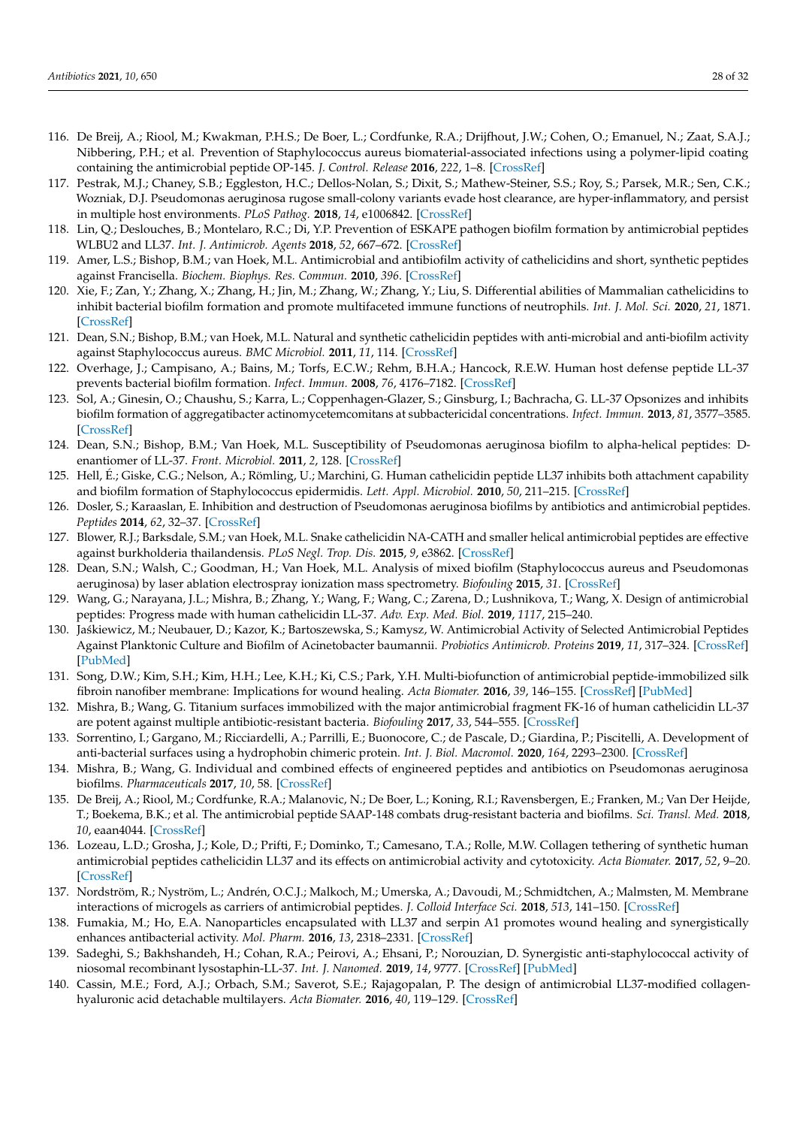- <span id="page-27-0"></span>116. De Breij, A.; Riool, M.; Kwakman, P.H.S.; De Boer, L.; Cordfunke, R.A.; Drijfhout, J.W.; Cohen, O.; Emanuel, N.; Zaat, S.A.J.; Nibbering, P.H.; et al. Prevention of Staphylococcus aureus biomaterial-associated infections using a polymer-lipid coating containing the antimicrobial peptide OP-145. *J. Control. Release* **2016**, *222*, 1–8. [\[CrossRef\]](http://doi.org/10.1016/j.jconrel.2015.12.003)
- <span id="page-27-1"></span>117. Pestrak, M.J.; Chaney, S.B.; Eggleston, H.C.; Dellos-Nolan, S.; Dixit, S.; Mathew-Steiner, S.S.; Roy, S.; Parsek, M.R.; Sen, C.K.; Wozniak, D.J. Pseudomonas aeruginosa rugose small-colony variants evade host clearance, are hyper-inflammatory, and persist in multiple host environments. *PLoS Pathog.* **2018**, *14*, e1006842. [\[CrossRef\]](http://doi.org/10.1371/journal.ppat.1006842)
- <span id="page-27-2"></span>118. Lin, Q.; Deslouches, B.; Montelaro, R.C.; Di, Y.P. Prevention of ESKAPE pathogen biofilm formation by antimicrobial peptides WLBU2 and LL37. *Int. J. Antimicrob. Agents* **2018**, *52*, 667–672. [\[CrossRef\]](http://doi.org/10.1016/j.ijantimicag.2018.04.019)
- 119. Amer, L.S.; Bishop, B.M.; van Hoek, M.L. Antimicrobial and antibiofilm activity of cathelicidins and short, synthetic peptides against Francisella. *Biochem. Biophys. Res. Commun.* **2010**, *396*. [\[CrossRef\]](http://doi.org/10.1016/j.bbrc.2010.04.073)
- <span id="page-27-3"></span>120. Xie, F.; Zan, Y.; Zhang, X.; Zhang, H.; Jin, M.; Zhang, W.; Zhang, Y.; Liu, S. Differential abilities of Mammalian cathelicidins to inhibit bacterial biofilm formation and promote multifaceted immune functions of neutrophils. *Int. J. Mol. Sci.* **2020**, *21*, 1871. [\[CrossRef\]](http://doi.org/10.3390/ijms21051871)
- <span id="page-27-4"></span>121. Dean, S.N.; Bishop, B.M.; van Hoek, M.L. Natural and synthetic cathelicidin peptides with anti-microbial and anti-biofilm activity against Staphylococcus aureus. *BMC Microbiol.* **2011**, *11*, 114. [\[CrossRef\]](http://doi.org/10.1186/1471-2180-11-114)
- <span id="page-27-8"></span>122. Overhage, J.; Campisano, A.; Bains, M.; Torfs, E.C.W.; Rehm, B.H.A.; Hancock, R.E.W. Human host defense peptide LL-37 prevents bacterial biofilm formation. *Infect. Immun.* **2008**, *76*, 4176–7182. [\[CrossRef\]](http://doi.org/10.1128/IAI.00318-08)
- <span id="page-27-5"></span>123. Sol, A.; Ginesin, O.; Chaushu, S.; Karra, L.; Coppenhagen-Glazer, S.; Ginsburg, I.; Bachracha, G. LL-37 Opsonizes and inhibits biofilm formation of aggregatibacter actinomycetemcomitans at subbactericidal concentrations. *Infect. Immun.* **2013**, *81*, 3577–3585. [\[CrossRef\]](http://doi.org/10.1128/IAI.01288-12)
- <span id="page-27-6"></span>124. Dean, S.N.; Bishop, B.M.; Van Hoek, M.L. Susceptibility of Pseudomonas aeruginosa biofilm to alpha-helical peptides: Denantiomer of LL-37. *Front. Microbiol.* **2011**, *2*, 128. [\[CrossRef\]](http://doi.org/10.3389/fmicb.2011.00128)
- <span id="page-27-7"></span>125. Hell, É.; Giske, C.G.; Nelson, A.; Römling, U.; Marchini, G. Human cathelicidin peptide LL37 inhibits both attachment capability and biofilm formation of Staphylococcus epidermidis. *Lett. Appl. Microbiol.* **2010**, *50*, 211–215. [\[CrossRef\]](http://doi.org/10.1111/j.1472-765X.2009.02778.x)
- <span id="page-27-9"></span>126. Dosler, S.; Karaaslan, E. Inhibition and destruction of Pseudomonas aeruginosa biofilms by antibiotics and antimicrobial peptides. *Peptides* **2014**, *62*, 32–37. [\[CrossRef\]](http://doi.org/10.1016/j.peptides.2014.09.021)
- <span id="page-27-18"></span>127. Blower, R.J.; Barksdale, S.M.; van Hoek, M.L. Snake cathelicidin NA-CATH and smaller helical antimicrobial peptides are effective against burkholderia thailandensis. *PLoS Negl. Trop. Dis.* **2015**, *9*, e3862. [\[CrossRef\]](http://doi.org/10.1371/journal.pntd.0003862)
- <span id="page-27-10"></span>128. Dean, S.N.; Walsh, C.; Goodman, H.; Van Hoek, M.L. Analysis of mixed biofilm (Staphylococcus aureus and Pseudomonas aeruginosa) by laser ablation electrospray ionization mass spectrometry. *Biofouling* **2015**, *31*. [\[CrossRef\]](http://doi.org/10.1080/08927014.2015.1011067)
- <span id="page-27-11"></span>129. Wang, G.; Narayana, J.L.; Mishra, B.; Zhang, Y.; Wang, F.; Wang, C.; Zarena, D.; Lushnikova, T.; Wang, X. Design of antimicrobial peptides: Progress made with human cathelicidin LL-37. *Adv. Exp. Med. Biol.* **2019**, *1117*, 215–240.
- <span id="page-27-12"></span>130. Ja´skiewicz, M.; Neubauer, D.; Kazor, K.; Bartoszewska, S.; Kamysz, W. Antimicrobial Activity of Selected Antimicrobial Peptides Against Planktonic Culture and Biofilm of Acinetobacter baumannii. *Probiotics Antimicrob. Proteins* **2019**, *11*, 317–324. [\[CrossRef\]](http://doi.org/10.1007/s12602-018-9444-5) [\[PubMed\]](http://www.ncbi.nlm.nih.gov/pubmed/30043322)
- <span id="page-27-13"></span>131. Song, D.W.; Kim, S.H.; Kim, H.H.; Lee, K.H.; Ki, C.S.; Park, Y.H. Multi-biofunction of antimicrobial peptide-immobilized silk fibroin nanofiber membrane: Implications for wound healing. *Acta Biomater.* **2016**, *39*, 146–155. [\[CrossRef\]](http://doi.org/10.1016/j.actbio.2016.05.008) [\[PubMed\]](http://www.ncbi.nlm.nih.gov/pubmed/27163404)
- <span id="page-27-15"></span>132. Mishra, B.; Wang, G. Titanium surfaces immobilized with the major antimicrobial fragment FK-16 of human cathelicidin LL-37 are potent against multiple antibiotic-resistant bacteria. *Biofouling* **2017**, *33*, 544–555. [\[CrossRef\]](http://doi.org/10.1080/08927014.2017.1332186)
- 133. Sorrentino, I.; Gargano, M.; Ricciardelli, A.; Parrilli, E.; Buonocore, C.; de Pascale, D.; Giardina, P.; Piscitelli, A. Development of anti-bacterial surfaces using a hydrophobin chimeric protein. *Int. J. Biol. Macromol.* **2020**, *164*, 2293–2300. [\[CrossRef\]](http://doi.org/10.1016/j.ijbiomac.2020.07.301)
- <span id="page-27-14"></span>134. Mishra, B.; Wang, G. Individual and combined effects of engineered peptides and antibiotics on Pseudomonas aeruginosa biofilms. *Pharmaceuticals* **2017**, *10*, 58. [\[CrossRef\]](http://doi.org/10.3390/ph10030058)
- <span id="page-27-16"></span>135. De Breij, A.; Riool, M.; Cordfunke, R.A.; Malanovic, N.; De Boer, L.; Koning, R.I.; Ravensbergen, E.; Franken, M.; Van Der Heijde, T.; Boekema, B.K.; et al. The antimicrobial peptide SAAP-148 combats drug-resistant bacteria and biofilms. *Sci. Transl. Med.* **2018**, *10*, eaan4044. [\[CrossRef\]](http://doi.org/10.1126/scitranslmed.aan4044)
- 136. Lozeau, L.D.; Grosha, J.; Kole, D.; Prifti, F.; Dominko, T.; Camesano, T.A.; Rolle, M.W. Collagen tethering of synthetic human antimicrobial peptides cathelicidin LL37 and its effects on antimicrobial activity and cytotoxicity. *Acta Biomater.* **2017**, *52*, 9–20. [\[CrossRef\]](http://doi.org/10.1016/j.actbio.2016.12.047)
- 137. Nordström, R.; Nyström, L.; Andrén, O.C.J.; Malkoch, M.; Umerska, A.; Davoudi, M.; Schmidtchen, A.; Malmsten, M. Membrane interactions of microgels as carriers of antimicrobial peptides. *J. Colloid Interface Sci.* **2018**, *513*, 141–150. [\[CrossRef\]](http://doi.org/10.1016/j.jcis.2017.11.014)
- <span id="page-27-19"></span>138. Fumakia, M.; Ho, E.A. Nanoparticles encapsulated with LL37 and serpin A1 promotes wound healing and synergistically enhances antibacterial activity. *Mol. Pharm.* **2016**, *13*, 2318–2331. [\[CrossRef\]](http://doi.org/10.1021/acs.molpharmaceut.6b00099)
- <span id="page-27-20"></span>139. Sadeghi, S.; Bakhshandeh, H.; Cohan, R.A.; Peirovi, A.; Ehsani, P.; Norouzian, D. Synergistic anti-staphylococcal activity of niosomal recombinant lysostaphin-LL-37. *Int. J. Nanomed.* **2019**, *14*, 9777. [\[CrossRef\]](http://doi.org/10.2147/IJN.S230269) [\[PubMed\]](http://www.ncbi.nlm.nih.gov/pubmed/31849468)
- <span id="page-27-17"></span>140. Cassin, M.E.; Ford, A.J.; Orbach, S.M.; Saverot, S.E.; Rajagopalan, P. The design of antimicrobial LL37-modified collagenhyaluronic acid detachable multilayers. *Acta Biomater.* **2016**, *40*, 119–129. [\[CrossRef\]](http://doi.org/10.1016/j.actbio.2016.04.027)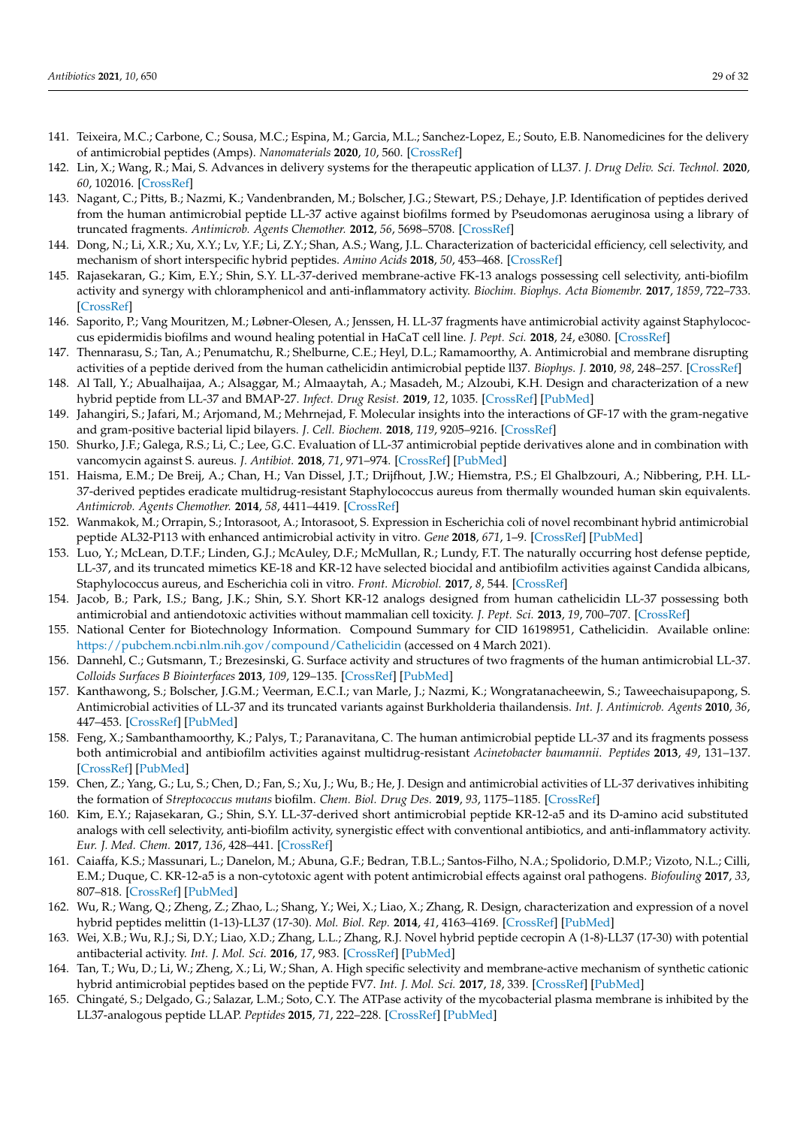- <span id="page-28-0"></span>141. Teixeira, M.C.; Carbone, C.; Sousa, M.C.; Espina, M.; Garcia, M.L.; Sanchez-Lopez, E.; Souto, E.B. Nanomedicines for the delivery of antimicrobial peptides (Amps). *Nanomaterials* **2020**, *10*, 560. [\[CrossRef\]](http://doi.org/10.3390/nano10030560)
- <span id="page-28-1"></span>142. Lin, X.; Wang, R.; Mai, S. Advances in delivery systems for the therapeutic application of LL37. *J. Drug Deliv. Sci. Technol.* **2020**, *60*, 102016. [\[CrossRef\]](http://doi.org/10.1016/j.jddst.2020.102016)
- <span id="page-28-2"></span>143. Nagant, C.; Pitts, B.; Nazmi, K.; Vandenbranden, M.; Bolscher, J.G.; Stewart, P.S.; Dehaye, J.P. Identification of peptides derived from the human antimicrobial peptide LL-37 active against biofilms formed by Pseudomonas aeruginosa using a library of truncated fragments. *Antimicrob. Agents Chemother.* **2012**, *56*, 5698–5708. [\[CrossRef\]](http://doi.org/10.1128/AAC.00918-12)
- <span id="page-28-3"></span>144. Dong, N.; Li, X.R.; Xu, X.Y.; Lv, Y.F.; Li, Z.Y.; Shan, A.S.; Wang, J.L. Characterization of bactericidal efficiency, cell selectivity, and mechanism of short interspecific hybrid peptides. *Amino Acids* **2018**, *50*, 453–468. [\[CrossRef\]](http://doi.org/10.1007/s00726-017-2531-1)
- <span id="page-28-10"></span>145. Rajasekaran, G.; Kim, E.Y.; Shin, S.Y. LL-37-derived membrane-active FK-13 analogs possessing cell selectivity, anti-biofilm activity and synergy with chloramphenicol and anti-inflammatory activity. *Biochim. Biophys. Acta Biomembr.* **2017**, *1859*, 722–733. [\[CrossRef\]](http://doi.org/10.1016/j.bbamem.2017.01.037)
- <span id="page-28-4"></span>146. Saporito, P.; Vang Mouritzen, M.; Løbner-Olesen, A.; Jenssen, H. LL-37 fragments have antimicrobial activity against Staphylococcus epidermidis biofilms and wound healing potential in HaCaT cell line. *J. Pept. Sci.* **2018**, *24*, e3080. [\[CrossRef\]](http://doi.org/10.1002/psc.3080)
- <span id="page-28-5"></span>147. Thennarasu, S.; Tan, A.; Penumatchu, R.; Shelburne, C.E.; Heyl, D.L.; Ramamoorthy, A. Antimicrobial and membrane disrupting activities of a peptide derived from the human cathelicidin antimicrobial peptide ll37. *Biophys. J.* **2010**, *98*, 248–257. [\[CrossRef\]](http://doi.org/10.1016/j.bpj.2009.09.060)
- <span id="page-28-6"></span>148. Al Tall, Y.; Abualhaijaa, A.; Alsaggar, M.; Almaaytah, A.; Masadeh, M.; Alzoubi, K.H. Design and characterization of a new hybrid peptide from LL-37 and BMAP-27. *Infect. Drug Resist.* **2019**, *12*, 1035. [\[CrossRef\]](http://doi.org/10.2147/IDR.S199473) [\[PubMed\]](http://www.ncbi.nlm.nih.gov/pubmed/31118709)
- <span id="page-28-7"></span>149. Jahangiri, S.; Jafari, M.; Arjomand, M.; Mehrnejad, F. Molecular insights into the interactions of GF-17 with the gram-negative and gram-positive bacterial lipid bilayers. *J. Cell. Biochem.* **2018**, *119*, 9205–9216. [\[CrossRef\]](http://doi.org/10.1002/jcb.27187)
- <span id="page-28-8"></span>150. Shurko, J.F.; Galega, R.S.; Li, C.; Lee, G.C. Evaluation of LL-37 antimicrobial peptide derivatives alone and in combination with vancomycin against S. aureus. *J. Antibiot.* **2018**, *71*, 971–974. [\[CrossRef\]](http://doi.org/10.1038/s41429-018-0090-7) [\[PubMed\]](http://www.ncbi.nlm.nih.gov/pubmed/30120393)
- <span id="page-28-9"></span>151. Haisma, E.M.; De Breij, A.; Chan, H.; Van Dissel, J.T.; Drijfhout, J.W.; Hiemstra, P.S.; El Ghalbzouri, A.; Nibbering, P.H. LL-37-derived peptides eradicate multidrug-resistant Staphylococcus aureus from thermally wounded human skin equivalents. *Antimicrob. Agents Chemother.* **2014**, *58*, 4411–4419. [\[CrossRef\]](http://doi.org/10.1128/AAC.02554-14)
- <span id="page-28-11"></span>152. Wanmakok, M.; Orrapin, S.; Intorasoot, A.; Intorasoot, S. Expression in Escherichia coli of novel recombinant hybrid antimicrobial peptide AL32-P113 with enhanced antimicrobial activity in vitro. *Gene* **2018**, *671*, 1–9. [\[CrossRef\]](http://doi.org/10.1016/j.gene.2018.05.106) [\[PubMed\]](http://www.ncbi.nlm.nih.gov/pubmed/29859288)
- <span id="page-28-12"></span>153. Luo, Y.; McLean, D.T.F.; Linden, G.J.; McAuley, D.F.; McMullan, R.; Lundy, F.T. The naturally occurring host defense peptide, LL-37, and its truncated mimetics KE-18 and KR-12 have selected biocidal and antibiofilm activities against Candida albicans, Staphylococcus aureus, and Escherichia coli in vitro. *Front. Microbiol.* **2017**, *8*, 544. [\[CrossRef\]](http://doi.org/10.3389/fmicb.2017.00544)
- <span id="page-28-13"></span>154. Jacob, B.; Park, I.S.; Bang, J.K.; Shin, S.Y. Short KR-12 analogs designed from human cathelicidin LL-37 possessing both antimicrobial and antiendotoxic activities without mammalian cell toxicity. *J. Pept. Sci.* **2013**, *19*, 700–707. [\[CrossRef\]](http://doi.org/10.1002/psc.2552)
- <span id="page-28-14"></span>155. National Center for Biotechnology Information. Compound Summary for CID 16198951, Cathelicidin. Available online: <https://pubchem.ncbi.nlm.nih.gov/compound/Cathelicidin> (accessed on 4 March 2021).
- <span id="page-28-15"></span>156. Dannehl, C.; Gutsmann, T.; Brezesinski, G. Surface activity and structures of two fragments of the human antimicrobial LL-37. *Colloids Surfaces B Biointerfaces* **2013**, *109*, 129–135. [\[CrossRef\]](http://doi.org/10.1016/j.colsurfb.2013.03.030) [\[PubMed\]](http://www.ncbi.nlm.nih.gov/pubmed/23624281)
- <span id="page-28-16"></span>157. Kanthawong, S.; Bolscher, J.G.M.; Veerman, E.C.I.; van Marle, J.; Nazmi, K.; Wongratanacheewin, S.; Taweechaisupapong, S. Antimicrobial activities of LL-37 and its truncated variants against Burkholderia thailandensis. *Int. J. Antimicrob. Agents* **2010**, *36*, 447–453. [\[CrossRef\]](http://doi.org/10.1016/j.ijantimicag.2010.06.031) [\[PubMed\]](http://www.ncbi.nlm.nih.gov/pubmed/20685090)
- <span id="page-28-17"></span>158. Feng, X.; Sambanthamoorthy, K.; Palys, T.; Paranavitana, C. The human antimicrobial peptide LL-37 and its fragments possess both antimicrobial and antibiofilm activities against multidrug-resistant *Acinetobacter baumannii*. *Peptides* **2013**, *49*, 131–137. [\[CrossRef\]](http://doi.org/10.1016/j.peptides.2013.09.007) [\[PubMed\]](http://www.ncbi.nlm.nih.gov/pubmed/24071034)
- <span id="page-28-18"></span>159. Chen, Z.; Yang, G.; Lu, S.; Chen, D.; Fan, S.; Xu, J.; Wu, B.; He, J. Design and antimicrobial activities of LL-37 derivatives inhibiting the formation of *Streptococcus mutans* biofilm. *Chem. Biol. Drug Des.* **2019**, *93*, 1175–1185. [\[CrossRef\]](http://doi.org/10.1111/cbdd.13419)
- <span id="page-28-19"></span>160. Kim, E.Y.; Rajasekaran, G.; Shin, S.Y. LL-37-derived short antimicrobial peptide KR-12-a5 and its D-amino acid substituted analogs with cell selectivity, anti-biofilm activity, synergistic effect with conventional antibiotics, and anti-inflammatory activity. *Eur. J. Med. Chem.* **2017**, *136*, 428–441. [\[CrossRef\]](http://doi.org/10.1016/j.ejmech.2017.05.028)
- <span id="page-28-20"></span>161. Caiaffa, K.S.; Massunari, L.; Danelon, M.; Abuna, G.F.; Bedran, T.B.L.; Santos-Filho, N.A.; Spolidorio, D.M.P.; Vizoto, N.L.; Cilli, E.M.; Duque, C. KR-12-a5 is a non-cytotoxic agent with potent antimicrobial effects against oral pathogens. *Biofouling* **2017**, *33*, 807–818. [\[CrossRef\]](http://doi.org/10.1080/08927014.2017.1370087) [\[PubMed\]](http://www.ncbi.nlm.nih.gov/pubmed/29022391)
- <span id="page-28-21"></span>162. Wu, R.; Wang, Q.; Zheng, Z.; Zhao, L.; Shang, Y.; Wei, X.; Liao, X.; Zhang, R. Design, characterization and expression of a novel hybrid peptides melittin (1-13)-LL37 (17-30). *Mol. Biol. Rep.* **2014**, *41*, 4163–4169. [\[CrossRef\]](http://doi.org/10.1007/s11033-013-2900-0) [\[PubMed\]](http://www.ncbi.nlm.nih.gov/pubmed/24871991)
- <span id="page-28-22"></span>163. Wei, X.B.; Wu, R.J.; Si, D.Y.; Liao, X.D.; Zhang, L.L.; Zhang, R.J. Novel hybrid peptide cecropin A (1-8)-LL37 (17-30) with potential antibacterial activity. *Int. J. Mol. Sci.* **2016**, *17*, 983. [\[CrossRef\]](http://doi.org/10.3390/ijms17070983) [\[PubMed\]](http://www.ncbi.nlm.nih.gov/pubmed/27367675)
- <span id="page-28-23"></span>164. Tan, T.; Wu, D.; Li, W.; Zheng, X.; Li, W.; Shan, A. High specific selectivity and membrane-active mechanism of synthetic cationic hybrid antimicrobial peptides based on the peptide FV7. *Int. J. Mol. Sci.* **2017**, *18*, 339. [\[CrossRef\]](http://doi.org/10.3390/ijms18020339) [\[PubMed\]](http://www.ncbi.nlm.nih.gov/pubmed/28178190)
- <span id="page-28-24"></span>165. Chingaté, S.; Delgado, G.; Salazar, L.M.; Soto, C.Y. The ATPase activity of the mycobacterial plasma membrane is inhibited by the LL37-analogous peptide LLAP. *Peptides* **2015**, *71*, 222–228. [\[CrossRef\]](http://doi.org/10.1016/j.peptides.2015.07.021) [\[PubMed\]](http://www.ncbi.nlm.nih.gov/pubmed/26218806)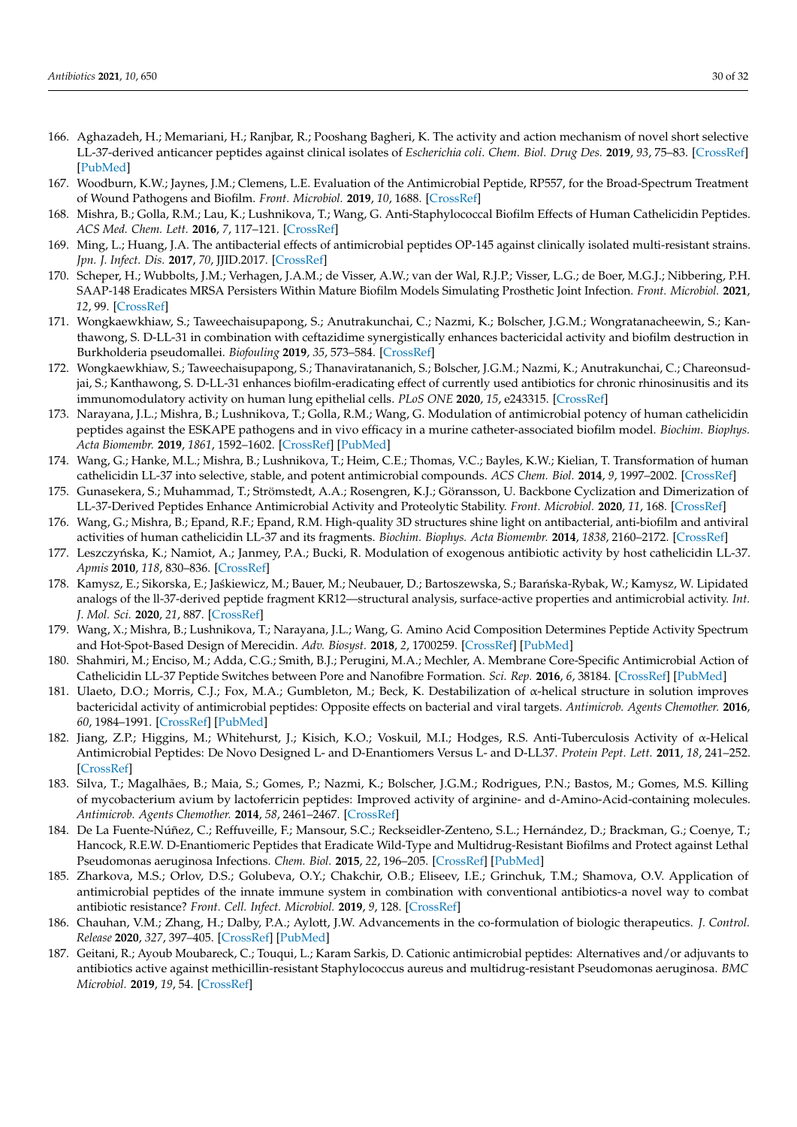- <span id="page-29-0"></span>166. Aghazadeh, H.; Memariani, H.; Ranjbar, R.; Pooshang Bagheri, K. The activity and action mechanism of novel short selective LL-37-derived anticancer peptides against clinical isolates of *Escherichia coli*. *Chem. Biol. Drug Des.* **2019**, *93*, 75–83. [\[CrossRef\]](http://doi.org/10.1111/cbdd.13381) [\[PubMed\]](http://www.ncbi.nlm.nih.gov/pubmed/30120878)
- <span id="page-29-1"></span>167. Woodburn, K.W.; Jaynes, J.M.; Clemens, L.E. Evaluation of the Antimicrobial Peptide, RP557, for the Broad-Spectrum Treatment of Wound Pathogens and Biofilm. *Front. Microbiol.* **2019**, *10*, 1688. [\[CrossRef\]](http://doi.org/10.3389/fmicb.2019.01688)
- <span id="page-29-2"></span>168. Mishra, B.; Golla, R.M.; Lau, K.; Lushnikova, T.; Wang, G. Anti-Staphylococcal Biofilm Effects of Human Cathelicidin Peptides. *ACS Med. Chem. Lett.* **2016**, *7*, 117–121. [\[CrossRef\]](http://doi.org/10.1021/acsmedchemlett.5b00433)
- <span id="page-29-3"></span>169. Ming, L.; Huang, J.A. The antibacterial effects of antimicrobial peptides OP-145 against clinically isolated multi-resistant strains. *Jpn. J. Infect. Dis.* **2017**, *70*, JJID.2017. [\[CrossRef\]](http://doi.org/10.7883/yoken.JJID.2017.090)
- <span id="page-29-4"></span>170. Scheper, H.; Wubbolts, J.M.; Verhagen, J.A.M.; de Visser, A.W.; van der Wal, R.J.P.; Visser, L.G.; de Boer, M.G.J.; Nibbering, P.H. SAAP-148 Eradicates MRSA Persisters Within Mature Biofilm Models Simulating Prosthetic Joint Infection. *Front. Microbiol.* **2021**, *12*, 99. [\[CrossRef\]](http://doi.org/10.3389/fmicb.2021.625952)
- <span id="page-29-5"></span>171. Wongkaewkhiaw, S.; Taweechaisupapong, S.; Anutrakunchai, C.; Nazmi, K.; Bolscher, J.G.M.; Wongratanacheewin, S.; Kanthawong, S. D-LL-31 in combination with ceftazidime synergistically enhances bactericidal activity and biofilm destruction in Burkholderia pseudomallei. *Biofouling* **2019**, *35*, 573–584. [\[CrossRef\]](http://doi.org/10.1080/08927014.2019.1632835)
- <span id="page-29-6"></span>172. Wongkaewkhiaw, S.; Taweechaisupapong, S.; Thanaviratananich, S.; Bolscher, J.G.M.; Nazmi, K.; Anutrakunchai, C.; Chareonsudjai, S.; Kanthawong, S. D-LL-31 enhances biofilm-eradicating effect of currently used antibiotics for chronic rhinosinusitis and its immunomodulatory activity on human lung epithelial cells. *PLoS ONE* **2020**, *15*, e243315. [\[CrossRef\]](http://doi.org/10.1371/journal.pone.0243315)
- <span id="page-29-7"></span>173. Narayana, J.L.; Mishra, B.; Lushnikova, T.; Golla, R.M.; Wang, G. Modulation of antimicrobial potency of human cathelicidin peptides against the ESKAPE pathogens and in vivo efficacy in a murine catheter-associated biofilm model. *Biochim. Biophys. Acta Biomembr.* **2019**, *1861*, 1592–1602. [\[CrossRef\]](http://doi.org/10.1016/j.bbamem.2019.07.012) [\[PubMed\]](http://www.ncbi.nlm.nih.gov/pubmed/31319057)
- <span id="page-29-8"></span>174. Wang, G.; Hanke, M.L.; Mishra, B.; Lushnikova, T.; Heim, C.E.; Thomas, V.C.; Bayles, K.W.; Kielian, T. Transformation of human cathelicidin LL-37 into selective, stable, and potent antimicrobial compounds. *ACS Chem. Biol.* **2014**, *9*, 1997–2002. [\[CrossRef\]](http://doi.org/10.1021/cb500475y)
- <span id="page-29-9"></span>175. Gunasekera, S.; Muhammad, T.; Strömstedt, A.A.; Rosengren, K.J.; Göransson, U. Backbone Cyclization and Dimerization of LL-37-Derived Peptides Enhance Antimicrobial Activity and Proteolytic Stability. *Front. Microbiol.* **2020**, *11*, 168. [\[CrossRef\]](http://doi.org/10.3389/fmicb.2020.00168)
- <span id="page-29-10"></span>176. Wang, G.; Mishra, B.; Epand, R.F.; Epand, R.M. High-quality 3D structures shine light on antibacterial, anti-biofilm and antiviral activities of human cathelicidin LL-37 and its fragments. *Biochim. Biophys. Acta Biomembr.* **2014**, *1838*, 2160–2172. [\[CrossRef\]](http://doi.org/10.1016/j.bbamem.2014.01.016)
- <span id="page-29-21"></span>177. Leszczyńska, K.; Namiot, A.; Janmey, P.A.; Bucki, R. Modulation of exogenous antibiotic activity by host cathelicidin LL-37. *Apmis* **2010**, *118*, 830–836. [\[CrossRef\]](http://doi.org/10.1111/j.1600-0463.2010.02667.x)
- <span id="page-29-11"></span>178. Kamysz, E.; Sikorska, E.; Jaśkiewicz, M.; Bauer, M.; Neubauer, D.; Bartoszewska, S.; Barańska-Rybak, W.; Kamysz, W. Lipidated analogs of the ll-37-derived peptide fragment KR12—structural analysis, surface-active properties and antimicrobial activity. *Int. J. Mol. Sci.* **2020**, *21*, 887. [\[CrossRef\]](http://doi.org/10.3390/ijms21030887)
- <span id="page-29-12"></span>179. Wang, X.; Mishra, B.; Lushnikova, T.; Narayana, J.L.; Wang, G. Amino Acid Composition Determines Peptide Activity Spectrum and Hot-Spot-Based Design of Merecidin. *Adv. Biosyst.* **2018**, *2*, 1700259. [\[CrossRef\]](http://doi.org/10.1002/adbi.201700259) [\[PubMed\]](http://www.ncbi.nlm.nih.gov/pubmed/30800727)
- <span id="page-29-13"></span>180. Shahmiri, M.; Enciso, M.; Adda, C.G.; Smith, B.J.; Perugini, M.A.; Mechler, A. Membrane Core-Specific Antimicrobial Action of Cathelicidin LL-37 Peptide Switches between Pore and Nanofibre Formation. *Sci. Rep.* **2016**, *6*, 38184. [\[CrossRef\]](http://doi.org/10.1038/srep38184) [\[PubMed\]](http://www.ncbi.nlm.nih.gov/pubmed/27901075)
- <span id="page-29-14"></span>181. Ulaeto, D.O.; Morris, C.J.; Fox, M.A.; Gumbleton, M.; Beck, K. Destabilization of α-helical structure in solution improves bactericidal activity of antimicrobial peptides: Opposite effects on bacterial and viral targets. *Antimicrob. Agents Chemother.* **2016**, *60*, 1984–1991. [\[CrossRef\]](http://doi.org/10.1128/AAC.02146-15) [\[PubMed\]](http://www.ncbi.nlm.nih.gov/pubmed/26824944)
- <span id="page-29-15"></span>182. Jiang, Z.P.; Higgins, M.; Whitehurst, J.; Kisich, K.O.; Voskuil, M.I.; Hodges, R.S. Anti-Tuberculosis Activity of α-Helical Antimicrobial Peptides: De Novo Designed L- and D-Enantiomers Versus L- and D-LL37. *Protein Pept. Lett.* **2011**, *18*, 241–252. [\[CrossRef\]](http://doi.org/10.2174/092986611794578288)
- <span id="page-29-16"></span>183. Silva, T.; Magalhães, B.; Maia, S.; Gomes, P.; Nazmi, K.; Bolscher, J.G.M.; Rodrigues, P.N.; Bastos, M.; Gomes, M.S. Killing of mycobacterium avium by lactoferricin peptides: Improved activity of arginine- and d-Amino-Acid-containing molecules. *Antimicrob. Agents Chemother.* **2014**, *58*, 2461–2467. [\[CrossRef\]](http://doi.org/10.1128/AAC.02728-13)
- <span id="page-29-17"></span>184. De La Fuente-Núñez, C.; Reffuveille, F.; Mansour, S.C.; Reckseidler-Zenteno, S.L.; Hernández, D.; Brackman, G.; Coenye, T.; Hancock, R.E.W. D-Enantiomeric Peptides that Eradicate Wild-Type and Multidrug-Resistant Biofilms and Protect against Lethal Pseudomonas aeruginosa Infections. *Chem. Biol.* **2015**, *22*, 196–205. [\[CrossRef\]](http://doi.org/10.1016/j.chembiol.2015.01.002) [\[PubMed\]](http://www.ncbi.nlm.nih.gov/pubmed/25699603)
- <span id="page-29-18"></span>185. Zharkova, M.S.; Orlov, D.S.; Golubeva, O.Y.; Chakchir, O.B.; Eliseev, I.E.; Grinchuk, T.M.; Shamova, O.V. Application of antimicrobial peptides of the innate immune system in combination with conventional antibiotics-a novel way to combat antibiotic resistance? *Front. Cell. Infect. Microbiol.* **2019**, *9*, 128. [\[CrossRef\]](http://doi.org/10.3389/fcimb.2019.00128)
- <span id="page-29-19"></span>186. Chauhan, V.M.; Zhang, H.; Dalby, P.A.; Aylott, J.W. Advancements in the co-formulation of biologic therapeutics. *J. Control. Release* **2020**, *327*, 397–405. [\[CrossRef\]](http://doi.org/10.1016/j.jconrel.2020.08.013) [\[PubMed\]](http://www.ncbi.nlm.nih.gov/pubmed/32798639)
- <span id="page-29-20"></span>187. Geitani, R.; Ayoub Moubareck, C.; Touqui, L.; Karam Sarkis, D. Cationic antimicrobial peptides: Alternatives and/or adjuvants to antibiotics active against methicillin-resistant Staphylococcus aureus and multidrug-resistant Pseudomonas aeruginosa. *BMC Microbiol.* **2019**, *19*, 54. [\[CrossRef\]](http://doi.org/10.1186/s12866-019-1416-8)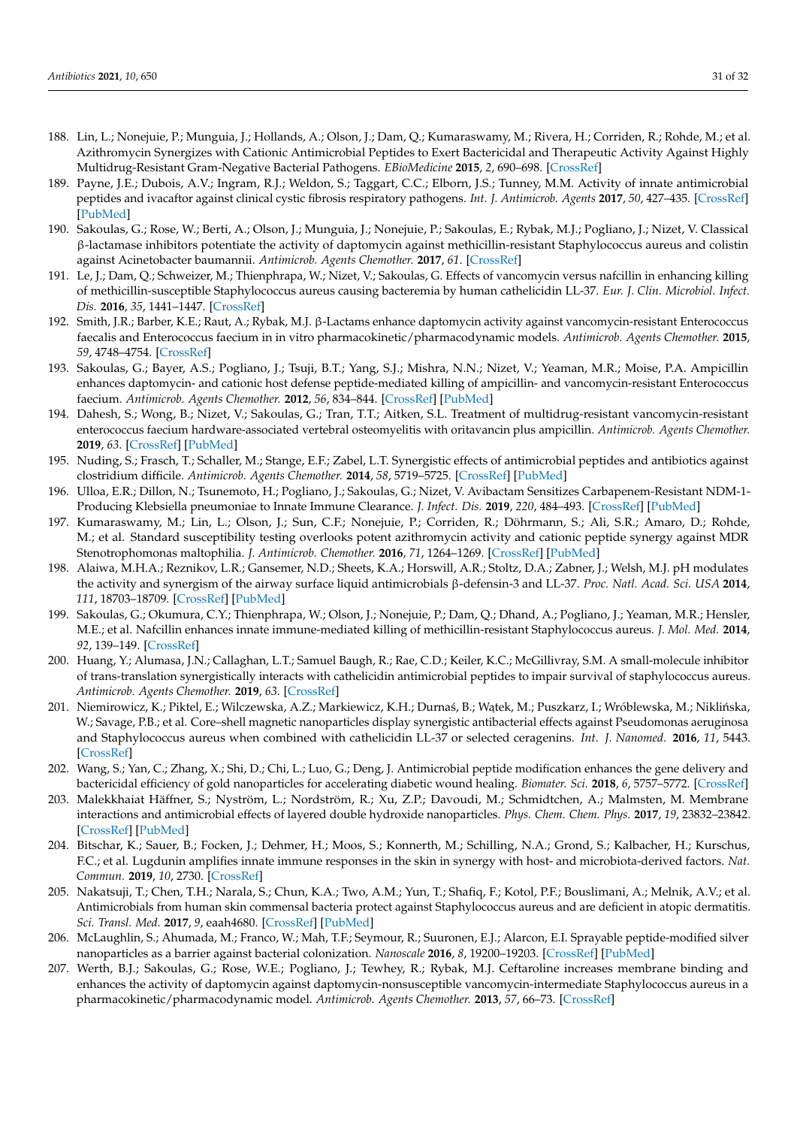- <span id="page-30-0"></span>188. Lin, L.; Nonejuie, P.; Munguia, J.; Hollands, A.; Olson, J.; Dam, Q.; Kumaraswamy, M.; Rivera, H.; Corriden, R.; Rohde, M.; et al. Azithromycin Synergizes with Cationic Antimicrobial Peptides to Exert Bactericidal and Therapeutic Activity Against Highly Multidrug-Resistant Gram-Negative Bacterial Pathogens. *EBioMedicine* **2015**, *2*, 690–698. [\[CrossRef\]](http://doi.org/10.1016/j.ebiom.2015.05.021)
- <span id="page-30-1"></span>189. Payne, J.E.; Dubois, A.V.; Ingram, R.J.; Weldon, S.; Taggart, C.C.; Elborn, J.S.; Tunney, M.M. Activity of innate antimicrobial peptides and ivacaftor against clinical cystic fibrosis respiratory pathogens. *Int. J. Antimicrob. Agents* **2017**, *50*, 427–435. [\[CrossRef\]](http://doi.org/10.1016/j.ijantimicag.2017.04.014) [\[PubMed\]](http://www.ncbi.nlm.nih.gov/pubmed/28666755)
- <span id="page-30-2"></span>190. Sakoulas, G.; Rose, W.; Berti, A.; Olson, J.; Munguia, J.; Nonejuie, P.; Sakoulas, E.; Rybak, M.J.; Pogliano, J.; Nizet, V. Classical β-lactamase inhibitors potentiate the activity of daptomycin against methicillin-resistant Staphylococcus aureus and colistin against Acinetobacter baumannii. *Antimicrob. Agents Chemother.* **2017**, *61*. [\[CrossRef\]](http://doi.org/10.1128/AAC.01745-16)
- <span id="page-30-3"></span>191. Le, J.; Dam, Q.; Schweizer, M.; Thienphrapa, W.; Nizet, V.; Sakoulas, G. Effects of vancomycin versus nafcillin in enhancing killing of methicillin-susceptible Staphylococcus aureus causing bacteremia by human cathelicidin LL-37. *Eur. J. Clin. Microbiol. Infect. Dis.* **2016**, *35*, 1441–1447. [\[CrossRef\]](http://doi.org/10.1007/s10096-016-2682-0)
- <span id="page-30-4"></span>192. Smith, J.R.; Barber, K.E.; Raut, A.; Rybak, M.J. β-Lactams enhance daptomycin activity against vancomycin-resistant Enterococcus faecalis and Enterococcus faecium in in vitro pharmacokinetic/pharmacodynamic models. *Antimicrob. Agents Chemother.* **2015**, *59*, 4748–4754. [\[CrossRef\]](http://doi.org/10.1128/AAC.00053-15)
- <span id="page-30-5"></span>193. Sakoulas, G.; Bayer, A.S.; Pogliano, J.; Tsuji, B.T.; Yang, S.J.; Mishra, N.N.; Nizet, V.; Yeaman, M.R.; Moise, P.A. Ampicillin enhances daptomycin- and cationic host defense peptide-mediated killing of ampicillin- and vancomycin-resistant Enterococcus faecium. *Antimicrob. Agents Chemother.* **2012**, *56*, 834–844. [\[CrossRef\]](http://doi.org/10.1128/AAC.05551-11) [\[PubMed\]](http://www.ncbi.nlm.nih.gov/pubmed/22123698)
- <span id="page-30-6"></span>194. Dahesh, S.; Wong, B.; Nizet, V.; Sakoulas, G.; Tran, T.T.; Aitken, S.L. Treatment of multidrug-resistant vancomycin-resistant enterococcus faecium hardware-associated vertebral osteomyelitis with oritavancin plus ampicillin. *Antimicrob. Agents Chemother.* **2019**, *63*. [\[CrossRef\]](http://doi.org/10.1128/AAC.02622-18) [\[PubMed\]](http://www.ncbi.nlm.nih.gov/pubmed/31235559)
- <span id="page-30-7"></span>195. Nuding, S.; Frasch, T.; Schaller, M.; Stange, E.F.; Zabel, L.T. Synergistic effects of antimicrobial peptides and antibiotics against clostridium difficile. *Antimicrob. Agents Chemother.* **2014**, *58*, 5719–5725. [\[CrossRef\]](http://doi.org/10.1128/AAC.02542-14) [\[PubMed\]](http://www.ncbi.nlm.nih.gov/pubmed/25022581)
- <span id="page-30-8"></span>196. Ulloa, E.R.; Dillon, N.; Tsunemoto, H.; Pogliano, J.; Sakoulas, G.; Nizet, V. Avibactam Sensitizes Carbapenem-Resistant NDM-1- Producing Klebsiella pneumoniae to Innate Immune Clearance. *J. Infect. Dis.* **2019**, *220*, 484–493. [\[CrossRef\]](http://doi.org/10.1093/infdis/jiz128) [\[PubMed\]](http://www.ncbi.nlm.nih.gov/pubmed/30923801)
- <span id="page-30-9"></span>197. Kumaraswamy, M.; Lin, L.; Olson, J.; Sun, C.F.; Nonejuie, P.; Corriden, R.; Döhrmann, S.; Ali, S.R.; Amaro, D.; Rohde, M.; et al. Standard susceptibility testing overlooks potent azithromycin activity and cationic peptide synergy against MDR Stenotrophomonas maltophilia. *J. Antimicrob. Chemother.* **2016**, *71*, 1264–1269. [\[CrossRef\]](http://doi.org/10.1093/jac/dkv487) [\[PubMed\]](http://www.ncbi.nlm.nih.gov/pubmed/26832758)
- <span id="page-30-10"></span>198. Alaiwa, M.H.A.; Reznikov, L.R.; Gansemer, N.D.; Sheets, K.A.; Horswill, A.R.; Stoltz, D.A.; Zabner, J.; Welsh, M.J. pH modulates the activity and synergism of the airway surface liquid antimicrobials β-defensin-3 and LL-37. *Proc. Natl. Acad. Sci. USA* **2014**, *111*, 18703–18709. [\[CrossRef\]](http://doi.org/10.1073/pnas.1422091112) [\[PubMed\]](http://www.ncbi.nlm.nih.gov/pubmed/25512526)
- <span id="page-30-11"></span>199. Sakoulas, G.; Okumura, C.Y.; Thienphrapa, W.; Olson, J.; Nonejuie, P.; Dam, Q.; Dhand, A.; Pogliano, J.; Yeaman, M.R.; Hensler, M.E.; et al. Nafcillin enhances innate immune-mediated killing of methicillin-resistant Staphylococcus aureus. *J. Mol. Med.* **2014**, *92*, 139–149. [\[CrossRef\]](http://doi.org/10.1007/s00109-013-1100-7)
- <span id="page-30-12"></span>200. Huang, Y.; Alumasa, J.N.; Callaghan, L.T.; Samuel Baugh, R.; Rae, C.D.; Keiler, K.C.; McGillivray, S.M. A small-molecule inhibitor of trans-translation synergistically interacts with cathelicidin antimicrobial peptides to impair survival of staphylococcus aureus. *Antimicrob. Agents Chemother.* **2019**, *63*. [\[CrossRef\]](http://doi.org/10.1128/AAC.02362-18)
- <span id="page-30-13"></span>201. Niemirowicz, K.; Piktel, E.; Wilczewska, A.Z.; Markiewicz, K.H.; Durnaś, B.; Wątek, M.; Puszkarz, I.; Wróblewska, M.; Niklińska, W.; Savage, P.B.; et al. Core–shell magnetic nanoparticles display synergistic antibacterial effects against Pseudomonas aeruginosa and Staphylococcus aureus when combined with cathelicidin LL-37 or selected ceragenins. *Int. J. Nanomed.* **2016**, *11*, 5443. [\[CrossRef\]](http://doi.org/10.2147/IJN.S113706)
- <span id="page-30-14"></span>202. Wang, S.; Yan, C.; Zhang, X.; Shi, D.; Chi, L.; Luo, G.; Deng, J. Antimicrobial peptide modification enhances the gene delivery and bactericidal efficiency of gold nanoparticles for accelerating diabetic wound healing. *Biomater. Sci.* **2018**, *6*, 5757–5772. [\[CrossRef\]](http://doi.org/10.1039/C8BM00807H)
- <span id="page-30-15"></span>203. Malekkhaiat Häffner, S.; Nyström, L.; Nordström, R.; Xu, Z.P.; Davoudi, M.; Schmidtchen, A.; Malmsten, M. Membrane interactions and antimicrobial effects of layered double hydroxide nanoparticles. *Phys. Chem. Chem. Phys.* **2017**, *19*, 23832–23842. [\[CrossRef\]](http://doi.org/10.1039/C7CP02701J) [\[PubMed\]](http://www.ncbi.nlm.nih.gov/pubmed/28682360)
- <span id="page-30-16"></span>204. Bitschar, K.; Sauer, B.; Focken, J.; Dehmer, H.; Moos, S.; Konnerth, M.; Schilling, N.A.; Grond, S.; Kalbacher, H.; Kurschus, F.C.; et al. Lugdunin amplifies innate immune responses in the skin in synergy with host- and microbiota-derived factors. *Nat. Commun.* **2019**, *10*, 2730. [\[CrossRef\]](http://doi.org/10.1038/s41467-019-10646-7)
- <span id="page-30-17"></span>205. Nakatsuji, T.; Chen, T.H.; Narala, S.; Chun, K.A.; Two, A.M.; Yun, T.; Shafiq, F.; Kotol, P.F.; Bouslimani, A.; Melnik, A.V.; et al. Antimicrobials from human skin commensal bacteria protect against Staphylococcus aureus and are deficient in atopic dermatitis. *Sci. Transl. Med.* **2017**, *9*, eaah4680. [\[CrossRef\]](http://doi.org/10.1126/scitranslmed.aah4680) [\[PubMed\]](http://www.ncbi.nlm.nih.gov/pubmed/28228596)
- <span id="page-30-18"></span>206. McLaughlin, S.; Ahumada, M.; Franco, W.; Mah, T.F.; Seymour, R.; Suuronen, E.J.; Alarcon, E.I. Sprayable peptide-modified silver nanoparticles as a barrier against bacterial colonization. *Nanoscale* **2016**, *8*, 19200–19203. [\[CrossRef\]](http://doi.org/10.1039/C6NR07976H) [\[PubMed\]](http://www.ncbi.nlm.nih.gov/pubmed/27834428)
- <span id="page-30-19"></span>207. Werth, B.J.; Sakoulas, G.; Rose, W.E.; Pogliano, J.; Tewhey, R.; Rybak, M.J. Ceftaroline increases membrane binding and enhances the activity of daptomycin against daptomycin-nonsusceptible vancomycin-intermediate Staphylococcus aureus in a pharmacokinetic/pharmacodynamic model. *Antimicrob. Agents Chemother.* **2013**, *57*, 66–73. [\[CrossRef\]](http://doi.org/10.1128/AAC.01586-12)